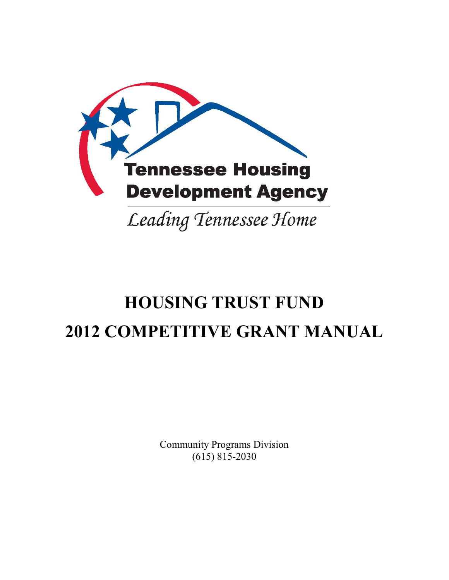

# **HOUSING TRUST FUND 2012 COMPETITIVE GRANT MANUAL**

Community Programs Division (615) 815-2030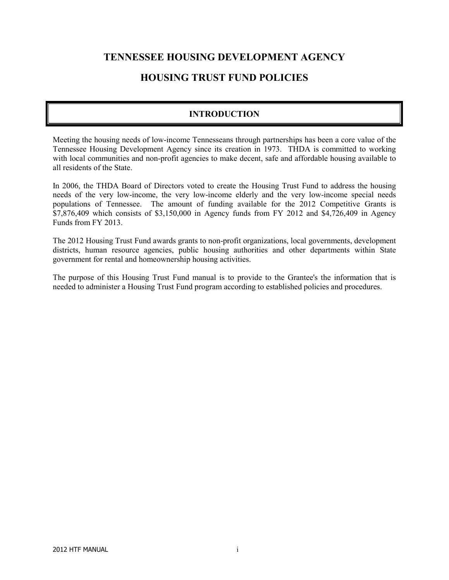# **TENNESSEE HOUSING DEVELOPMENT AGENCY**

# **HOUSING TRUST FUND POLICIES**

# **INTRODUCTION**

Meeting the housing needs of low-income Tennesseans through partnerships has been a core value of the Tennessee Housing Development Agency since its creation in 1973. THDA is committed to working with local communities and non-profit agencies to make decent, safe and affordable housing available to all residents of the State.

In 2006, the THDA Board of Directors voted to create the Housing Trust Fund to address the housing needs of the very low-income, the very low-income elderly and the very low-income special needs populations of Tennessee. The amount of funding available for the 2012 Competitive Grants is  $\overline{$7,876,409}$  which consists of  $\$3,150,000$  in Agency funds from FY 2012 and  $\$4,726,409$  in Agency Funds from FY 2013.

The 2012 Housing Trust Fund awards grants to non-profit organizations, local governments, development districts, human resource agencies, public housing authorities and other departments within State government for rental and homeownership housing activities.

The purpose of this Housing Trust Fund manual is to provide to the Grantee's the information that is needed to administer a Housing Trust Fund program according to established policies and procedures.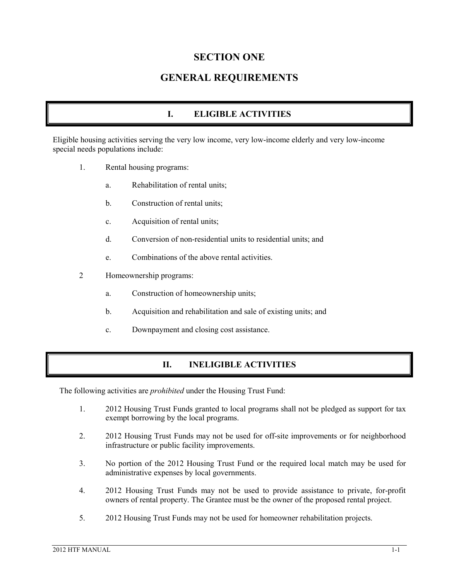# **SECTION ONE**

# **GENERAL REQUIREMENTS**

# **I. ELIGIBLE ACTIVITIES**

Eligible housing activities serving the very low income, very low-income elderly and very low-income special needs populations include:

- 1. Rental housing programs:
	- a. Rehabilitation of rental units;
	- b. Construction of rental units;
	- c. Acquisition of rental units;
	- d. Conversion of non-residential units to residential units; and
	- e. Combinations of the above rental activities.
- 2 Homeownership programs:
	- a. Construction of homeownership units;
	- b. Acquisition and rehabilitation and sale of existing units; and
	- c. Downpayment and closing cost assistance.

#### **II. INELIGIBLE ACTIVITIES**

The following activities are *prohibited* under the Housing Trust Fund:

- 1. 2012 Housing Trust Funds granted to local programs shall not be pledged as support for tax exempt borrowing by the local programs.
- 2. 2012 Housing Trust Funds may not be used for off-site improvements or for neighborhood infrastructure or public facility improvements.
- 3. No portion of the 2012 Housing Trust Fund or the required local match may be used for administrative expenses by local governments.
- 4. 2012 Housing Trust Funds may not be used to provide assistance to private, for-profit owners of rental property. The Grantee must be the owner of the proposed rental project.
- 5. 2012 Housing Trust Funds may not be used for homeowner rehabilitation projects.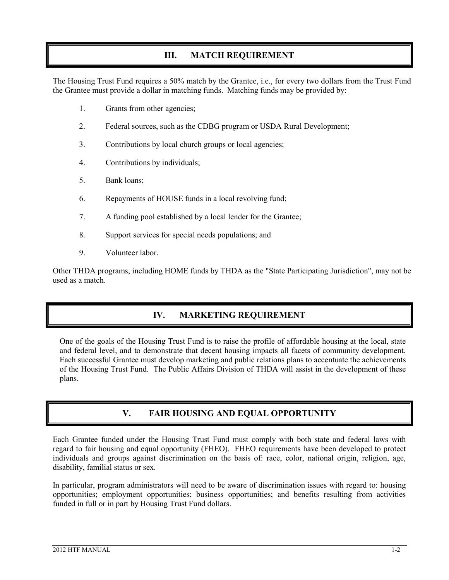# **III. MATCH REQUIREMENT**

The Housing Trust Fund requires a 50% match by the Grantee, i.e., for every two dollars from the Trust Fund the Grantee must provide a dollar in matching funds. Matching funds may be provided by:

- 1. Grants from other agencies;
- 2. Federal sources, such as the CDBG program or USDA Rural Development;
- 3. Contributions by local church groups or local agencies;
- 4. Contributions by individuals;
- 5. Bank loans;
- 6. Repayments of HOUSE funds in a local revolving fund;
- 7. A funding pool established by a local lender for the Grantee;
- 8. Support services for special needs populations; and
- 9. Volunteer labor.

Other THDA programs, including HOME funds by THDA as the "State Participating Jurisdiction", may not be used as a match.

# **IV. MARKETING REQUIREMENT**

One of the goals of the Housing Trust Fund is to raise the profile of affordable housing at the local, state and federal level, and to demonstrate that decent housing impacts all facets of community development. Each successful Grantee must develop marketing and public relations plans to accentuate the achievements of the Housing Trust Fund. The Public Affairs Division of THDA will assist in the development of these plans.

# **V. FAIR HOUSING AND EQUAL OPPORTUNITY**

Each Grantee funded under the Housing Trust Fund must comply with both state and federal laws with regard to fair housing and equal opportunity (FHEO). FHEO requirements have been developed to protect individuals and groups against discrimination on the basis of: race, color, national origin, religion, age, disability, familial status or sex.

In particular, program administrators will need to be aware of discrimination issues with regard to: housing opportunities; employment opportunities; business opportunities; and benefits resulting from activities funded in full or in part by Housing Trust Fund dollars.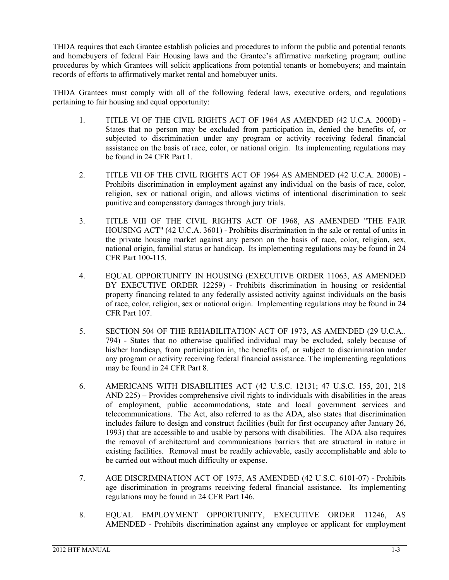THDA requires that each Grantee establish policies and procedures to inform the public and potential tenants and homebuyers of federal Fair Housing laws and the Grantee's affirmative marketing program; outline procedures by which Grantees will solicit applications from potential tenants or homebuyers; and maintain records of efforts to affirmatively market rental and homebuyer units.

THDA Grantees must comply with all of the following federal laws, executive orders, and regulations pertaining to fair housing and equal opportunity:

- 1. TITLE VI OF THE CIVIL RIGHTS ACT OF 1964 AS AMENDED (42 U.C.A. 2000D) States that no person may be excluded from participation in, denied the benefits of, or subjected to discrimination under any program or activity receiving federal financial assistance on the basis of race, color, or national origin. Its implementing regulations may be found in 24 CFR Part 1.
- 2. TITLE VII OF THE CIVIL RIGHTS ACT OF 1964 AS AMENDED (42 U.C.A. 2000E) Prohibits discrimination in employment against any individual on the basis of race, color, religion, sex or national origin, and allows victims of intentional discrimination to seek punitive and compensatory damages through jury trials.
- 3. TITLE VIII OF THE CIVIL RIGHTS ACT OF 1968, AS AMENDED "THE FAIR HOUSING ACT" (42 U.C.A. 3601) - Prohibits discrimination in the sale or rental of units in the private housing market against any person on the basis of race, color, religion, sex, national origin, familial status or handicap. Its implementing regulations may be found in 24 CFR Part 100-115.
- 4. EQUAL OPPORTUNITY IN HOUSING (EXECUTIVE ORDER 11063, AS AMENDED BY EXECUTIVE ORDER 12259) - Prohibits discrimination in housing or residential property financing related to any federally assisted activity against individuals on the basis of race, color, religion, sex or national origin. Implementing regulations may be found in 24 CFR Part 107.
- 5. SECTION 504 OF THE REHABILITATION ACT OF 1973, AS AMENDED (29 U.C.A.. 794) - States that no otherwise qualified individual may be excluded, solely because of his/her handicap, from participation in, the benefits of, or subject to discrimination under any program or activity receiving federal financial assistance. The implementing regulations may be found in 24 CFR Part 8.
- 6. AMERICANS WITH DISABILITIES ACT (42 U.S.C. 12131; 47 U.S.C. 155, 201, 218 AND 225) – Provides comprehensive civil rights to individuals with disabilities in the areas of employment, public accommodations, state and local government services and telecommunications. The Act, also referred to as the ADA, also states that discrimination includes failure to design and construct facilities (built for first occupancy after January 26, 1993) that are accessible to and usable by persons with disabilities. The ADA also requires the removal of architectural and communications barriers that are structural in nature in existing facilities. Removal must be readily achievable, easily accomplishable and able to be carried out without much difficulty or expense.
- 7. AGE DISCRIMINATION ACT OF 1975, AS AMENDED (42 U.S.C. 6101-07) Prohibits age discrimination in programs receiving federal financial assistance. Its implementing regulations may be found in 24 CFR Part 146.
- 8. EQUAL EMPLOYMENT OPPORTUNITY, EXECUTIVE ORDER 11246, AS AMENDED - Prohibits discrimination against any employee or applicant for employment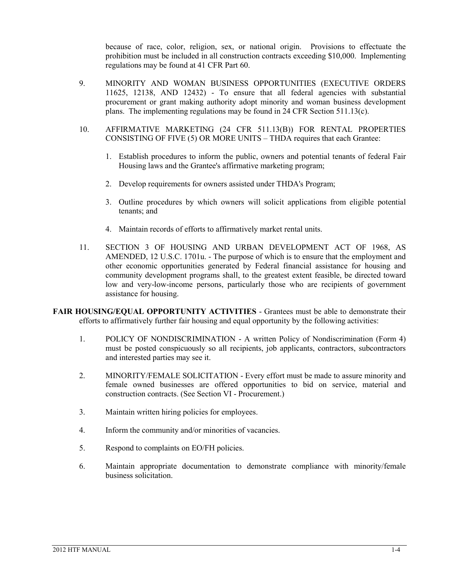because of race, color, religion, sex, or national origin. Provisions to effectuate the prohibition must be included in all construction contracts exceeding \$10,000. Implementing regulations may be found at 41 CFR Part 60.

- 9. MINORITY AND WOMAN BUSINESS OPPORTUNITIES (EXECUTIVE ORDERS 11625, 12138, AND 12432) - To ensure that all federal agencies with substantial procurement or grant making authority adopt minority and woman business development plans. The implementing regulations may be found in 24 CFR Section 511.13(c).
- 10. AFFIRMATIVE MARKETING (24 CFR 511.13(B)) FOR RENTAL PROPERTIES CONSISTING OF FIVE (5) OR MORE UNITS – THDA requires that each Grantee:
	- 1. Establish procedures to inform the public, owners and potential tenants of federal Fair Housing laws and the Grantee's affirmative marketing program;
	- 2. Develop requirements for owners assisted under THDA's Program;
	- 3. Outline procedures by which owners will solicit applications from eligible potential tenants; and
	- 4. Maintain records of efforts to affirmatively market rental units.
- 11. SECTION 3 OF HOUSING AND URBAN DEVELOPMENT ACT OF 1968, AS AMENDED, 12 U.S.C. 1701u. - The purpose of which is to ensure that the employment and other economic opportunities generated by Federal financial assistance for housing and community development programs shall, to the greatest extent feasible, be directed toward low and very-low-income persons, particularly those who are recipients of government assistance for housing.

**FAIR HOUSING/EQUAL OPPORTUNITY ACTIVITIES** - Grantees must be able to demonstrate their efforts to affirmatively further fair housing and equal opportunity by the following activities:

- 1. POLICY OF NONDISCRIMINATION A written Policy of Nondiscrimination (Form 4) must be posted conspicuously so all recipients, job applicants, contractors, subcontractors and interested parties may see it.
- 2. MINORITY/FEMALE SOLICITATION Every effort must be made to assure minority and female owned businesses are offered opportunities to bid on service, material and construction contracts. (See Section VI - Procurement.)
- 3. Maintain written hiring policies for employees.
- 4. Inform the community and/or minorities of vacancies.
- 5. Respond to complaints on EO/FH policies.
- 6. Maintain appropriate documentation to demonstrate compliance with minority/female business solicitation.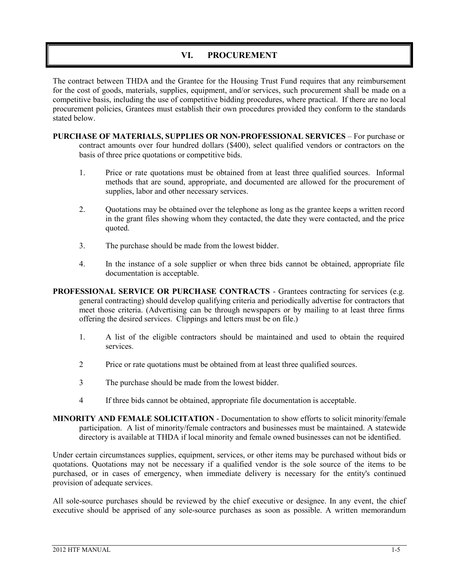#### **VI. PROCUREMENT**

The contract between THDA and the Grantee for the Housing Trust Fund requires that any reimbursement for the cost of goods, materials, supplies, equipment, and/or services, such procurement shall be made on a competitive basis, including the use of competitive bidding procedures, where practical. If there are no local procurement policies, Grantees must establish their own procedures provided they conform to the standards stated below.

- **PURCHASE OF MATERIALS, SUPPLIES OR NON-PROFESSIONAL SERVICES** For purchase or contract amounts over four hundred dollars (\$400), select qualified vendors or contractors on the basis of three price quotations or competitive bids.
	- 1. Price or rate quotations must be obtained from at least three qualified sources. Informal methods that are sound, appropriate, and documented are allowed for the procurement of supplies, labor and other necessary services.
	- 2. Quotations may be obtained over the telephone as long as the grantee keeps a written record in the grant files showing whom they contacted, the date they were contacted, and the price quoted.
	- 3. The purchase should be made from the lowest bidder.
	- 4. In the instance of a sole supplier or when three bids cannot be obtained, appropriate file documentation is acceptable.
- **PROFESSIONAL SERVICE OR PURCHASE CONTRACTS Grantees contracting for services (e.g.**) general contracting) should develop qualifying criteria and periodically advertise for contractors that meet those criteria. (Advertising can be through newspapers or by mailing to at least three firms offering the desired services. Clippings and letters must be on file.)
	- 1. A list of the eligible contractors should be maintained and used to obtain the required services.
	- 2 Price or rate quotations must be obtained from at least three qualified sources.
	- 3 The purchase should be made from the lowest bidder.
	- 4 If three bids cannot be obtained, appropriate file documentation is acceptable.
- **MINORITY AND FEMALE SOLICITATION** Documentation to show efforts to solicit minority/female participation. A list of minority/female contractors and businesses must be maintained. A statewide directory is available at THDA if local minority and female owned businesses can not be identified.

Under certain circumstances supplies, equipment, services, or other items may be purchased without bids or quotations. Quotations may not be necessary if a qualified vendor is the sole source of the items to be purchased, or in cases of emergency, when immediate delivery is necessary for the entity's continued provision of adequate services.

All sole-source purchases should be reviewed by the chief executive or designee. In any event, the chief executive should be apprised of any sole-source purchases as soon as possible. A written memorandum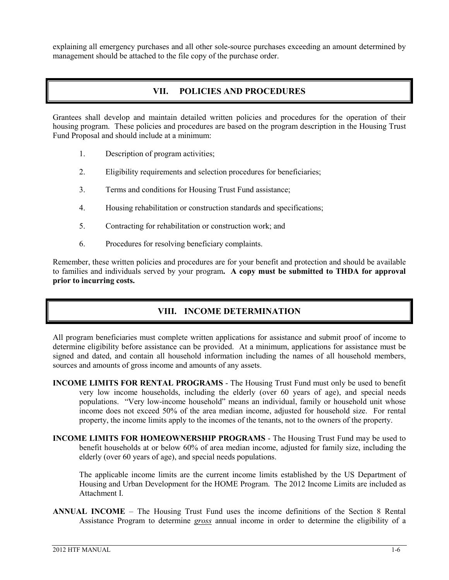explaining all emergency purchases and all other sole-source purchases exceeding an amount determined by management should be attached to the file copy of the purchase order.

# **VII. POLICIES AND PROCEDURES**

Grantees shall develop and maintain detailed written policies and procedures for the operation of their housing program. These policies and procedures are based on the program description in the Housing Trust Fund Proposal and should include at a minimum:

- 1. Description of program activities;
- 2. Eligibility requirements and selection procedures for beneficiaries;
- 3. Terms and conditions for Housing Trust Fund assistance;
- 4. Housing rehabilitation or construction standards and specifications;
- 5. Contracting for rehabilitation or construction work; and
- 6. Procedures for resolving beneficiary complaints.

Remember, these written policies and procedures are for your benefit and protection and should be available to families and individuals served by your program**. A copy must be submitted to THDA for approval prior to incurring costs.**

# **VIII. INCOME DETERMINATION**

All program beneficiaries must complete written applications for assistance and submit proof of income to determine eligibility before assistance can be provided. At a minimum, applications for assistance must be signed and dated, and contain all household information including the names of all household members, sources and amounts of gross income and amounts of any assets.

- **INCOME LIMITS FOR RENTAL PROGRAMS** The Housing Trust Fund must only be used to benefit very low income households, including the elderly (over 60 years of age), and special needs populations. "Very low-income household" means an individual, family or household unit whose income does not exceed 50% of the area median income, adjusted for household size. For rental property, the income limits apply to the incomes of the tenants, not to the owners of the property.
- **INCOME LIMITS FOR HOMEOWNERSHIP PROGRAMS** The Housing Trust Fund may be used to benefit households at or below 60% of area median income, adjusted for family size, including the elderly (over 60 years of age), and special needs populations.

The applicable income limits are the current income limits established by the US Department of Housing and Urban Development for the HOME Program. The 2012 Income Limits are included as Attachment I.

**ANNUAL INCOME** – The Housing Trust Fund uses the income definitions of the Section 8 Rental Assistance Program to determine *gross* annual income in order to determine the eligibility of a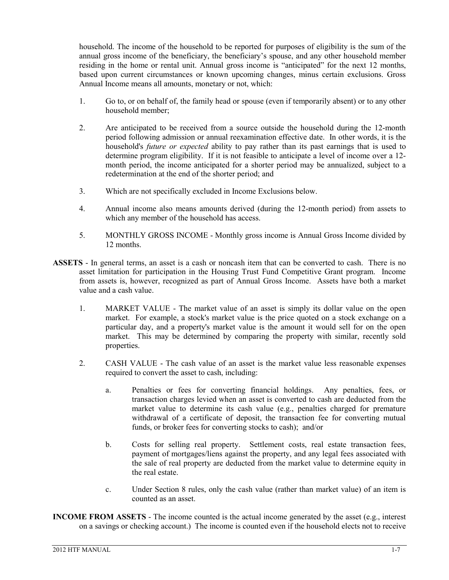household. The income of the household to be reported for purposes of eligibility is the sum of the annual gross income of the beneficiary, the beneficiary's spouse, and any other household member residing in the home or rental unit. Annual gross income is "anticipated" for the next 12 months, based upon current circumstances or known upcoming changes, minus certain exclusions. Gross Annual Income means all amounts, monetary or not, which:

- 1. Go to, or on behalf of, the family head or spouse (even if temporarily absent) or to any other household member;
- 2. Are anticipated to be received from a source outside the household during the 12-month period following admission or annual reexamination effective date. In other words, it is the household's *future or expected* ability to pay rather than its past earnings that is used to determine program eligibility. If it is not feasible to anticipate a level of income over a 12 month period, the income anticipated for a shorter period may be annualized, subject to a redetermination at the end of the shorter period; and
- 3. Which are not specifically excluded in Income Exclusions below.
- 4. Annual income also means amounts derived (during the 12-month period) from assets to which any member of the household has access.
- 5. MONTHLY GROSS INCOME Monthly gross income is Annual Gross Income divided by 12 months.
- **ASSETS** In general terms, an asset is a cash or noncash item that can be converted to cash. There is no asset limitation for participation in the Housing Trust Fund Competitive Grant program. Income from assets is, however, recognized as part of Annual Gross Income. Assets have both a market value and a cash value.
	- 1. MARKET VALUE The market value of an asset is simply its dollar value on the open market. For example, a stock's market value is the price quoted on a stock exchange on a particular day, and a property's market value is the amount it would sell for on the open market. This may be determined by comparing the property with similar, recently sold properties.
	- 2. CASH VALUE The cash value of an asset is the market value less reasonable expenses required to convert the asset to cash, including:
		- a. Penalties or fees for converting financial holdings. Any penalties, fees, or transaction charges levied when an asset is converted to cash are deducted from the market value to determine its cash value (e.g., penalties charged for premature withdrawal of a certificate of deposit, the transaction fee for converting mutual funds, or broker fees for converting stocks to cash); and/or
		- b. Costs for selling real property. Settlement costs, real estate transaction fees, payment of mortgages/liens against the property, and any legal fees associated with the sale of real property are deducted from the market value to determine equity in the real estate.
		- c. Under Section 8 rules, only the cash value (rather than market value) of an item is counted as an asset.
- **INCOME FROM ASSETS** The income counted is the actual income generated by the asset (e.g., interest on a savings or checking account.) The income is counted even if the household elects not to receive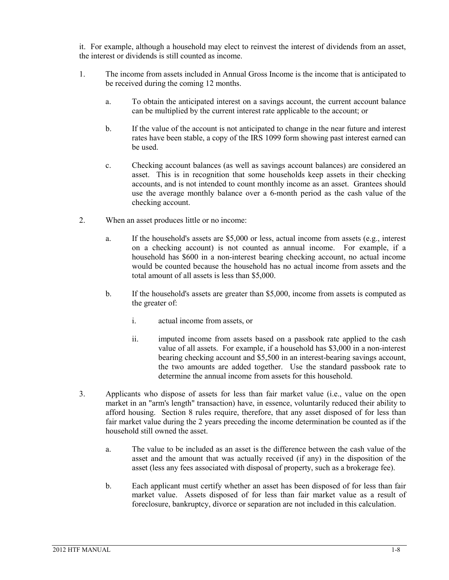it. For example, although a household may elect to reinvest the interest of dividends from an asset, the interest or dividends is still counted as income.

- 1. The income from assets included in Annual Gross Income is the income that is anticipated to be received during the coming 12 months.
	- a. To obtain the anticipated interest on a savings account, the current account balance can be multiplied by the current interest rate applicable to the account; or
	- b. If the value of the account is not anticipated to change in the near future and interest rates have been stable, a copy of the IRS 1099 form showing past interest earned can be used.
	- c. Checking account balances (as well as savings account balances) are considered an asset. This is in recognition that some households keep assets in their checking accounts, and is not intended to count monthly income as an asset. Grantees should use the average monthly balance over a 6-month period as the cash value of the checking account.
- 2. When an asset produces little or no income:
	- a. If the household's assets are \$5,000 or less, actual income from assets (e.g., interest on a checking account) is not counted as annual income. For example, if a household has \$600 in a non-interest bearing checking account, no actual income would be counted because the household has no actual income from assets and the total amount of all assets is less than \$5,000.
	- b. If the household's assets are greater than \$5,000, income from assets is computed as the greater of:
		- i. actual income from assets, or
		- ii. imputed income from assets based on a passbook rate applied to the cash value of all assets. For example, if a household has \$3,000 in a non-interest bearing checking account and \$5,500 in an interest-bearing savings account, the two amounts are added together. Use the standard passbook rate to determine the annual income from assets for this household.
- 3. Applicants who dispose of assets for less than fair market value (i.e., value on the open market in an "arm's length" transaction) have, in essence, voluntarily reduced their ability to afford housing. Section 8 rules require, therefore, that any asset disposed of for less than fair market value during the 2 years preceding the income determination be counted as if the household still owned the asset.
	- a. The value to be included as an asset is the difference between the cash value of the asset and the amount that was actually received (if any) in the disposition of the asset (less any fees associated with disposal of property, such as a brokerage fee).
	- b. Each applicant must certify whether an asset has been disposed of for less than fair market value. Assets disposed of for less than fair market value as a result of foreclosure, bankruptcy, divorce or separation are not included in this calculation.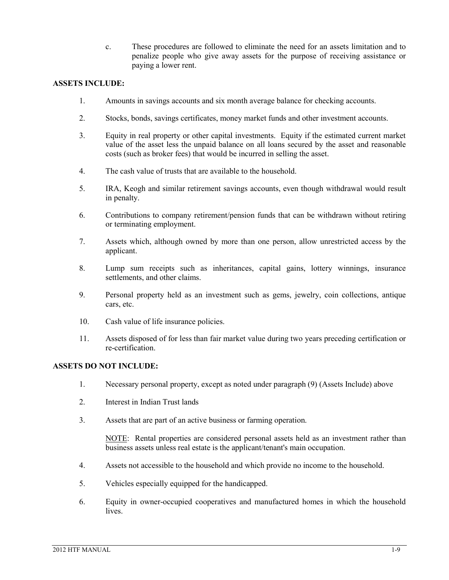c. These procedures are followed to eliminate the need for an assets limitation and to penalize people who give away assets for the purpose of receiving assistance or paying a lower rent.

#### **ASSETS INCLUDE:**

- 1. Amounts in savings accounts and six month average balance for checking accounts.
- 2. Stocks, bonds, savings certificates, money market funds and other investment accounts.
- 3. Equity in real property or other capital investments. Equity if the estimated current market value of the asset less the unpaid balance on all loans secured by the asset and reasonable costs (such as broker fees) that would be incurred in selling the asset.
- 4. The cash value of trusts that are available to the household.
- 5. IRA, Keogh and similar retirement savings accounts, even though withdrawal would result in penalty.
- 6. Contributions to company retirement/pension funds that can be withdrawn without retiring or terminating employment.
- 7. Assets which, although owned by more than one person, allow unrestricted access by the applicant.
- 8. Lump sum receipts such as inheritances, capital gains, lottery winnings, insurance settlements, and other claims.
- 9. Personal property held as an investment such as gems, jewelry, coin collections, antique cars, etc.
- 10. Cash value of life insurance policies.
- 11. Assets disposed of for less than fair market value during two years preceding certification or re-certification.

#### **ASSETS DO NOT INCLUDE:**

- 1. Necessary personal property, except as noted under paragraph (9) (Assets Include) above
- 2. Interest in Indian Trust lands
- 3. Assets that are part of an active business or farming operation.

NOTE: Rental properties are considered personal assets held as an investment rather than business assets unless real estate is the applicant/tenant's main occupation.

- 4. Assets not accessible to the household and which provide no income to the household.
- 5. Vehicles especially equipped for the handicapped.
- 6. Equity in owner-occupied cooperatives and manufactured homes in which the household lives.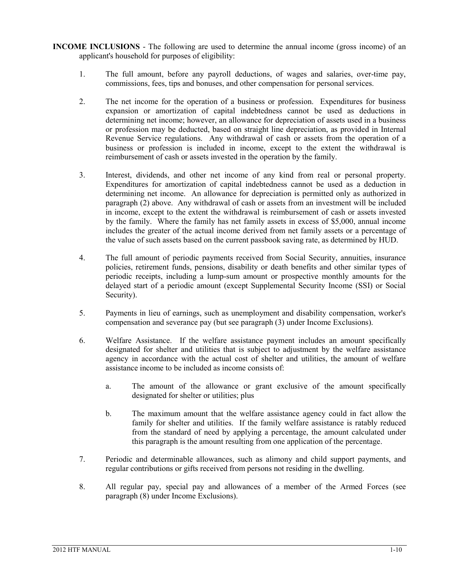- **INCOME INCLUSIONS** The following are used to determine the annual income (gross income) of an applicant's household for purposes of eligibility:
	- 1. The full amount, before any payroll deductions, of wages and salaries, over-time pay, commissions, fees, tips and bonuses, and other compensation for personal services.
	- 2. The net income for the operation of a business or profession. Expenditures for business expansion or amortization of capital indebtedness cannot be used as deductions in determining net income; however, an allowance for depreciation of assets used in a business or profession may be deducted, based on straight line depreciation, as provided in Internal Revenue Service regulations. Any withdrawal of cash or assets from the operation of a business or profession is included in income, except to the extent the withdrawal is reimbursement of cash or assets invested in the operation by the family.
	- 3. Interest, dividends, and other net income of any kind from real or personal property. Expenditures for amortization of capital indebtedness cannot be used as a deduction in determining net income. An allowance for depreciation is permitted only as authorized in paragraph (2) above. Any withdrawal of cash or assets from an investment will be included in income, except to the extent the withdrawal is reimbursement of cash or assets invested by the family. Where the family has net family assets in excess of \$5,000, annual income includes the greater of the actual income derived from net family assets or a percentage of the value of such assets based on the current passbook saving rate, as determined by HUD.
	- 4. The full amount of periodic payments received from Social Security, annuities, insurance policies, retirement funds, pensions, disability or death benefits and other similar types of periodic receipts, including a lump-sum amount or prospective monthly amounts for the delayed start of a periodic amount (except Supplemental Security Income (SSI) or Social Security).
	- 5. Payments in lieu of earnings, such as unemployment and disability compensation, worker's compensation and severance pay (but see paragraph (3) under Income Exclusions).
	- 6. Welfare Assistance. If the welfare assistance payment includes an amount specifically designated for shelter and utilities that is subject to adjustment by the welfare assistance agency in accordance with the actual cost of shelter and utilities, the amount of welfare assistance income to be included as income consists of:
		- a. The amount of the allowance or grant exclusive of the amount specifically designated for shelter or utilities; plus
		- b. The maximum amount that the welfare assistance agency could in fact allow the family for shelter and utilities. If the family welfare assistance is ratably reduced from the standard of need by applying a percentage, the amount calculated under this paragraph is the amount resulting from one application of the percentage.
	- 7. Periodic and determinable allowances, such as alimony and child support payments, and regular contributions or gifts received from persons not residing in the dwelling.
	- 8. All regular pay, special pay and allowances of a member of the Armed Forces (see paragraph (8) under Income Exclusions).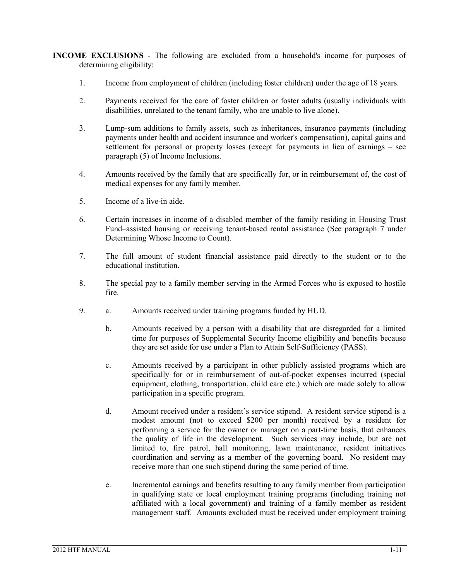**INCOME EXCLUSIONS** - The following are excluded from a household's income for purposes of determining eligibility:

- 1. Income from employment of children (including foster children) under the age of 18 years.
- 2. Payments received for the care of foster children or foster adults (usually individuals with disabilities, unrelated to the tenant family, who are unable to live alone).
- 3. Lump-sum additions to family assets, such as inheritances, insurance payments (including payments under health and accident insurance and worker's compensation), capital gains and settlement for personal or property losses (except for payments in lieu of earnings – see paragraph (5) of Income Inclusions.
- 4. Amounts received by the family that are specifically for, or in reimbursement of, the cost of medical expenses for any family member.
- 5. Income of a live-in aide.
- 6. Certain increases in income of a disabled member of the family residing in Housing Trust Fund–assisted housing or receiving tenant-based rental assistance (See paragraph 7 under Determining Whose Income to Count).
- 7. The full amount of student financial assistance paid directly to the student or to the educational institution.
- 8. The special pay to a family member serving in the Armed Forces who is exposed to hostile fire.
- 9. a. Amounts received under training programs funded by HUD.
	- b. Amounts received by a person with a disability that are disregarded for a limited time for purposes of Supplemental Security Income eligibility and benefits because they are set aside for use under a Plan to Attain Self-Sufficiency (PASS).
	- c. Amounts received by a participant in other publicly assisted programs which are specifically for or in reimbursement of out-of-pocket expenses incurred (special equipment, clothing, transportation, child care etc.) which are made solely to allow participation in a specific program.
	- d. Amount received under a resident's service stipend. A resident service stipend is a modest amount (not to exceed \$200 per month) received by a resident for performing a service for the owner or manager on a part-time basis, that enhances the quality of life in the development. Such services may include, but are not limited to, fire patrol, hall monitoring, lawn maintenance, resident initiatives coordination and serving as a member of the governing board. No resident may receive more than one such stipend during the same period of time.
	- e. Incremental earnings and benefits resulting to any family member from participation in qualifying state or local employment training programs (including training not affiliated with a local government) and training of a family member as resident management staff. Amounts excluded must be received under employment training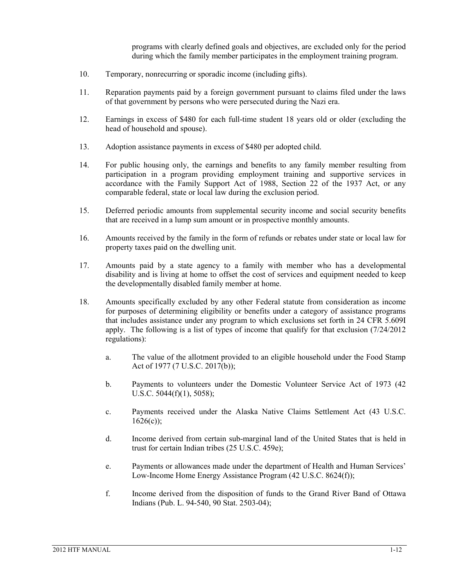programs with clearly defined goals and objectives, are excluded only for the period during which the family member participates in the employment training program.

- 10. Temporary, nonrecurring or sporadic income (including gifts).
- 11. Reparation payments paid by a foreign government pursuant to claims filed under the laws of that government by persons who were persecuted during the Nazi era.
- 12. Earnings in excess of \$480 for each full-time student 18 years old or older (excluding the head of household and spouse).
- 13. Adoption assistance payments in excess of \$480 per adopted child.
- 14. For public housing only, the earnings and benefits to any family member resulting from participation in a program providing employment training and supportive services in accordance with the Family Support Act of 1988, Section 22 of the 1937 Act, or any comparable federal, state or local law during the exclusion period.
- 15. Deferred periodic amounts from supplemental security income and social security benefits that are received in a lump sum amount or in prospective monthly amounts.
- 16. Amounts received by the family in the form of refunds or rebates under state or local law for property taxes paid on the dwelling unit.
- 17. Amounts paid by a state agency to a family with member who has a developmental disability and is living at home to offset the cost of services and equipment needed to keep the developmentally disabled family member at home.
- 18. Amounts specifically excluded by any other Federal statute from consideration as income for purposes of determining eligibility or benefits under a category of assistance programs that includes assistance under any program to which exclusions set forth in 24 CFR 5.609I apply. The following is a list of types of income that qualify for that exclusion (7/24/2012 regulations):
	- a. The value of the allotment provided to an eligible household under the Food Stamp Act of 1977 (7 U.S.C. 2017(b));
	- b. Payments to volunteers under the Domestic Volunteer Service Act of 1973 (42 U.S.C. 5044(f)(1), 5058);
	- c. Payments received under the Alaska Native Claims Settlement Act (43 U.S.C.  $1626(c)$ ;
	- d. Income derived from certain sub-marginal land of the United States that is held in trust for certain Indian tribes (25 U.S.C. 459e);
	- e. Payments or allowances made under the department of Health and Human Services' Low-Income Home Energy Assistance Program (42 U.S.C. 8624(f));
	- f. Income derived from the disposition of funds to the Grand River Band of Ottawa Indians (Pub. L. 94-540, 90 Stat. 2503-04);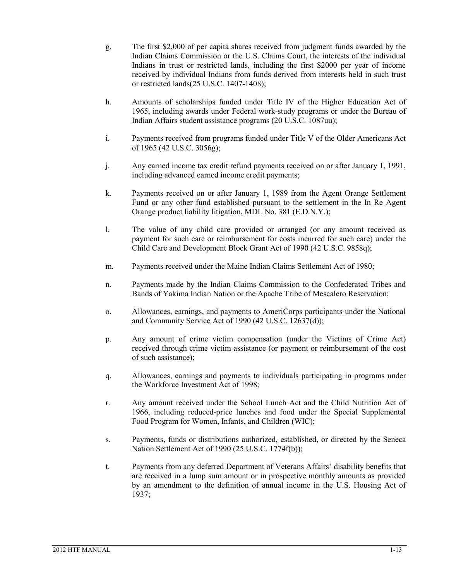- g. The first \$2,000 of per capita shares received from judgment funds awarded by the Indian Claims Commission or the U.S. Claims Court, the interests of the individual Indians in trust or restricted lands, including the first \$2000 per year of income received by individual Indians from funds derived from interests held in such trust or restricted lands(25 U.S.C. 1407-1408);
- h. Amounts of scholarships funded under Title IV of the Higher Education Act of 1965, including awards under Federal work-study programs or under the Bureau of Indian Affairs student assistance programs (20 U.S.C. 1087uu);
- i. Payments received from programs funded under Title V of the Older Americans Act of 1965 (42 U.S.C. 3056g);
- j. Any earned income tax credit refund payments received on or after January 1, 1991, including advanced earned income credit payments;
- k. Payments received on or after January 1, 1989 from the Agent Orange Settlement Fund or any other fund established pursuant to the settlement in the In Re Agent Orange product liability litigation, MDL No. 381 (E.D.N.Y.);
- l. The value of any child care provided or arranged (or any amount received as payment for such care or reimbursement for costs incurred for such care) under the Child Care and Development Block Grant Act of 1990 (42 U.S.C. 9858q);
- m. Payments received under the Maine Indian Claims Settlement Act of 1980;
- n. Payments made by the Indian Claims Commission to the Confederated Tribes and Bands of Yakima Indian Nation or the Apache Tribe of Mescalero Reservation;
- o. Allowances, earnings, and payments to AmeriCorps participants under the National and Community Service Act of 1990 (42 U.S.C. 12637(d));
- p. Any amount of crime victim compensation (under the Victims of Crime Act) received through crime victim assistance (or payment or reimbursement of the cost of such assistance);
- q. Allowances, earnings and payments to individuals participating in programs under the Workforce Investment Act of 1998;
- r. Any amount received under the School Lunch Act and the Child Nutrition Act of 1966, including reduced-price lunches and food under the Special Supplemental Food Program for Women, Infants, and Children (WIC);
- s. Payments, funds or distributions authorized, established, or directed by the Seneca Nation Settlement Act of 1990 (25 U.S.C. 1774f(b));
- t. Payments from any deferred Department of Veterans Affairs' disability benefits that are received in a lump sum amount or in prospective monthly amounts as provided by an amendment to the definition of annual income in the U.S. Housing Act of 1937;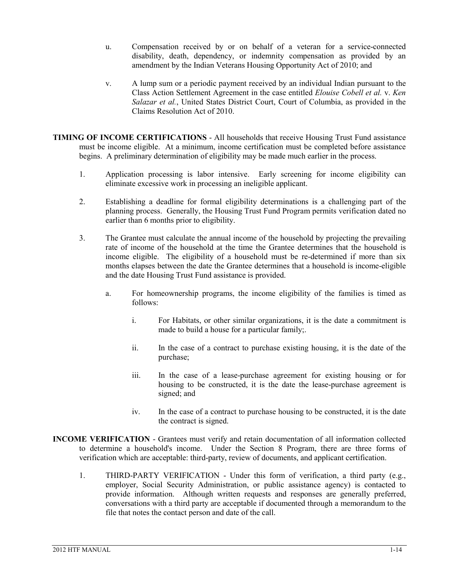- u. Compensation received by or on behalf of a veteran for a service-connected disability, death, dependency, or indemnity compensation as provided by an amendment by the Indian Veterans Housing Opportunity Act of 2010; and
- v. A lump sum or a periodic payment received by an individual Indian pursuant to the Class Action Settlement Agreement in the case entitled *Elouise Cobell et al.* v. *Ken Salazar et al.*, United States District Court, Court of Columbia, as provided in the Claims Resolution Act of 2010.
- **TIMING OF INCOME CERTIFICATIONS** All households that receive Housing Trust Fund assistance must be income eligible. At a minimum, income certification must be completed before assistance begins. A preliminary determination of eligibility may be made much earlier in the process.
	- 1. Application processing is labor intensive. Early screening for income eligibility can eliminate excessive work in processing an ineligible applicant.
	- 2. Establishing a deadline for formal eligibility determinations is a challenging part of the planning process. Generally, the Housing Trust Fund Program permits verification dated no earlier than 6 months prior to eligibility.
	- 3. The Grantee must calculate the annual income of the household by projecting the prevailing rate of income of the household at the time the Grantee determines that the household is income eligible. The eligibility of a household must be re-determined if more than six months elapses between the date the Grantee determines that a household is income-eligible and the date Housing Trust Fund assistance is provided.
		- a. For homeownership programs, the income eligibility of the families is timed as follows:
			- i. For Habitats, or other similar organizations, it is the date a commitment is made to build a house for a particular family;.
			- ii. In the case of a contract to purchase existing housing, it is the date of the purchase;
			- iii. In the case of a lease-purchase agreement for existing housing or for housing to be constructed, it is the date the lease-purchase agreement is signed; and
			- iv. In the case of a contract to purchase housing to be constructed, it is the date the contract is signed.
- **INCOME VERIFICATION** Grantees must verify and retain documentation of all information collected to determine a household's income. Under the Section 8 Program, there are three forms of verification which are acceptable: third-party, review of documents, and applicant certification.
	- 1. THIRD-PARTY VERIFICATION Under this form of verification, a third party (e.g., employer, Social Security Administration, or public assistance agency) is contacted to provide information. Although written requests and responses are generally preferred, conversations with a third party are acceptable if documented through a memorandum to the file that notes the contact person and date of the call.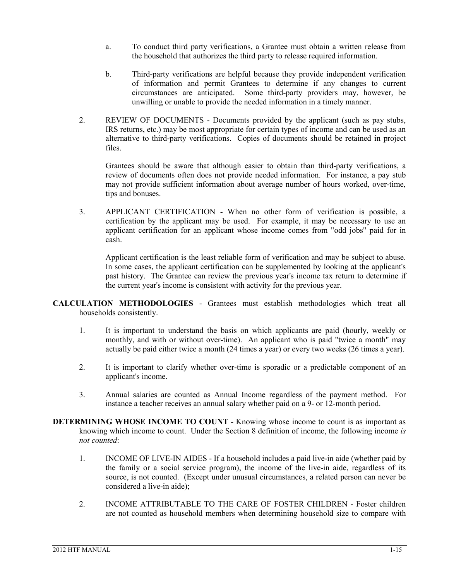- a. To conduct third party verifications, a Grantee must obtain a written release from the household that authorizes the third party to release required information.
- b. Third-party verifications are helpful because they provide independent verification of information and permit Grantees to determine if any changes to current circumstances are anticipated. Some third-party providers may, however, be unwilling or unable to provide the needed information in a timely manner.
- 2. REVIEW OF DOCUMENTS Documents provided by the applicant (such as pay stubs, IRS returns, etc.) may be most appropriate for certain types of income and can be used as an alternative to third-party verifications. Copies of documents should be retained in project files.

Grantees should be aware that although easier to obtain than third-party verifications, a review of documents often does not provide needed information. For instance, a pay stub may not provide sufficient information about average number of hours worked, over-time, tips and bonuses.

3. APPLICANT CERTIFICATION - When no other form of verification is possible, a certification by the applicant may be used. For example, it may be necessary to use an applicant certification for an applicant whose income comes from "odd jobs" paid for in cash.

Applicant certification is the least reliable form of verification and may be subject to abuse. In some cases, the applicant certification can be supplemented by looking at the applicant's past history. The Grantee can review the previous year's income tax return to determine if the current year's income is consistent with activity for the previous year.

- **CALCULATION METHODOLOGIES** Grantees must establish methodologies which treat all households consistently.
	- 1. It is important to understand the basis on which applicants are paid (hourly, weekly or monthly, and with or without over-time). An applicant who is paid "twice a month" may actually be paid either twice a month (24 times a year) or every two weeks (26 times a year).
	- 2. It is important to clarify whether over-time is sporadic or a predictable component of an applicant's income.
	- 3. Annual salaries are counted as Annual Income regardless of the payment method. For instance a teacher receives an annual salary whether paid on a 9- or 12-month period.
- **DETERMINING WHOSE INCOME TO COUNT** Knowing whose income to count is as important as knowing which income to count. Under the Section 8 definition of income, the following income *is not counted*:
	- 1. INCOME OF LIVE-IN AIDES If a household includes a paid live-in aide (whether paid by the family or a social service program), the income of the live-in aide, regardless of its source, is not counted. (Except under unusual circumstances, a related person can never be considered a live-in aide);
	- 2. INCOME ATTRIBUTABLE TO THE CARE OF FOSTER CHILDREN Foster children are not counted as household members when determining household size to compare with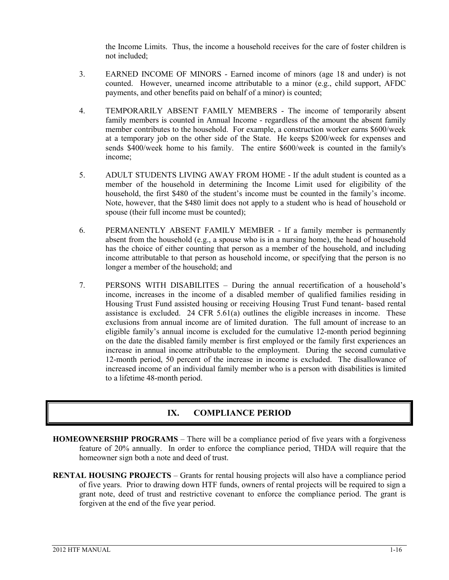the Income Limits. Thus, the income a household receives for the care of foster children is not included;

- 3. EARNED INCOME OF MINORS Earned income of minors (age 18 and under) is not counted. However, unearned income attributable to a minor (e.g., child support, AFDC payments, and other benefits paid on behalf of a minor) is counted;
- 4. TEMPORARILY ABSENT FAMILY MEMBERS The income of temporarily absent family members is counted in Annual Income - regardless of the amount the absent family member contributes to the household. For example, a construction worker earns \$600/week at a temporary job on the other side of the State. He keeps \$200/week for expenses and sends \$400/week home to his family. The entire \$600/week is counted in the family's income;
- 5. ADULT STUDENTS LIVING AWAY FROM HOME If the adult student is counted as a member of the household in determining the Income Limit used for eligibility of the household, the first \$480 of the student's income must be counted in the family's income. Note, however, that the \$480 limit does not apply to a student who is head of household or spouse (their full income must be counted);
- 6. PERMANENTLY ABSENT FAMILY MEMBER If a family member is permanently absent from the household (e.g., a spouse who is in a nursing home), the head of household has the choice of either counting that person as a member of the household, and including income attributable to that person as household income, or specifying that the person is no longer a member of the household; and
- 7. PERSONS WITH DISABILITES During the annual recertification of a household's income, increases in the income of a disabled member of qualified families residing in Housing Trust Fund assisted housing or receiving Housing Trust Fund tenant- based rental assistance is excluded. 24 CFR 5.61(a) outlines the eligible increases in income. These exclusions from annual income are of limited duration. The full amount of increase to an eligible family's annual income is excluded for the cumulative 12-month period beginning on the date the disabled family member is first employed or the family first experiences an increase in annual income attributable to the employment. During the second cumulative 12-month period, 50 percent of the increase in income is excluded. The disallowance of increased income of an individual family member who is a person with disabilities is limited to a lifetime 48-month period.

# **IX. COMPLIANCE PERIOD**

- HOMEOWNERSHIP PROGRAMS There will be a compliance period of five years with a forgiveness feature of 20% annually. In order to enforce the compliance period, THDA will require that the homeowner sign both a note and deed of trust.
- **RENTAL HOUSING PROJECTS** Grants for rental housing projects will also have a compliance period of five years. Prior to drawing down HTF funds, owners of rental projects will be required to sign a grant note, deed of trust and restrictive covenant to enforce the compliance period. The grant is forgiven at the end of the five year period.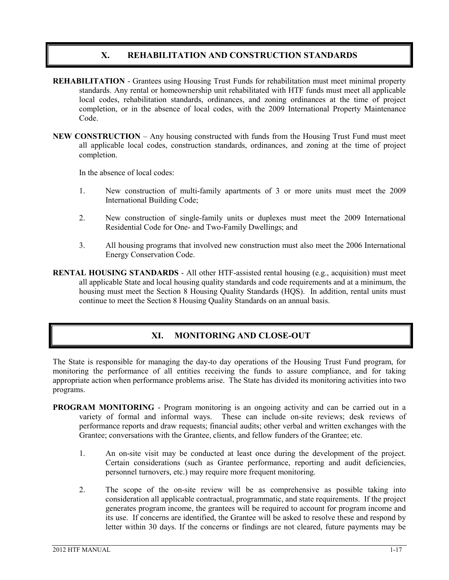# **X. REHABILITATION AND CONSTRUCTION STANDARDS**

- **REHABILITATION** Grantees using Housing Trust Funds for rehabilitation must meet minimal property standards. Any rental or homeownership unit rehabilitated with HTF funds must meet all applicable local codes, rehabilitation standards, ordinances, and zoning ordinances at the time of project completion, or in the absence of local codes, with the 2009 International Property Maintenance Code.
- **NEW CONSTRUCTION** Any housing constructed with funds from the Housing Trust Fund must meet all applicable local codes, construction standards, ordinances, and zoning at the time of project completion.

In the absence of local codes:

- 1. New construction of multi-family apartments of 3 or more units must meet the 2009 International Building Code;
- 2. New construction of single-family units or duplexes must meet the 2009 International Residential Code for One- and Two-Family Dwellings; and
- 3. All housing programs that involved new construction must also meet the 2006 International Energy Conservation Code.
- **RENTAL HOUSING STANDARDS**  All other HTF-assisted rental housing (e.g., acquisition) must meet all applicable State and local housing quality standards and code requirements and at a minimum, the housing must meet the Section 8 Housing Quality Standards (HQS). In addition, rental units must continue to meet the Section 8 Housing Quality Standards on an annual basis.

# **XI. MONITORING AND CLOSE-OUT**

The State is responsible for managing the day-to day operations of the Housing Trust Fund program, for monitoring the performance of all entities receiving the funds to assure compliance, and for taking appropriate action when performance problems arise. The State has divided its monitoring activities into two programs.

- **PROGRAM MONITORING** Program monitoring is an ongoing activity and can be carried out in a variety of formal and informal ways. These can include on-site reviews; desk reviews of performance reports and draw requests; financial audits; other verbal and written exchanges with the Grantee; conversations with the Grantee, clients, and fellow funders of the Grantee; etc.
	- 1. An on-site visit may be conducted at least once during the development of the project. Certain considerations (such as Grantee performance, reporting and audit deficiencies, personnel turnovers, etc.) may require more frequent monitoring.
	- 2. The scope of the on-site review will be as comprehensive as possible taking into consideration all applicable contractual, programmatic, and state requirements. If the project generates program income, the grantees will be required to account for program income and its use. If concerns are identified, the Grantee will be asked to resolve these and respond by letter within 30 days. If the concerns or findings are not cleared, future payments may be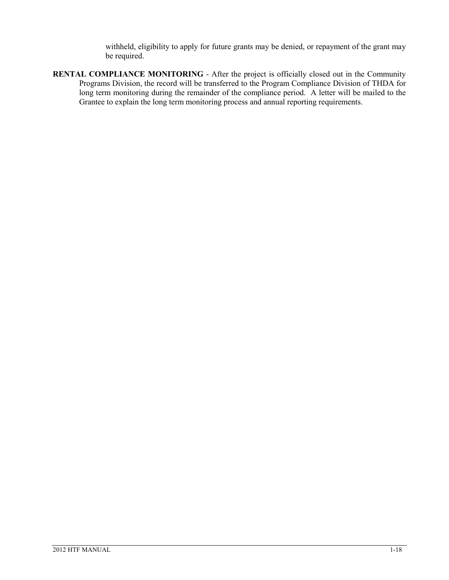withheld, eligibility to apply for future grants may be denied, or repayment of the grant may be required.

**RENTAL COMPLIANCE MONITORING** - After the project is officially closed out in the Community Programs Division, the record will be transferred to the Program Compliance Division of THDA for long term monitoring during the remainder of the compliance period. A letter will be mailed to the Grantee to explain the long term monitoring process and annual reporting requirements.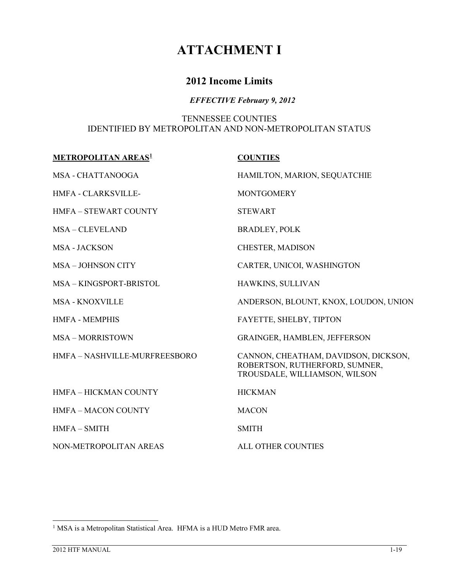# **ATTACHMENT I**

# **2012 Income Limits**

# *EFFECTIVE February 9, 2012*

# TENNESSEE COUNTIES IDENTIFIED BY METROPOLITAN AND NON-METROPOLITAN STATUS

| <b>METROPOLITAN AREAS1</b>    | <b>COUNTIES</b>                                                                                         |  |  |
|-------------------------------|---------------------------------------------------------------------------------------------------------|--|--|
| MSA - CHATTANOOGA             | HAMILTON, MARION, SEQUATCHIE                                                                            |  |  |
| <b>HMFA - CLARKSVILLE-</b>    | <b>MONTGOMERY</b>                                                                                       |  |  |
| <b>HMFA - STEWART COUNTY</b>  | <b>STEWART</b>                                                                                          |  |  |
| <b>MSA-CLEVELAND</b>          | <b>BRADLEY, POLK</b>                                                                                    |  |  |
| <b>MSA - JACKSON</b>          | CHESTER, MADISON                                                                                        |  |  |
| <b>MSA-JOHNSON CITY</b>       | CARTER, UNICOI, WASHINGTON                                                                              |  |  |
| MSA-KINGSPORT-BRISTOL         | HAWKINS, SULLIVAN                                                                                       |  |  |
| <b>MSA - KNOXVILLE</b>        | ANDERSON, BLOUNT, KNOX, LOUDON, UNION                                                                   |  |  |
| <b>HMFA - MEMPHIS</b>         | FAYETTE, SHELBY, TIPTON                                                                                 |  |  |
| <b>MSA-MORRISTOWN</b>         | <b>GRAINGER, HAMBLEN, JEFFERSON</b>                                                                     |  |  |
| HMFA - NASHVILLE-MURFREESBORO | CANNON, CHEATHAM, DAVIDSON, DICKSON,<br>ROBERTSON, RUTHERFORD, SUMNER,<br>TROUSDALE, WILLIAMSON, WILSON |  |  |
| <b>HMFA - HICKMAN COUNTY</b>  | <b>HICKMAN</b>                                                                                          |  |  |
| <b>HMFA - MACON COUNTY</b>    | <b>MACON</b>                                                                                            |  |  |
| $HMFA-SMITH$                  | <b>SMITH</b>                                                                                            |  |  |
| NON-METROPOLITAN AREAS        | ALL OTHER COUNTIES                                                                                      |  |  |

<span id="page-20-0"></span><sup>&</sup>lt;sup>1</sup> MSA is a Metropolitan Statistical Area. HFMA is a HUD Metro FMR area.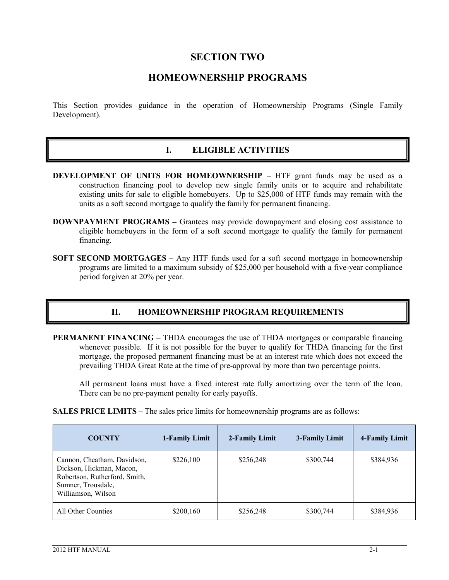# **SECTION TWO**

# **HOMEOWNERSHIP PROGRAMS**

This Section provides guidance in the operation of Homeownership Programs (Single Family Development).

#### **I. ELIGIBLE ACTIVITIES**

- **DEVELOPMENT OF UNITS FOR HOMEOWNERSHIP** HTF grant funds may be used as a construction financing pool to develop new single family units or to acquire and rehabilitate existing units for sale to eligible homebuyers. Up to \$25,000 of HTF funds may remain with the units as a soft second mortgage to qualify the family for permanent financing.
- **DOWNPAYMENT PROGRAMS** Grantees may provide downpayment and closing cost assistance to eligible homebuyers in the form of a soft second mortgage to qualify the family for permanent financing.
- **SOFT SECOND MORTGAGES** Any HTF funds used for a soft second mortgage in homeownership programs are limited to a maximum subsidy of \$25,000 per household with a five-year compliance period forgiven at 20% per year.

#### **II. HOMEOWNERSHIP PROGRAM REQUIREMENTS**

**PERMANENT FINANCING** – THDA encourages the use of THDA mortgages or comparable financing whenever possible. If it is not possible for the buyer to qualify for THDA financing for the first mortgage, the proposed permanent financing must be at an interest rate which does not exceed the prevailing THDA Great Rate at the time of pre-approval by more than two percentage points.

All permanent loans must have a fixed interest rate fully amortizing over the term of the loan. There can be no pre-payment penalty for early payoffs.

**SALES PRICE LIMITS** – The sales price limits for homeownership programs are as follows:

| <b>COUNTY</b>                                                                                                                        | 1-Family Limit | 2-Family Limit | 3-Family Limit | 4-Family Limit |
|--------------------------------------------------------------------------------------------------------------------------------------|----------------|----------------|----------------|----------------|
| Cannon, Cheatham, Davidson,<br>Dickson, Hickman, Macon,<br>Robertson, Rutherford, Smith,<br>Sumner, Trousdale,<br>Williamson, Wilson | \$226,100      | \$256,248      | \$300,744      | \$384,936      |
| All Other Counties                                                                                                                   | \$200,160      | \$256,248      | \$300,744      | \$384,936      |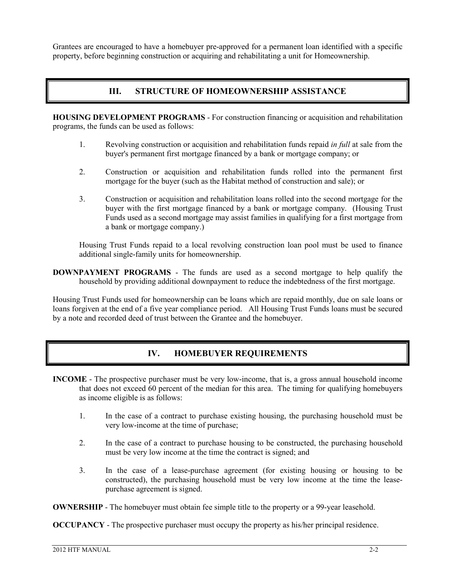Grantees are encouraged to have a homebuyer pre-approved for a permanent loan identified with a specific property, before beginning construction or acquiring and rehabilitating a unit for Homeownership.

# **III. STRUCTURE OF HOMEOWNERSHIP ASSISTANCE**

**HOUSING DEVELOPMENT PROGRAMS** - For construction financing or acquisition and rehabilitation programs, the funds can be used as follows:

- 1. Revolving construction or acquisition and rehabilitation funds repaid *in full* at sale from the buyer's permanent first mortgage financed by a bank or mortgage company; or
- 2. Construction or acquisition and rehabilitation funds rolled into the permanent first mortgage for the buyer (such as the Habitat method of construction and sale); or
- 3. Construction or acquisition and rehabilitation loans rolled into the second mortgage for the buyer with the first mortgage financed by a bank or mortgage company. (Housing Trust Funds used as a second mortgage may assist families in qualifying for a first mortgage from a bank or mortgage company.)

Housing Trust Funds repaid to a local revolving construction loan pool must be used to finance additional single-family units for homeownership.

**DOWNPAYMENT PROGRAMS** - The funds are used as a second mortgage to help qualify the household by providing additional downpayment to reduce the indebtedness of the first mortgage.

Housing Trust Funds used for homeownership can be loans which are repaid monthly, due on sale loans or loans forgiven at the end of a five year compliance period. All Housing Trust Funds loans must be secured by a note and recorded deed of trust between the Grantee and the homebuyer.

# **IV. HOMEBUYER REQUIREMENTS**

- **INCOME** The prospective purchaser must be very low-income, that is, a gross annual household income that does not exceed 60 percent of the median for this area. The timing for qualifying homebuyers as income eligible is as follows:
	- 1. In the case of a contract to purchase existing housing, the purchasing household must be very low-income at the time of purchase;
	- 2. In the case of a contract to purchase housing to be constructed, the purchasing household must be very low income at the time the contract is signed; and
	- 3. In the case of a lease-purchase agreement (for existing housing or housing to be constructed), the purchasing household must be very low income at the time the leasepurchase agreement is signed.

**OWNERSHIP** - The homebuyer must obtain fee simple title to the property or a 99-year leasehold.

**OCCUPANCY** - The prospective purchaser must occupy the property as his/her principal residence.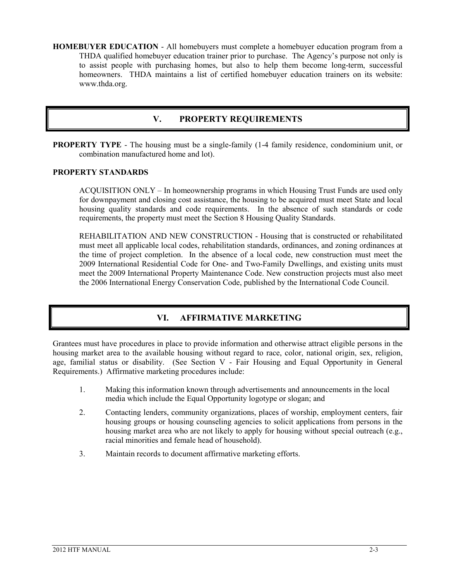**HOMEBUYER EDUCATION** - All homebuyers must complete a homebuyer education program from a THDA qualified homebuyer education trainer prior to purchase. The Agency's purpose not only is to assist people with purchasing homes, but also to help them become long-term, successful homeowners. THDA maintains a list of certified homebuyer education trainers on its website: www.thda.org.

# **V. PROPERTY REQUIREMENTS**

**PROPERTY TYPE** - The housing must be a single-family (1-4 family residence, condominium unit, or combination manufactured home and lot).

#### **PROPERTY STANDARDS**

ACQUISITION ONLY – In homeownership programs in which Housing Trust Funds are used only for downpayment and closing cost assistance, the housing to be acquired must meet State and local housing quality standards and code requirements. In the absence of such standards or code requirements, the property must meet the Section 8 Housing Quality Standards.

REHABILITATION AND NEW CONSTRUCTION - Housing that is constructed or rehabilitated must meet all applicable local codes, rehabilitation standards, ordinances, and zoning ordinances at the time of project completion. In the absence of a local code, new construction must meet the 2009 International Residential Code for One- and Two-Family Dwellings, and existing units must meet the 2009 International Property Maintenance Code. New construction projects must also meet the 2006 International Energy Conservation Code, published by the International Code Council.

#### **VI. AFFIRMATIVE MARKETING**

Grantees must have procedures in place to provide information and otherwise attract eligible persons in the housing market area to the available housing without regard to race, color, national origin, sex, religion, age, familial status or disability. (See Section V - Fair Housing and Equal Opportunity in General Requirements.) Affirmative marketing procedures include:

- 1. Making this information known through advertisements and announcements in the local media which include the Equal Opportunity logotype or slogan; and
- 2. Contacting lenders, community organizations, places of worship, employment centers, fair housing groups or housing counseling agencies to solicit applications from persons in the housing market area who are not likely to apply for housing without special outreach (e.g., racial minorities and female head of household).
- 3. Maintain records to document affirmative marketing efforts.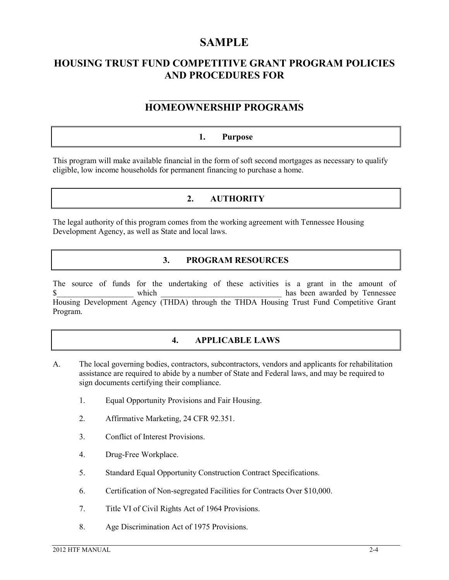# **SAMPLE**

# **HOUSING TRUST FUND COMPETITIVE GRANT PROGRAM POLICIES AND PROCEDURES FOR**

#### **\_\_\_\_\_\_\_\_\_\_\_\_\_\_\_\_\_\_\_\_\_\_\_\_\_\_\_\_\_\_\_\_\_\_\_\_\_\_\_\_\_ HOMEOWNERSHIP PROGRAMS**

# **1. Purpose**

This program will make available financial in the form of soft second mortgages as necessary to qualify eligible, low income households for permanent financing to purchase a home.

# **2. AUTHORITY**

The legal authority of this program comes from the working agreement with Tennessee Housing Development Agency, as well as State and local laws.

#### **3. PROGRAM RESOURCES**

The source of funds for the undertaking of these activities is a grant in the amount of which which  $\frac{1}{2}$  has been awarded by Tennessee Housing Development Agency (THDA) through the THDA Housing Trust Fund Competitive Grant Program.

# **4. APPLICABLE LAWS**

- A. The local governing bodies, contractors, subcontractors, vendors and applicants for rehabilitation assistance are required to abide by a number of State and Federal laws, and may be required to sign documents certifying their compliance.
	- 1. Equal Opportunity Provisions and Fair Housing.
	- 2. Affirmative Marketing, 24 CFR 92.351.
	- 3. Conflict of Interest Provisions.
	- 4. Drug-Free Workplace.
	- 5. Standard Equal Opportunity Construction Contract Specifications.
	- 6. Certification of Non-segregated Facilities for Contracts Over \$10,000.
	- 7. Title VI of Civil Rights Act of 1964 Provisions.
	- 8. Age Discrimination Act of 1975 Provisions.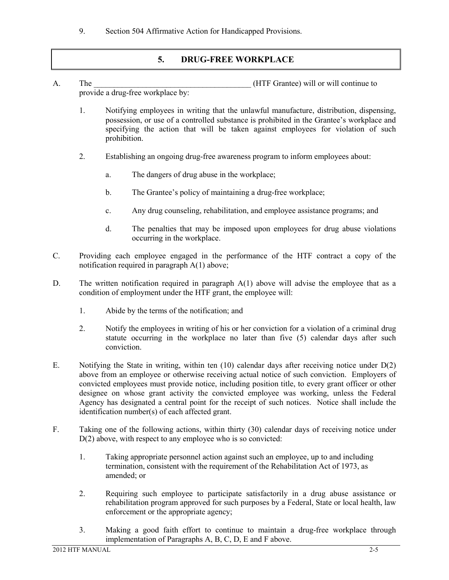9. Section 504 Affirmative Action for Handicapped Provisions.

# **5. DRUG-FREE WORKPLACE**

- A. The the contract term is the contract of the HTF Grantee) will or will continue to provide a drug-free workplace by:
	- 1. Notifying employees in writing that the unlawful manufacture, distribution, dispensing, possession, or use of a controlled substance is prohibited in the Grantee's workplace and specifying the action that will be taken against employees for violation of such prohibition.
	- 2. Establishing an ongoing drug-free awareness program to inform employees about:
		- a. The dangers of drug abuse in the workplace;
		- b. The Grantee's policy of maintaining a drug-free workplace;
		- c. Any drug counseling, rehabilitation, and employee assistance programs; and
		- d. The penalties that may be imposed upon employees for drug abuse violations occurring in the workplace.
- C. Providing each employee engaged in the performance of the HTF contract a copy of the notification required in paragraph A(1) above;
- D. The written notification required in paragraph A(1) above will advise the employee that as a condition of employment under the HTF grant, the employee will:
	- 1. Abide by the terms of the notification; and
	- 2. Notify the employees in writing of his or her conviction for a violation of a criminal drug statute occurring in the workplace no later than five (5) calendar days after such conviction.
- E. Notifying the State in writing, within ten  $(10)$  calendar days after receiving notice under  $D(2)$ above from an employee or otherwise receiving actual notice of such conviction. Employers of convicted employees must provide notice, including position title, to every grant officer or other designee on whose grant activity the convicted employee was working, unless the Federal Agency has designated a central point for the receipt of such notices. Notice shall include the identification number(s) of each affected grant.
- F. Taking one of the following actions, within thirty (30) calendar days of receiving notice under D(2) above, with respect to any employee who is so convicted:
	- 1. Taking appropriate personnel action against such an employee, up to and including termination, consistent with the requirement of the Rehabilitation Act of 1973, as amended; or
	- 2. Requiring such employee to participate satisfactorily in a drug abuse assistance or rehabilitation program approved for such purposes by a Federal, State or local health, law enforcement or the appropriate agency;
	- 3. Making a good faith effort to continue to maintain a drug-free workplace through implementation of Paragraphs A, B, C, D, E and F above.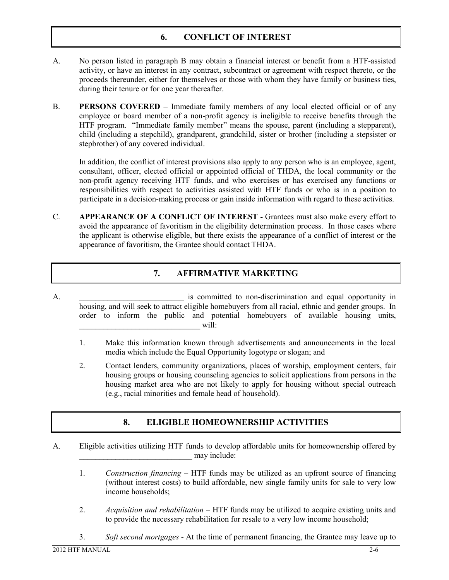# **6. CONFLICT OF INTEREST**

- A. No person listed in paragraph B may obtain a financial interest or benefit from a HTF-assisted activity, or have an interest in any contract, subcontract or agreement with respect thereto, or the proceeds thereunder, either for themselves or those with whom they have family or business ties, during their tenure or for one year thereafter.
- B. **PERSONS COVERED** Immediate family members of any local elected official or of any employee or board member of a non-profit agency is ineligible to receive benefits through the HTF program. "Immediate family member" means the spouse, parent (including a stepparent), child (including a stepchild), grandparent, grandchild, sister or brother (including a stepsister or stepbrother) of any covered individual.

In addition, the conflict of interest provisions also apply to any person who is an employee, agent, consultant, officer, elected official or appointed official of THDA, the local community or the non-profit agency receiving HTF funds, and who exercises or has exercised any functions or responsibilities with respect to activities assisted with HTF funds or who is in a position to participate in a decision-making process or gain inside information with regard to these activities.

C. **APPEARANCE OF A CONFLICT OF INTEREST** - Grantees must also make every effort to avoid the appearance of favoritism in the eligibility determination process. In those cases where the applicant is otherwise eligible, but there exists the appearance of a conflict of interest or the appearance of favoritism, the Grantee should contact THDA.

# **7. AFFIRMATIVE MARKETING**

- A.  $\blacksquare$  is committed to non-discrimination and equal opportunity in housing, and will seek to attract eligible homebuyers from all racial, ethnic and gender groups. In order to inform the public and potential homebuyers of available housing units,  $\text{will:}$ 
	- 1. Make this information known through advertisements and announcements in the local media which include the Equal Opportunity logotype or slogan; and
	- 2. Contact lenders, community organizations, places of worship, employment centers, fair housing groups or housing counseling agencies to solicit applications from persons in the housing market area who are not likely to apply for housing without special outreach (e.g., racial minorities and female head of household).

#### **8. ELIGIBLE HOMEOWNERSHIP ACTIVITIES**

- A. Eligible activities utilizing HTF funds to develop affordable units for homeownership offered by may include:
	- 1. *Construction financing* HTF funds may be utilized as an upfront source of financing (without interest costs) to build affordable, new single family units for sale to very low income households;
	- 2. *Acquisition and rehabilitation*  HTF funds may be utilized to acquire existing units and to provide the necessary rehabilitation for resale to a very low income household;
	- 3. *Soft second mortgages* At the time of permanent financing, the Grantee may leave up to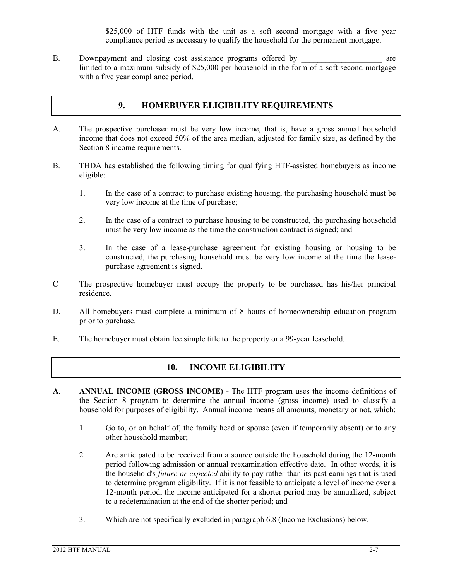\$25,000 of HTF funds with the unit as a soft second mortgage with a five year compliance period as necessary to qualify the household for the permanent mortgage.

B. Downpayment and closing cost assistance programs offered by are limited to a maximum subsidy of \$25,000 per household in the form of a soft second mortgage with a five year compliance period.

# **9. HOMEBUYER ELIGIBILITY REQUIREMENTS**

- A. The prospective purchaser must be very low income, that is, have a gross annual household income that does not exceed 50% of the area median, adjusted for family size, as defined by the Section 8 income requirements.
- B. THDA has established the following timing for qualifying HTF-assisted homebuyers as income eligible:
	- 1. In the case of a contract to purchase existing housing, the purchasing household must be very low income at the time of purchase;
	- 2. In the case of a contract to purchase housing to be constructed, the purchasing household must be very low income as the time the construction contract is signed; and
	- 3. In the case of a lease-purchase agreement for existing housing or housing to be constructed, the purchasing household must be very low income at the time the leasepurchase agreement is signed.
- C The prospective homebuyer must occupy the property to be purchased has his/her principal residence.
- D. All homebuyers must complete a minimum of 8 hours of homeownership education program prior to purchase.
- E. The homebuyer must obtain fee simple title to the property or a 99-year leasehold.

#### **10. INCOME ELIGIBILITY**

- **A**. **ANNUAL INCOME (GROSS INCOME)** The HTF program uses the income definitions of the Section 8 program to determine the annual income (gross income) used to classify a household for purposes of eligibility. Annual income means all amounts, monetary or not, which:
	- 1. Go to, or on behalf of, the family head or spouse (even if temporarily absent) or to any other household member;
	- 2. Are anticipated to be received from a source outside the household during the 12-month period following admission or annual reexamination effective date. In other words, it is the household's *future or expected* ability to pay rather than its past earnings that is used to determine program eligibility. If it is not feasible to anticipate a level of income over a 12-month period, the income anticipated for a shorter period may be annualized, subject to a redetermination at the end of the shorter period; and
	- 3. Which are not specifically excluded in paragraph 6.8 (Income Exclusions) below.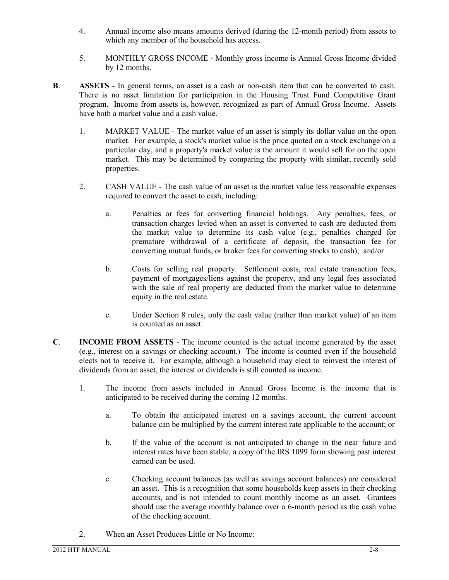- 4. Annual income also means amounts derived (during the 12-month period) from assets to which any member of the household has access.
- 5. MONTHLY GROSS INCOME Monthly gross income is Annual Gross Income divided by 12 months.
- **B**. **ASSETS** In general terms, an asset is a cash or non-cash item that can be converted to cash. There is no asset limitation for participation in the Housing Trust Fund Competitive Grant program. Income from assets is, however, recognized as part of Annual Gross Income. Assets have both a market value and a cash value.
	- 1. MARKET VALUE The market value of an asset is simply its dollar value on the open market. For example, a stock's market value is the price quoted on a stock exchange on a particular day, and a property's market value is the amount it would sell for on the open market. This may be determined by comparing the property with similar, recently sold properties.
	- 2. CASH VALUE The cash value of an asset is the market value less reasonable expenses required to convert the asset to cash, including:
		- a. Penalties or fees for converting financial holdings. Any penalties, fees, or transaction charges levied when an asset is converted to cash are deducted from the market value to determine its cash value (e.g., penalties charged for premature withdrawal of a certificate of deposit, the transaction fee for converting mutual funds, or broker fees for converting stocks to cash); and/or
		- b. Costs for selling real property. Settlement costs, real estate transaction fees, payment of mortgages/liens against the property, and any legal fees associated with the sale of real property are deducted from the market value to determine equity in the real estate.
		- c. Under Section 8 rules, only the cash value (rather than market value) of an item is counted as an asset.
- **C**. **INCOME FROM ASSETS** The income counted is the actual income generated by the asset (e.g., interest on a savings or checking account.) The income is counted even if the household elects not to receive it. For example, although a household may elect to reinvest the interest of dividends from an asset, the interest or dividends is still counted as income.
	- 1. The income from assets included in Annual Gross Income is the income that is anticipated to be received during the coming 12 months.
		- a. To obtain the anticipated interest on a savings account, the current account balance can be multiplied by the current interest rate applicable to the account; or
		- b. If the value of the account is not anticipated to change in the near future and interest rates have been stable, a copy of the IRS 1099 form showing past interest earned can be used.
		- c. Checking account balances (as well as savings account balances) are considered an asset. This is a recognition that some households keep assets in their checking accounts, and is not intended to count monthly income as an asset. Grantees should use the average monthly balance over a 6-month period as the cash value of the checking account.
	- 2. When an Asset Produces Little or No Income: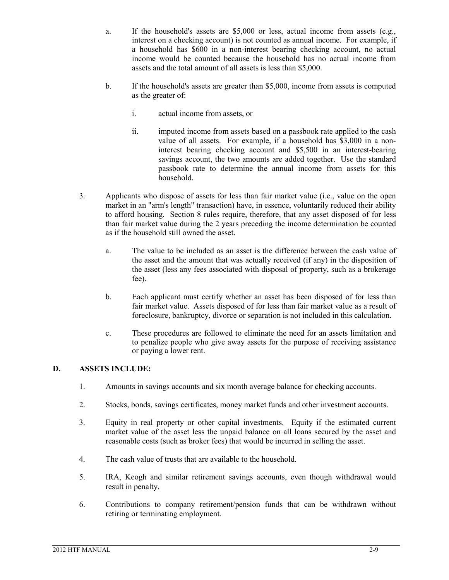- a. If the household's assets are \$5,000 or less, actual income from assets (e.g., interest on a checking account) is not counted as annual income. For example, if a household has \$600 in a non-interest bearing checking account, no actual income would be counted because the household has no actual income from assets and the total amount of all assets is less than \$5,000.
- b. If the household's assets are greater than \$5,000, income from assets is computed as the greater of:
	- i. actual income from assets, or
	- ii. in imputed income from assets based on a passbook rate applied to the cash value of all assets. For example, if a household has \$3,000 in a noninterest bearing checking account and \$5,500 in an interest-bearing savings account, the two amounts are added together. Use the standard passbook rate to determine the annual income from assets for this household.
- 3. Applicants who dispose of assets for less than fair market value (i.e., value on the open market in an "arm's length" transaction) have, in essence, voluntarily reduced their ability to afford housing. Section 8 rules require, therefore, that any asset disposed of for less than fair market value during the 2 years preceding the income determination be counted as if the household still owned the asset.
	- a. The value to be included as an asset is the difference between the cash value of the asset and the amount that was actually received (if any) in the disposition of the asset (less any fees associated with disposal of property, such as a brokerage fee).
	- b. Each applicant must certify whether an asset has been disposed of for less than fair market value. Assets disposed of for less than fair market value as a result of foreclosure, bankruptcy, divorce or separation is not included in this calculation.
	- c. These procedures are followed to eliminate the need for an assets limitation and to penalize people who give away assets for the purpose of receiving assistance or paying a lower rent.

#### **D. ASSETS INCLUDE:**

- 1. Amounts in savings accounts and six month average balance for checking accounts.
- 2. Stocks, bonds, savings certificates, money market funds and other investment accounts.
- 3. Equity in real property or other capital investments. Equity if the estimated current market value of the asset less the unpaid balance on all loans secured by the asset and reasonable costs (such as broker fees) that would be incurred in selling the asset.
- 4. The cash value of trusts that are available to the household.
- 5. IRA, Keogh and similar retirement savings accounts, even though withdrawal would result in penalty.
- 6. Contributions to company retirement/pension funds that can be withdrawn without retiring or terminating employment.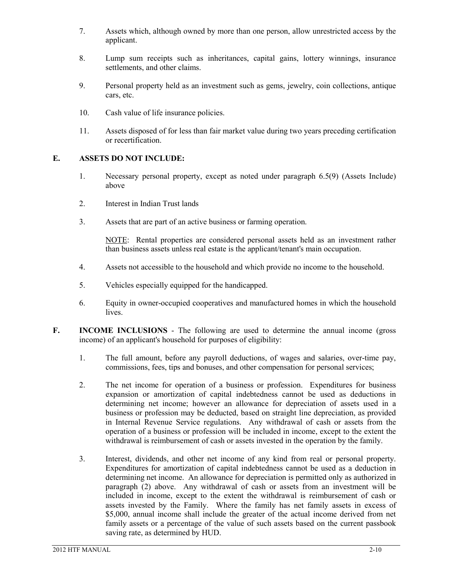- 7. Assets which, although owned by more than one person, allow unrestricted access by the applicant.
- 8. Lump sum receipts such as inheritances, capital gains, lottery winnings, insurance settlements, and other claims.
- 9. Personal property held as an investment such as gems, jewelry, coin collections, antique cars, etc.
- 10. Cash value of life insurance policies.
- 11. Assets disposed of for less than fair market value during two years preceding certification or recertification.

#### **E. ASSETS DO NOT INCLUDE:**

- 1. Necessary personal property, except as noted under paragraph 6.5(9) (Assets Include) above
- 2. Interest in Indian Trust lands
- 3. Assets that are part of an active business or farming operation.

NOTE: Rental properties are considered personal assets held as an investment rather than business assets unless real estate is the applicant/tenant's main occupation.

- 4. Assets not accessible to the household and which provide no income to the household.
- 5. Vehicles especially equipped for the handicapped.
- 6. Equity in owner-occupied cooperatives and manufactured homes in which the household lives.
- **F. INCOME INCLUSIONS** The following are used to determine the annual income (gross income) of an applicant's household for purposes of eligibility:
	- 1. The full amount, before any payroll deductions, of wages and salaries, over-time pay, commissions, fees, tips and bonuses, and other compensation for personal services;
	- 2. The net income for operation of a business or profession. Expenditures for business expansion or amortization of capital indebtedness cannot be used as deductions in determining net income; however an allowance for depreciation of assets used in a business or profession may be deducted, based on straight line depreciation, as provided in Internal Revenue Service regulations. Any withdrawal of cash or assets from the operation of a business or profession will be included in income, except to the extent the withdrawal is reimbursement of cash or assets invested in the operation by the family.
	- 3. Interest, dividends, and other net income of any kind from real or personal property. Expenditures for amortization of capital indebtedness cannot be used as a deduction in determining net income. An allowance for depreciation is permitted only as authorized in paragraph (2) above. Any withdrawal of cash or assets from an investment will be included in income, except to the extent the withdrawal is reimbursement of cash or assets invested by the Family. Where the family has net family assets in excess of \$5,000, annual income shall include the greater of the actual income derived from net family assets or a percentage of the value of such assets based on the current passbook saving rate, as determined by HUD.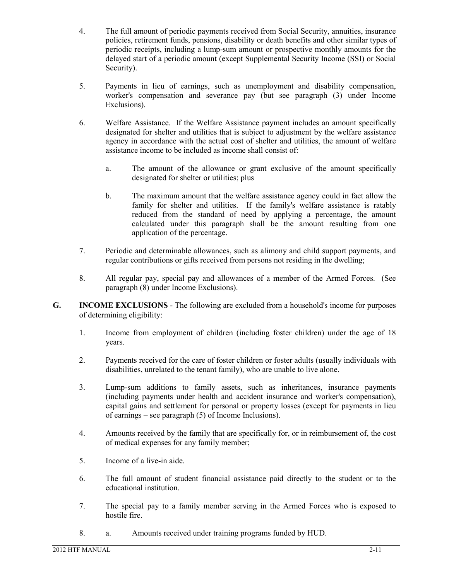- 4. The full amount of periodic payments received from Social Security, annuities, insurance policies, retirement funds, pensions, disability or death benefits and other similar types of periodic receipts, including a lump-sum amount or prospective monthly amounts for the delayed start of a periodic amount (except Supplemental Security Income (SSI) or Social Security).
- 5. Payments in lieu of earnings, such as unemployment and disability compensation, worker's compensation and severance pay (but see paragraph (3) under Income Exclusions).
- 6. Welfare Assistance. If the Welfare Assistance payment includes an amount specifically designated for shelter and utilities that is subject to adjustment by the welfare assistance agency in accordance with the actual cost of shelter and utilities, the amount of welfare assistance income to be included as income shall consist of:
	- a. The amount of the allowance or grant exclusive of the amount specifically designated for shelter or utilities; plus
	- b. The maximum amount that the welfare assistance agency could in fact allow the family for shelter and utilities. If the family's welfare assistance is ratably reduced from the standard of need by applying a percentage, the amount calculated under this paragraph shall be the amount resulting from one application of the percentage.
- 7. Periodic and determinable allowances, such as alimony and child support payments, and regular contributions or gifts received from persons not residing in the dwelling;
- 8. All regular pay, special pay and allowances of a member of the Armed Forces. (See paragraph (8) under Income Exclusions).
- **G. INCOME EXCLUSIONS** The following are excluded from a household's income for purposes of determining eligibility:
	- 1. Income from employment of children (including foster children) under the age of 18 years.
	- 2. Payments received for the care of foster children or foster adults (usually individuals with disabilities, unrelated to the tenant family), who are unable to live alone.
	- 3. Lump-sum additions to family assets, such as inheritances, insurance payments (including payments under health and accident insurance and worker's compensation), capital gains and settlement for personal or property losses (except for payments in lieu of earnings – see paragraph (5) of Income Inclusions).
	- 4. Amounts received by the family that are specifically for, or in reimbursement of, the cost of medical expenses for any family member;
	- 5. Income of a live-in aide.
	- 6. The full amount of student financial assistance paid directly to the student or to the educational institution.
	- 7. The special pay to a family member serving in the Armed Forces who is exposed to hostile fire.
	- 8. a. Amounts received under training programs funded by HUD.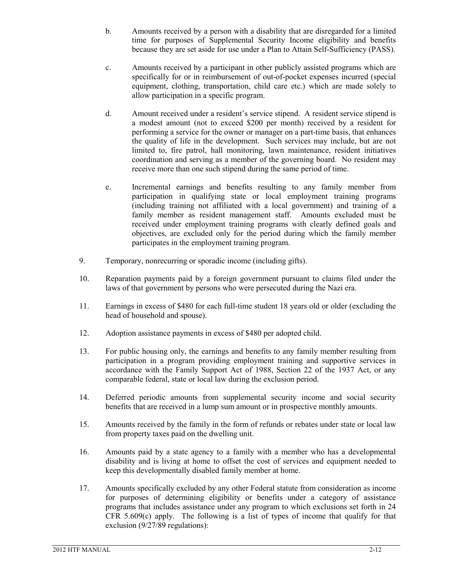- b. Amounts received by a person with a disability that are disregarded for a limited time for purposes of Supplemental Security Income eligibility and benefits because they are set aside for use under a Plan to Attain Self-Sufficiency (PASS).
- c. Amounts received by a participant in other publicly assisted programs which are specifically for or in reimbursement of out-of-pocket expenses incurred (special equipment, clothing, transportation, child care etc.) which are made solely to allow participation in a specific program.
- d. Amount received under a resident's service stipend. A resident service stipend is a modest amount (not to exceed \$200 per month) received by a resident for performing a service for the owner or manager on a part-time basis, that enhances the quality of life in the development. Such services may include, but are not limited to, fire patrol, hall monitoring, lawn maintenance, resident initiatives coordination and serving as a member of the governing board. No resident may receive more than one such stipend during the same period of time.
- e. Incremental earnings and benefits resulting to any family member from participation in qualifying state or local employment training programs (including training not affiliated with a local government) and training of a family member as resident management staff. Amounts excluded must be received under employment training programs with clearly defined goals and objectives, are excluded only for the period during which the family member participates in the employment training program.
- 9. Temporary, nonrecurring or sporadic income (including gifts).
- 10. Reparation payments paid by a foreign government pursuant to claims filed under the laws of that government by persons who were persecuted during the Nazi era.
- 11. Earnings in excess of \$480 for each full-time student 18 years old or older (excluding the head of household and spouse).
- 12. Adoption assistance payments in excess of \$480 per adopted child.
- 13. For public housing only, the earnings and benefits to any family member resulting from participation in a program providing employment training and supportive services in accordance with the Family Support Act of 1988, Section 22 of the 1937 Act, or any comparable federal, state or local law during the exclusion period.
- 14. Deferred periodic amounts from supplemental security income and social security benefits that are received in a lump sum amount or in prospective monthly amounts.
- 15. Amounts received by the family in the form of refunds or rebates under state or local law from property taxes paid on the dwelling unit.
- 16. Amounts paid by a state agency to a family with a member who has a developmental disability and is living at home to offset the cost of services and equipment needed to keep this developmentally disabled family member at home.
- 17. Amounts specifically excluded by any other Federal statute from consideration as income for purposes of determining eligibility or benefits under a category of assistance programs that includes assistance under any program to which exclusions set forth in 24 CFR 5.609(c) apply. The following is a list of types of income that qualify for that exclusion (9/27/89 regulations):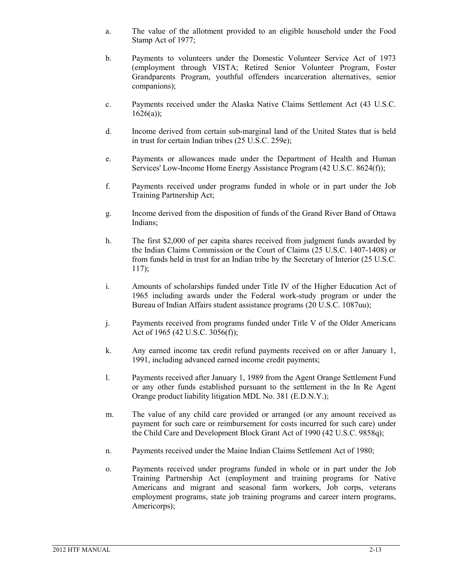- a. The value of the allotment provided to an eligible household under the Food Stamp Act of 1977;
- b. Payments to volunteers under the Domestic Volunteer Service Act of 1973 (employment through VISTA; Retired Senior Volunteer Program, Foster Grandparents Program, youthful offenders incarceration alternatives, senior companions);
- c. Payments received under the Alaska Native Claims Settlement Act (43 U.S.C.  $1626(a)$ :
- d. Income derived from certain sub-marginal land of the United States that is held in trust for certain Indian tribes (25 U.S.C. 259e);
- e. Payments or allowances made under the Department of Health and Human Services' Low-Income Home Energy Assistance Program (42 U.S.C. 8624(f));
- f. Payments received under programs funded in whole or in part under the Job Training Partnership Act;
- g. Income derived from the disposition of funds of the Grand River Band of Ottawa Indians;
- h. The first \$2,000 of per capita shares received from judgment funds awarded by the Indian Claims Commission or the Court of Claims (25 U.S.C. 1407-1408) or from funds held in trust for an Indian tribe by the Secretary of Interior (25 U.S.C. 117);
- i. Amounts of scholarships funded under Title IV of the Higher Education Act of 1965 including awards under the Federal work-study program or under the Bureau of Indian Affairs student assistance programs (20 U.S.C. 1087uu);
- j. Payments received from programs funded under Title V of the Older Americans Act of 1965 (42 U.S.C. 3056(f));
- k. Any earned income tax credit refund payments received on or after January 1, 1991, including advanced earned income credit payments;
- l. Payments received after January 1, 1989 from the Agent Orange Settlement Fund or any other funds established pursuant to the settlement in the In Re Agent Orange product liability litigation MDL No. 381 (E.D.N.Y.);
- m. The value of any child care provided or arranged (or any amount received as payment for such care or reimbursement for costs incurred for such care) under the Child Care and Development Block Grant Act of 1990 (42 U.S.C. 9858q);
- n. Payments received under the Maine Indian Claims Settlement Act of 1980;
- o. Payments received under programs funded in whole or in part under the Job Training Partnership Act (employment and training programs for Native Americans and migrant and seasonal farm workers, Job corps, veterans employment programs, state job training programs and career intern programs, Americorps);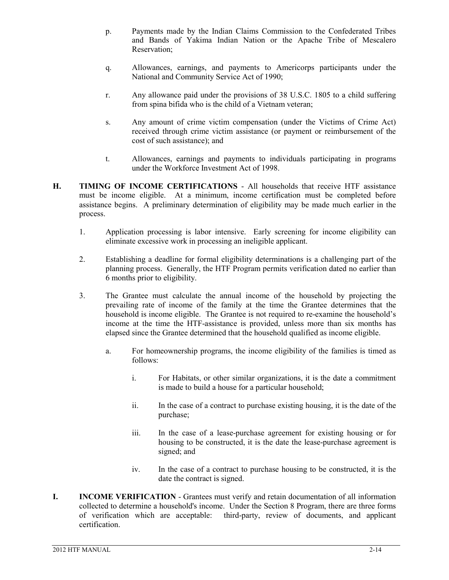- p. Payments made by the Indian Claims Commission to the Confederated Tribes and Bands of Yakima Indian Nation or the Apache Tribe of Mescalero Reservation;
- q. Allowances, earnings, and payments to Americorps participants under the National and Community Service Act of 1990;
- r. Any allowance paid under the provisions of 38 U.S.C. 1805 to a child suffering from spina bifida who is the child of a Vietnam veteran;
- s. Any amount of crime victim compensation (under the Victims of Crime Act) received through crime victim assistance (or payment or reimbursement of the cost of such assistance); and
- t. Allowances, earnings and payments to individuals participating in programs under the Workforce Investment Act of 1998.
- **H. TIMING OF INCOME CERTIFICATIONS** All households that receive HTF assistance must be income eligible. At a minimum, income certification must be completed before assistance begins. A preliminary determination of eligibility may be made much earlier in the process.
	- 1. Application processing is labor intensive. Early screening for income eligibility can eliminate excessive work in processing an ineligible applicant.
	- 2. Establishing a deadline for formal eligibility determinations is a challenging part of the planning process. Generally, the HTF Program permits verification dated no earlier than 6 months prior to eligibility.
	- 3. The Grantee must calculate the annual income of the household by projecting the prevailing rate of income of the family at the time the Grantee determines that the household is income eligible. The Grantee is not required to re-examine the household's income at the time the HTF-assistance is provided, unless more than six months has elapsed since the Grantee determined that the household qualified as income eligible.
		- a. For homeownership programs, the income eligibility of the families is timed as follows:
			- i. For Habitats, or other similar organizations, it is the date a commitment is made to build a house for a particular household;
			- ii. In the case of a contract to purchase existing housing, it is the date of the purchase;
			- iii. In the case of a lease-purchase agreement for existing housing or for housing to be constructed, it is the date the lease-purchase agreement is signed; and
			- iv. In the case of a contract to purchase housing to be constructed, it is the date the contract is signed.
- **I. INCOME VERIFICATION**  Grantees must verify and retain documentation of all information collected to determine a household's income. Under the Section 8 Program, there are three forms of verification which are acceptable: third-party, review of documents, and applicant certification.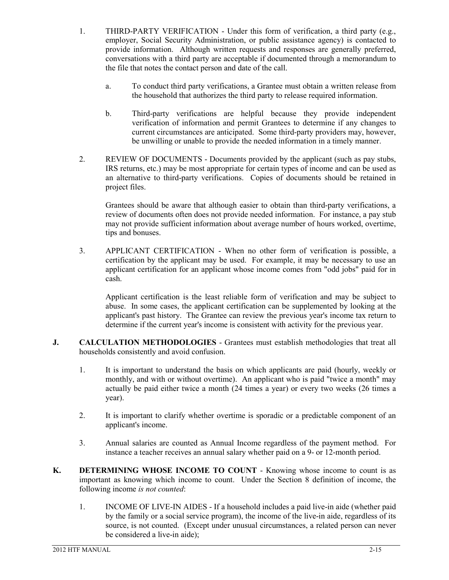- 1. THIRD-PARTY VERIFICATION Under this form of verification, a third party (e.g., employer, Social Security Administration, or public assistance agency) is contacted to provide information. Although written requests and responses are generally preferred, conversations with a third party are acceptable if documented through a memorandum to the file that notes the contact person and date of the call.
	- a. To conduct third party verifications, a Grantee must obtain a written release from the household that authorizes the third party to release required information.
	- b. Third-party verifications are helpful because they provide independent verification of information and permit Grantees to determine if any changes to current circumstances are anticipated. Some third-party providers may, however, be unwilling or unable to provide the needed information in a timely manner.
- 2. REVIEW OF DOCUMENTS Documents provided by the applicant (such as pay stubs, IRS returns, etc.) may be most appropriate for certain types of income and can be used as an alternative to third-party verifications. Copies of documents should be retained in project files.

Grantees should be aware that although easier to obtain than third-party verifications, a review of documents often does not provide needed information. For instance, a pay stub may not provide sufficient information about average number of hours worked, overtime, tips and bonuses.

3. APPLICANT CERTIFICATION - When no other form of verification is possible, a certification by the applicant may be used. For example, it may be necessary to use an applicant certification for an applicant whose income comes from "odd jobs" paid for in cash.

Applicant certification is the least reliable form of verification and may be subject to abuse. In some cases, the applicant certification can be supplemented by looking at the applicant's past history. The Grantee can review the previous year's income tax return to determine if the current year's income is consistent with activity for the previous year.

- **J. CALCULATION METHODOLOGIES** Grantees must establish methodologies that treat all households consistently and avoid confusion.
	- 1. It is important to understand the basis on which applicants are paid (hourly, weekly or monthly, and with or without overtime). An applicant who is paid "twice a month" may actually be paid either twice a month (24 times a year) or every two weeks (26 times a year).
	- 2. It is important to clarify whether overtime is sporadic or a predictable component of an applicant's income.
	- 3. Annual salaries are counted as Annual Income regardless of the payment method. For instance a teacher receives an annual salary whether paid on a 9- or 12-month period.
- **K. DETERMINING WHOSE INCOME TO COUNT** Knowing whose income to count is as important as knowing which income to count. Under the Section 8 definition of income, the following income *is not counted*:
	- 1. INCOME OF LIVE-IN AIDES If a household includes a paid live-in aide (whether paid by the family or a social service program), the income of the live-in aide, regardless of its source, is not counted. (Except under unusual circumstances, a related person can never be considered a live-in aide);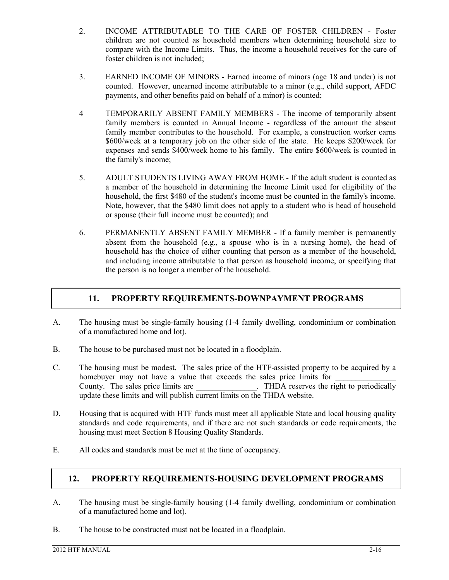- 2. INCOME ATTRIBUTABLE TO THE CARE OF FOSTER CHILDREN Foster children are not counted as household members when determining household size to compare with the Income Limits. Thus, the income a household receives for the care of foster children is not included;
- 3. EARNED INCOME OF MINORS Earned income of minors (age 18 and under) is not counted. However, unearned income attributable to a minor (e.g., child support, AFDC payments, and other benefits paid on behalf of a minor) is counted;
- 4 TEMPORARILY ABSENT FAMILY MEMBERS The income of temporarily absent family members is counted in Annual Income - regardless of the amount the absent family member contributes to the household. For example, a construction worker earns \$600/week at a temporary job on the other side of the state. He keeps \$200/week for expenses and sends \$400/week home to his family. The entire \$600/week is counted in the family's income;
- 5. ADULT STUDENTS LIVING AWAY FROM HOME If the adult student is counted as a member of the household in determining the Income Limit used for eligibility of the household, the first \$480 of the student's income must be counted in the family's income. Note, however, that the \$480 limit does not apply to a student who is head of household or spouse (their full income must be counted); and
- 6. PERMANENTLY ABSENT FAMILY MEMBER If a family member is permanently absent from the household (e.g., a spouse who is in a nursing home), the head of household has the choice of either counting that person as a member of the household, and including income attributable to that person as household income, or specifying that the person is no longer a member of the household.

#### **11. PROPERTY REQUIREMENTS-DOWNPAYMENT PROGRAMS**

- A. The housing must be single-family housing (1-4 family dwelling, condominium or combination of a manufactured home and lot).
- B. The house to be purchased must not be located in a floodplain.
- C. The housing must be modest. The sales price of the HTF-assisted property to be acquired by a homebuyer may not have a value that exceeds the sales price limits for County. The sales price limits are  $\blacksquare$ . THDA reserves the right to periodically update these limits and will publish current limits on the THDA website.
- D. Housing that is acquired with HTF funds must meet all applicable State and local housing quality standards and code requirements, and if there are not such standards or code requirements, the housing must meet Section 8 Housing Quality Standards.
- E. All codes and standards must be met at the time of occupancy.

#### **12. PROPERTY REQUIREMENTS-HOUSING DEVELOPMENT PROGRAMS**

- A. The housing must be single-family housing (1-4 family dwelling, condominium or combination of a manufactured home and lot).
- B. The house to be constructed must not be located in a floodplain.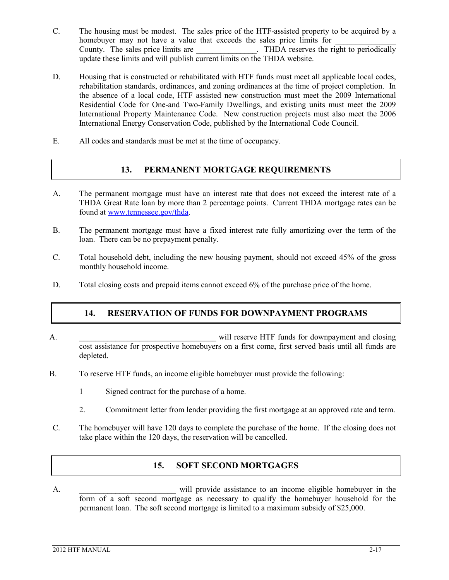- C. The housing must be modest. The sales price of the HTF-assisted property to be acquired by a homebuyer may not have a value that exceeds the sales price limits for County. The sales price limits are  $\blacksquare$ . THDA reserves the right to periodically update these limits and will publish current limits on the THDA website.
- D. Housing that is constructed or rehabilitated with HTF funds must meet all applicable local codes, rehabilitation standards, ordinances, and zoning ordinances at the time of project completion. In the absence of a local code, HTF assisted new construction must meet the 2009 International Residential Code for One-and Two-Family Dwellings, and existing units must meet the 2009 International Property Maintenance Code. New construction projects must also meet the 2006 International Energy Conservation Code, published by the International Code Council.
- E. All codes and standards must be met at the time of occupancy.

#### **13. PERMANENT MORTGAGE REQUIREMENTS**

- A. The permanent mortgage must have an interest rate that does not exceed the interest rate of a THDA Great Rate loan by more than 2 percentage points. Current THDA mortgage rates can be found at [www.tennessee.gov/thda.](http://www.tennessee.gov/thda)
- B. The permanent mortgage must have a fixed interest rate fully amortizing over the term of the loan. There can be no prepayment penalty.
- C. Total household debt, including the new housing payment, should not exceed 45% of the gross monthly household income.
- D. Total closing costs and prepaid items cannot exceed 6% of the purchase price of the home.

#### **14. RESERVATION OF FUNDS FOR DOWNPAYMENT PROGRAMS**

- A. The contract of the same will reserve HTF funds for downpayment and closing cost assistance for prospective homebuyers on a first come, first served basis until all funds are depleted.
- B. To reserve HTF funds, an income eligible homebuyer must provide the following:
	- 1 Signed contract for the purchase of a home.
	- 2. Commitment letter from lender providing the first mortgage at an approved rate and term.
- C. The homebuyer will have 120 days to complete the purchase of the home. If the closing does not take place within the 120 days, the reservation will be cancelled.

#### **15. SOFT SECOND MORTGAGES**

A.  $\sim$  2. Will provide assistance to an income eligible homebuyer in the form of a soft second mortgage as necessary to qualify the homebuyer household for the permanent loan. The soft second mortgage is limited to a maximum subsidy of \$25,000.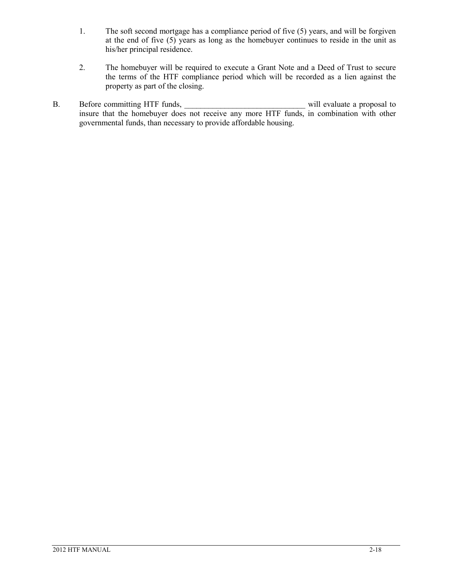- 1. The soft second mortgage has a compliance period of five (5) years, and will be forgiven at the end of five (5) years as long as the homebuyer continues to reside in the unit as his/her principal residence.
- 2. The homebuyer will be required to execute a Grant Note and a Deed of Trust to secure the terms of the HTF compliance period which will be recorded as a lien against the property as part of the closing.
- B. Before committing HTF funds, \_\_\_\_\_\_\_\_\_\_\_\_\_\_\_\_\_\_\_\_\_\_\_\_\_\_\_\_\_\_ will evaluate a proposal to insure that the homebuyer does not receive any more HTF funds, in combination with other governmental funds, than necessary to provide affordable housing.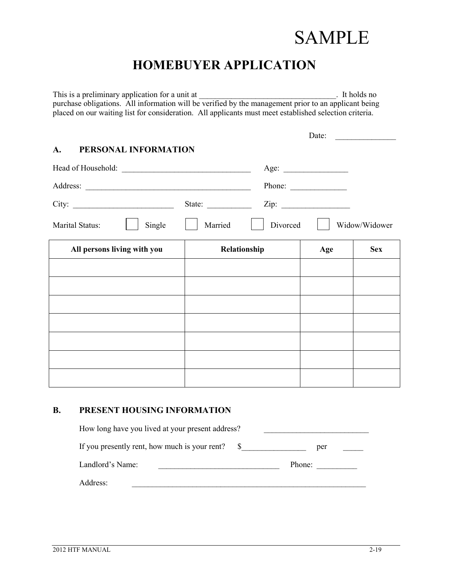## **SAMPLE**

## **HOMEBUYER APPLICATION**

This is a preliminary application for a unit at \_\_\_\_\_\_\_\_\_\_\_\_\_\_\_\_\_\_\_\_\_\_\_\_\_\_\_\_\_\_\_\_\_. It holds no purchase obligations. All information will be verified by the management prior to an applicant being placed on our waiting list for consideration. All applicants must meet established selection criteria.

# Date: **A. PERSONAL INFORMATION** Head of Household: \_\_\_\_\_\_\_\_\_\_\_\_\_\_\_\_\_\_\_\_\_\_\_\_\_\_\_\_\_\_\_\_ Age: \_\_\_\_\_\_\_\_\_\_\_\_\_\_\_\_ Address: The Phone:  $\Box$ City: State:  $\Box$  State:  $\Box$  Zip: Marital Status:  $\begin{array}{c|c|c|c|c|c} \hline \text{Single} & \text{Im} & \text{Married} & \text{Divored} & \text{Widow/Widower} \ \hline \end{array}$ All persons living with you  $\qquad$  **Relationship Age**  $\qquad$  **Sex**

#### **B. PRESENT HOUSING INFORMATION**

How long have you lived at your present address? If you presently rent, how much is your rent?  $\quad \quad \text{S}$  per Landlord's Name: \_\_\_\_\_\_\_\_\_\_\_\_\_\_\_\_\_\_\_\_\_\_\_\_\_\_\_\_\_\_ Phone: \_\_\_\_\_\_\_\_\_\_ Address: \_\_\_\_\_\_\_\_\_\_\_\_\_\_\_\_\_\_\_\_\_\_\_\_\_\_\_\_\_\_\_\_\_\_\_\_\_\_\_\_\_\_\_\_\_\_\_\_\_\_\_\_\_\_\_\_\_\_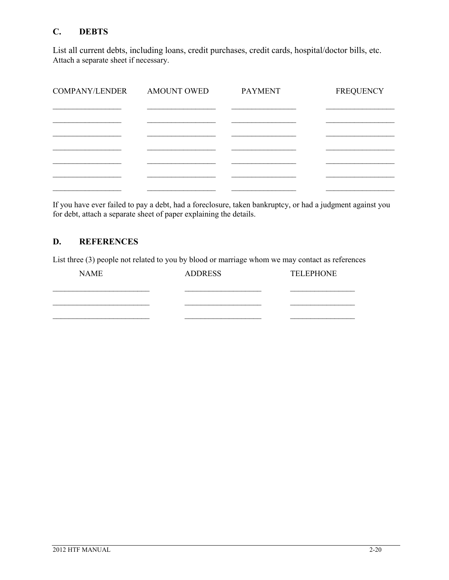#### **C. DEBTS**

List all current debts, including loans, credit purchases, credit cards, hospital/doctor bills, etc. Attach a separate sheet if necessary.

| AMOUNT OWED | <b>PAYMENT</b> | <b>FREQUENCY</b> |
|-------------|----------------|------------------|
|             |                |                  |
|             |                |                  |
|             |                |                  |
|             |                |                  |
|             |                |                  |
|             |                |                  |
|             |                |                  |

If you have ever failed to pay a debt, had a foreclosure, taken bankruptcy, or had a judgment against you for debt, attach a separate sheet of paper explaining the details.

#### **D. REFERENCES**

List three (3) people not related to you by blood or marriage whom we may contact as references

| <b>NAME</b> | <b>ADDRESS</b> | <b>TELEPHONE</b> |
|-------------|----------------|------------------|
|             |                |                  |
|             |                |                  |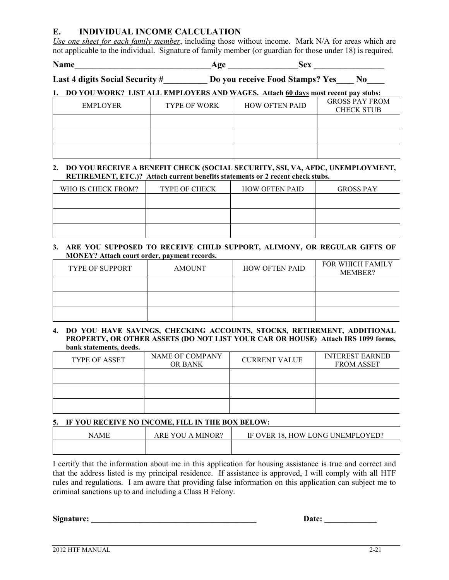#### **E. INDIVIDUAL INCOME CALCULATION**

*Use one sheet for each family member*, including those without income. Mark N/A for areas which are not applicable to the individual. Signature of family member (or guardian for those under 18) is required.

**Name\_\_\_\_\_\_\_\_\_\_\_\_\_\_\_\_\_\_\_\_\_\_\_\_\_\_\_\_\_\_\_Age \_\_\_\_\_\_\_\_\_\_\_\_\_\_\_\_Sex \_\_\_\_\_\_\_\_\_\_\_\_\_\_\_\_**

Last 4 digits Social Security #\_\_\_\_\_\_\_\_\_ Do you receive Food Stamps? Yes\_\_\_\_ No\_\_\_\_

#### **1. DO YOU WORK? LIST ALL EMPLOYERS AND WAGES. Attach 60 days most recent pay stubs:**

| EMPLOYER | <b>TYPE OF WORK</b> | <b>HOW OFTEN PAID</b> | <b>GROSS PAY FROM</b><br><b>CHECK STUB</b> |
|----------|---------------------|-----------------------|--------------------------------------------|
|          |                     |                       |                                            |
|          |                     |                       |                                            |
|          |                     |                       |                                            |

#### **2. DO YOU RECEIVE A BENEFIT CHECK (SOCIAL SECURITY, SSI, VA, AFDC, UNEMPLOYMENT, RETIREMENT, ETC.)? Attach current benefits statements or 2 recent check stubs.**

| WHO IS CHECK FROM? | <b>TYPE OF CHECK</b> | <b>HOW OFTEN PAID</b> | <b>GROSS PAY</b> |
|--------------------|----------------------|-----------------------|------------------|
|                    |                      |                       |                  |
|                    |                      |                       |                  |
|                    |                      |                       |                  |

#### **3. ARE YOU SUPPOSED TO RECEIVE CHILD SUPPORT, ALIMONY, OR REGULAR GIFTS OF MONEY? Attach court order, payment records.**

| <b>TYPE OF SUPPORT</b> | <b>AMOUNT</b> | <b>HOW OFTEN PAID</b> | <b>FOR WHICH FAMILY</b><br>MEMBER? |
|------------------------|---------------|-----------------------|------------------------------------|
|                        |               |                       |                                    |
|                        |               |                       |                                    |
|                        |               |                       |                                    |

#### **4. DO YOU HAVE SAVINGS, CHECKING ACCOUNTS, STOCKS, RETIREMENT, ADDITIONAL PROPERTY, OR OTHER ASSETS (DO NOT LIST YOUR CAR OR HOUSE) Attach IRS 1099 forms, bank statements, deeds.**

| <b>TYPE OF ASSET</b> | NAME OF COMPANY<br><b>OR BANK</b> | <b>CURRENT VALUE</b> | <b>INTEREST EARNED</b><br><b>FROM ASSET</b> |
|----------------------|-----------------------------------|----------------------|---------------------------------------------|
|                      |                                   |                      |                                             |
|                      |                                   |                      |                                             |
|                      |                                   |                      |                                             |

#### **5. IF YOU RECEIVE NO INCOME, FILL IN THE BOX BELOW:**

| NAME | MINOR?<br>ARE YOU<br>$\Delta$ | 18. HOW LONG UNEMPLOYED?<br><b>IF OVER</b> |
|------|-------------------------------|--------------------------------------------|
|      |                               |                                            |

I certify that the information about me in this application for housing assistance is true and correct and that the address listed is my principal residence. If assistance is approved, I will comply with all HTF rules and regulations. I am aware that providing false information on this application can subject me to criminal sanctions up to and including a Class B Felony.

**Signature:**  $\qquad \qquad$  Date: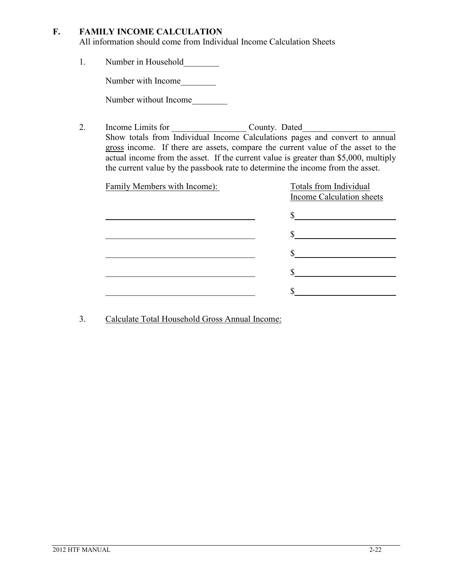#### **F. FAMILY INCOME CALCULATION**

All information should come from Individual Income Calculation Sheets

1. Number in Household

Number with Income\_\_\_\_\_\_\_\_

Number without Income

2. Income Limits for County. Dated Show totals from Individual Income Calculations pages and convert to annual gross income. If there are assets, compare the current value of the asset to the actual income from the asset. If the current value is greater than \$5,000, multiply the current value by the passbook rate to determine the income from the asset.

| Family Members with Income): | Totals from Individual<br>Income Calculation sheets |
|------------------------------|-----------------------------------------------------|
|                              |                                                     |
|                              |                                                     |
|                              |                                                     |
|                              |                                                     |
|                              |                                                     |
|                              |                                                     |

3. Calculate Total Household Gross Annual Income: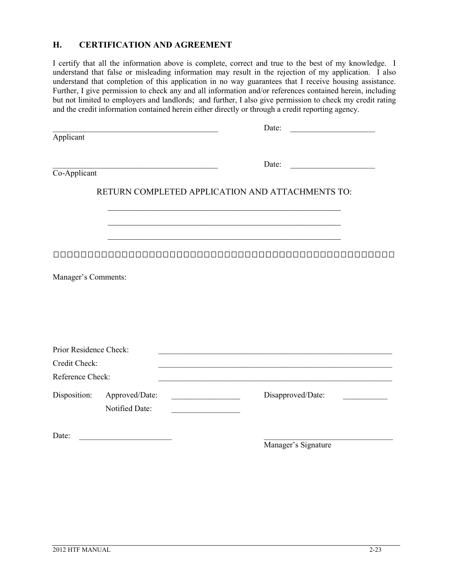#### **H. CERTIFICATION AND AGREEMENT**

I certify that all the information above is complete, correct and true to the best of my knowledge. I understand that false or misleading information may result in the rejection of my application. I also understand that completion of this application in no way guarantees that I receive housing assistance. Further, I give permission to check any and all information and/or references contained herein, including but not limited to employers and landlords; and further, I also give permission to check my credit rating and the credit information contained herein either directly or through a credit reporting agency.

|                        |                | Date:                                            |
|------------------------|----------------|--------------------------------------------------|
| Applicant              |                |                                                  |
|                        |                | Date:                                            |
| Co-Applicant           |                |                                                  |
|                        |                | RETURN COMPLETED APPLICATION AND ATTACHMENTS TO: |
|                        |                |                                                  |
|                        |                | $\mathbf{I}$<br>$\Box$                           |
| Manager's Comments:    |                |                                                  |
|                        |                |                                                  |
|                        |                |                                                  |
|                        |                |                                                  |
| Prior Residence Check: |                |                                                  |
| Credit Check:          |                |                                                  |
| Reference Check:       |                |                                                  |
| Disposition:           | Approved/Date: | Disapproved/Date:                                |
|                        | Notified Date: |                                                  |
| Date:                  |                |                                                  |
|                        |                | Manager's Signature                              |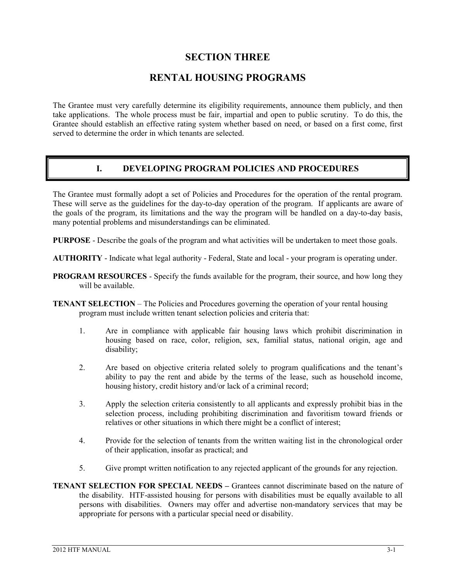#### **SECTION THREE**

#### **RENTAL HOUSING PROGRAMS**

The Grantee must very carefully determine its eligibility requirements, announce them publicly, and then take applications. The whole process must be fair, impartial and open to public scrutiny. To do this, the Grantee should establish an effective rating system whether based on need, or based on a first come, first served to determine the order in which tenants are selected.

#### **I. DEVELOPING PROGRAM POLICIES AND PROCEDURES**

The Grantee must formally adopt a set of Policies and Procedures for the operation of the rental program. These will serve as the guidelines for the day-to-day operation of the program. If applicants are aware of the goals of the program, its limitations and the way the program will be handled on a day-to-day basis, many potential problems and misunderstandings can be eliminated.

**PURPOSE** - Describe the goals of the program and what activities will be undertaken to meet those goals.

**AUTHORITY** - Indicate what legal authority - Federal, State and local - your program is operating under.

- **PROGRAM RESOURCES** Specify the funds available for the program, their source, and how long they will be available.
- **TENANT SELECTION** The Policies and Procedures governing the operation of your rental housing program must include written tenant selection policies and criteria that:
	- 1. Are in compliance with applicable fair housing laws which prohibit discrimination in housing based on race, color, religion, sex, familial status, national origin, age and disability;
	- 2. Are based on objective criteria related solely to program qualifications and the tenant's ability to pay the rent and abide by the terms of the lease, such as household income, housing history, credit history and/or lack of a criminal record;
	- 3. Apply the selection criteria consistently to all applicants and expressly prohibit bias in the selection process, including prohibiting discrimination and favoritism toward friends or relatives or other situations in which there might be a conflict of interest;
	- 4. Provide for the selection of tenants from the written waiting list in the chronological order of their application, insofar as practical; and
	- 5. Give prompt written notification to any rejected applicant of the grounds for any rejection.
- **TENANT SELECTION FOR SPECIAL NEEDS –** Grantees cannot discriminate based on the nature of the disability. HTF-assisted housing for persons with disabilities must be equally available to all persons with disabilities. Owners may offer and advertise non-mandatory services that may be appropriate for persons with a particular special need or disability.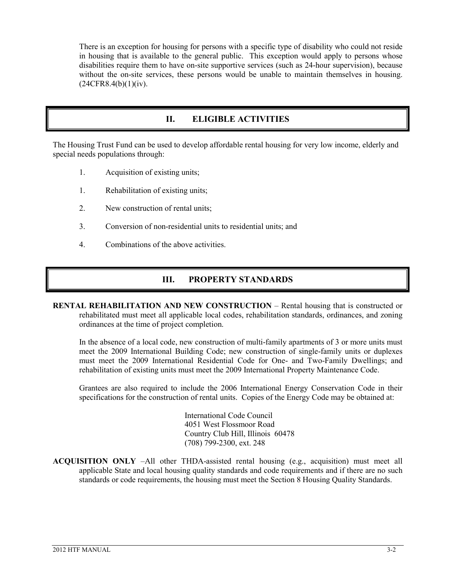There is an exception for housing for persons with a specific type of disability who could not reside in housing that is available to the general public. This exception would apply to persons whose disabilities require them to have on-site supportive services (such as 24-hour supervision), because without the on-site services, these persons would be unable to maintain themselves in housing.  $(24CFR8.4(b)(1)(iv).$ 

#### **II. ELIGIBLE ACTIVITIES**

The Housing Trust Fund can be used to develop affordable rental housing for very low income, elderly and special needs populations through:

- 1. Acquisition of existing units;
- 1. Rehabilitation of existing units;
- 2. New construction of rental units;
- 3. Conversion of non-residential units to residential units; and
- 4. Combinations of the above activities.

#### **III. PROPERTY STANDARDS**

**RENTAL REHABILITATION AND NEW CONSTRUCTION** – Rental housing that is constructed or rehabilitated must meet all applicable local codes, rehabilitation standards, ordinances, and zoning ordinances at the time of project completion.

In the absence of a local code, new construction of multi-family apartments of 3 or more units must meet the 2009 International Building Code; new construction of single-family units or duplexes must meet the 2009 International Residential Code for One- and Two-Family Dwellings; and rehabilitation of existing units must meet the 2009 International Property Maintenance Code.

Grantees are also required to include the 2006 International Energy Conservation Code in their specifications for the construction of rental units. Copies of the Energy Code may be obtained at:

> International Code Council 4051 West Flossmoor Road Country Club Hill, Illinois 60478 (708) 799-2300, ext. 248

**ACQUISITION ONLY** –All other THDA-assisted rental housing (e.g., acquisition) must meet all applicable State and local housing quality standards and code requirements and if there are no such standards or code requirements, the housing must meet the Section 8 Housing Quality Standards.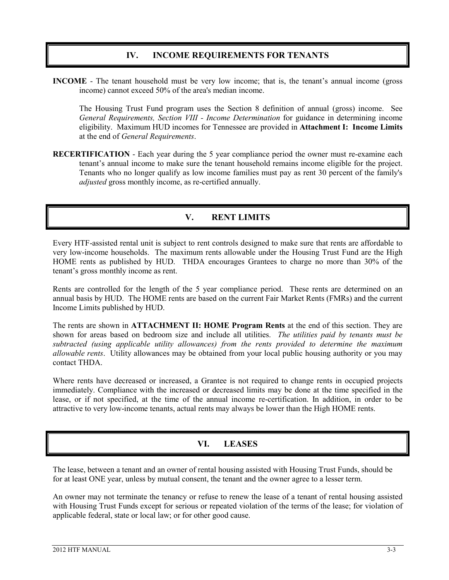#### **IV. INCOME REQUIREMENTS FOR TENANTS**

**INCOME** - The tenant household must be very low income; that is, the tenant's annual income (gross income) cannot exceed 50% of the area's median income.

The Housing Trust Fund program uses the Section 8 definition of annual (gross) income. See *General Requirements, Section VIII - Income Determination* for guidance in determining income eligibility. Maximum HUD incomes for Tennessee are provided in **Attachment I: Income Limits**  at the end of *General Requirements*.

**RECERTIFICATION** - Each year during the 5 year compliance period the owner must re-examine each tenant's annual income to make sure the tenant household remains income eligible for the project. Tenants who no longer qualify as low income families must pay as rent 30 percent of the family's *adjusted* gross monthly income, as re-certified annually.

#### **V. RENT LIMITS**

Every HTF-assisted rental unit is subject to rent controls designed to make sure that rents are affordable to very low-income households. The maximum rents allowable under the Housing Trust Fund are the High HOME rents as published by HUD. THDA encourages Grantees to charge no more than 30% of the tenant's gross monthly income as rent.

Rents are controlled for the length of the 5 year compliance period. These rents are determined on an annual basis by HUD. The HOME rents are based on the current Fair Market Rents (FMRs) and the current Income Limits published by HUD.

The rents are shown in **ATTACHMENT II: HOME Program Rents** at the end of this section. They are shown for areas based on bedroom size and include all utilities. *The utilities paid by tenants must be subtracted (using applicable utility allowances) from the rents provided to determine the maximum allowable rents*. Utility allowances may be obtained from your local public housing authority or you may contact THDA.

Where rents have decreased or increased, a Grantee is not required to change rents in occupied projects immediately. Compliance with the increased or decreased limits may be done at the time specified in the lease, or if not specified, at the time of the annual income re-certification. In addition, in order to be attractive to very low-income tenants, actual rents may always be lower than the High HOME rents.

#### **VI. LEASES**

The lease, between a tenant and an owner of rental housing assisted with Housing Trust Funds, should be for at least ONE year, unless by mutual consent, the tenant and the owner agree to a lesser term.

An owner may not terminate the tenancy or refuse to renew the lease of a tenant of rental housing assisted with Housing Trust Funds except for serious or repeated violation of the terms of the lease; for violation of applicable federal, state or local law; or for other good cause.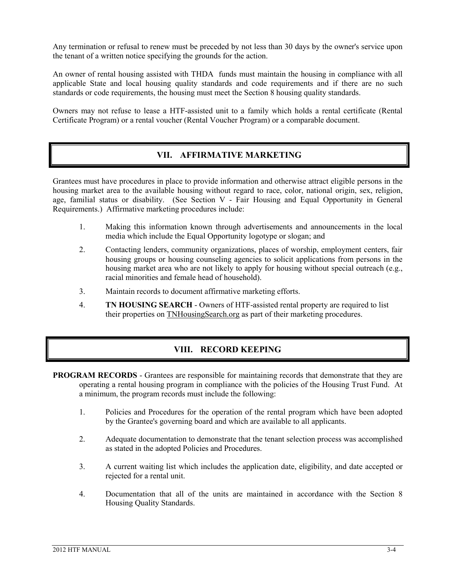Any termination or refusal to renew must be preceded by not less than 30 days by the owner's service upon the tenant of a written notice specifying the grounds for the action.

An owner of rental housing assisted with THDA funds must maintain the housing in compliance with all applicable State and local housing quality standards and code requirements and if there are no such standards or code requirements, the housing must meet the Section 8 housing quality standards.

Owners may not refuse to lease a HTF-assisted unit to a family which holds a rental certificate (Rental Certificate Program) or a rental voucher (Rental Voucher Program) or a comparable document.

#### **VII. AFFIRMATIVE MARKETING**

Grantees must have procedures in place to provide information and otherwise attract eligible persons in the housing market area to the available housing without regard to race, color, national origin, sex, religion, age, familial status or disability. (See Section V - Fair Housing and Equal Opportunity in General Requirements.) Affirmative marketing procedures include:

- 1. Making this information known through advertisements and announcements in the local media which include the Equal Opportunity logotype or slogan; and
- 2. Contacting lenders, community organizations, places of worship, employment centers, fair housing groups or housing counseling agencies to solicit applications from persons in the housing market area who are not likely to apply for housing without special outreach (e.g., racial minorities and female head of household).
- 3. Maintain records to document affirmative marketing efforts.
- 4. **TN HOUSING SEARCH** Owners of HTF-assisted rental property are required to list their properties on TNHousingSearch.org as part of their marketing procedures.

#### **VIII. RECORD KEEPING**

- **PROGRAM RECORDS** Grantees are responsible for maintaining records that demonstrate that they are operating a rental housing program in compliance with the policies of the Housing Trust Fund. At a minimum, the program records must include the following:
	- 1. Policies and Procedures for the operation of the rental program which have been adopted by the Grantee's governing board and which are available to all applicants.
	- 2. Adequate documentation to demonstrate that the tenant selection process was accomplished as stated in the adopted Policies and Procedures.
	- 3. A current waiting list which includes the application date, eligibility, and date accepted or rejected for a rental unit.
	- 4. Documentation that all of the units are maintained in accordance with the Section 8 Housing Quality Standards.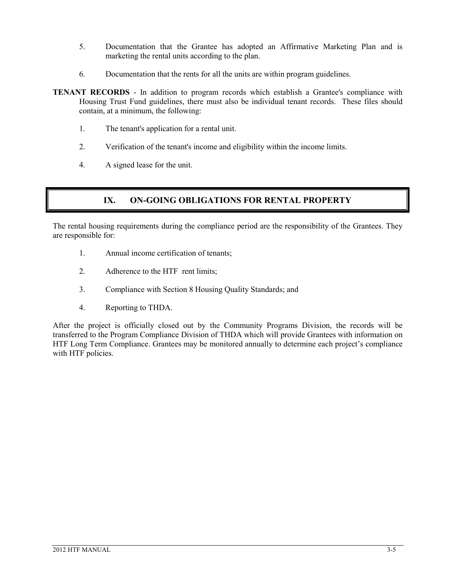- 5. Documentation that the Grantee has adopted an Affirmative Marketing Plan and is marketing the rental units according to the plan.
- 6. Documentation that the rents for all the units are within program guidelines.
- **TENANT RECORDS** In addition to program records which establish a Grantee's compliance with Housing Trust Fund guidelines, there must also be individual tenant records. These files should contain, at a minimum, the following:
	- 1. The tenant's application for a rental unit.
	- 2. Verification of the tenant's income and eligibility within the income limits.
	- 4. A signed lease for the unit.

#### **IX. ON-GOING OBLIGATIONS FOR RENTAL PROPERTY**

The rental housing requirements during the compliance period are the responsibility of the Grantees. They are responsible for:

- 1. Annual income certification of tenants;
- 2. Adherence to the HTF rent limits;
- 3. Compliance with Section 8 Housing Quality Standards; and
- 4. Reporting to THDA.

After the project is officially closed out by the Community Programs Division, the records will be transferred to the Program Compliance Division of THDA which will provide Grantees with information on HTF Long Term Compliance. Grantees may be monitored annually to determine each project's compliance with HTF policies.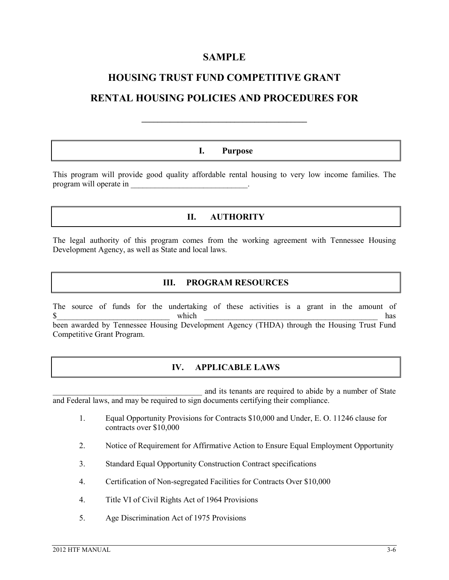#### **SAMPLE**

#### **HOUSING TRUST FUND COMPETITIVE GRANT**

#### **RENTAL HOUSING POLICIES AND PROCEDURES FOR**

**\_\_\_\_\_\_\_\_\_\_\_\_\_\_\_\_\_\_\_\_\_\_\_\_\_\_\_\_\_\_\_\_\_\_\_\_\_\_\_\_\_**

#### **I. Purpose**

This program will provide good quality affordable rental housing to very low income families. The program will operate in

#### **II. AUTHORITY**

The legal authority of this program comes from the working agreement with Tennessee Housing Development Agency, as well as State and local laws.

#### **III. PROGRAM RESOURCES**

The source of funds for the undertaking of these activities is a grant in the amount of which has  $\frac{\text{S}}{\text{S}}$  and  $\frac{\text{S}}{\text{S}}$  and  $\frac{\text{S}}{\text{S}}$  and  $\frac{\text{S}}{\text{S}}$  has been awarded by Tennessee Housing Development Agency (THDA) through the Housing Trust Fund Competitive Grant Program.

#### **IV. APPLICABLE LAWS**

and its tenants are required to abide by a number of State and Federal laws, and may be required to sign documents certifying their compliance.

- 1. Equal Opportunity Provisions for Contracts \$10,000 and Under, E. O. 11246 clause for contracts over \$10,000
- 2. Notice of Requirement for Affirmative Action to Ensure Equal Employment Opportunity
- 3. Standard Equal Opportunity Construction Contract specifications
- 4. Certification of Non-segregated Facilities for Contracts Over \$10,000
- 4. Title VI of Civil Rights Act of 1964 Provisions
- 5. Age Discrimination Act of 1975 Provisions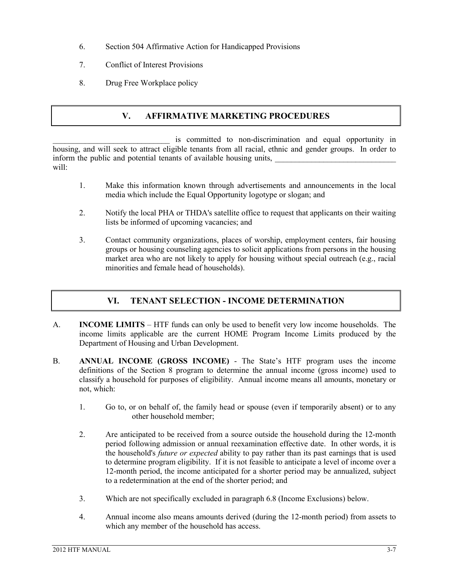- 6. Section 504 Affirmative Action for Handicapped Provisions
- 7. Conflict of Interest Provisions
- 8. Drug Free Workplace policy

#### **V. AFFIRMATIVE MARKETING PROCEDURES**

is committed to non-discrimination and equal opportunity in housing, and will seek to attract eligible tenants from all racial, ethnic and gender groups. In order to inform the public and potential tenants of available housing units, will:

- 1. Make this information known through advertisements and announcements in the local media which include the Equal Opportunity logotype or slogan; and
- 2. Notify the local PHA or THDA's satellite office to request that applicants on their waiting lists be informed of upcoming vacancies; and
- 3. Contact community organizations, places of worship, employment centers, fair housing groups or housing counseling agencies to solicit applications from persons in the housing market area who are not likely to apply for housing without special outreach (e.g., racial minorities and female head of households).

#### **VI. TENANT SELECTION - INCOME DETERMINATION**

- A. **INCOME LIMITS** HTF funds can only be used to benefit very low income households. The income limits applicable are the current HOME Program Income Limits produced by the Department of Housing and Urban Development.
- B. **ANNUAL INCOME (GROSS INCOME)** The State's HTF program uses the income definitions of the Section 8 program to determine the annual income (gross income) used to classify a household for purposes of eligibility. Annual income means all amounts, monetary or not, which:
	- 1. Go to, or on behalf of, the family head or spouse (even if temporarily absent) or to any other household member;
	- 2. Are anticipated to be received from a source outside the household during the 12-month period following admission or annual reexamination effective date. In other words, it is the household's *future or expected* ability to pay rather than its past earnings that is used to determine program eligibility. If it is not feasible to anticipate a level of income over a 12-month period, the income anticipated for a shorter period may be annualized, subject to a redetermination at the end of the shorter period; and
	- 3. Which are not specifically excluded in paragraph 6.8 (Income Exclusions) below.
	- 4. Annual income also means amounts derived (during the 12-month period) from assets to which any member of the household has access.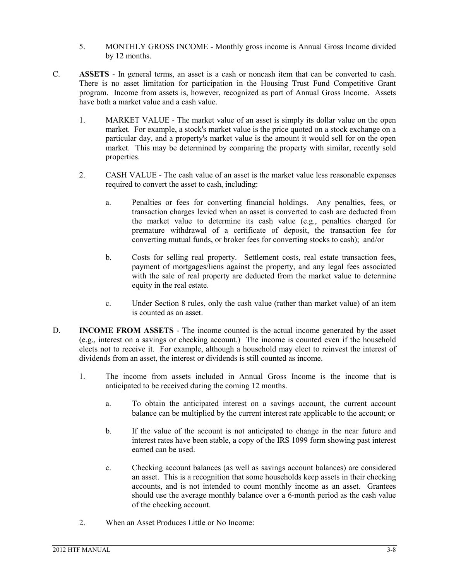- 5. MONTHLY GROSS INCOME Monthly gross income is Annual Gross Income divided by 12 months.
- C. **ASSETS** In general terms, an asset is a cash or noncash item that can be converted to cash. There is no asset limitation for participation in the Housing Trust Fund Competitive Grant program. Income from assets is, however, recognized as part of Annual Gross Income. Assets have both a market value and a cash value.
	- 1. MARKET VALUE The market value of an asset is simply its dollar value on the open market. For example, a stock's market value is the price quoted on a stock exchange on a particular day, and a property's market value is the amount it would sell for on the open market. This may be determined by comparing the property with similar, recently sold properties.
	- 2. CASH VALUE The cash value of an asset is the market value less reasonable expenses required to convert the asset to cash, including:
		- a. Penalties or fees for converting financial holdings. Any penalties, fees, or transaction charges levied when an asset is converted to cash are deducted from the market value to determine its cash value (e.g., penalties charged for premature withdrawal of a certificate of deposit, the transaction fee for converting mutual funds, or broker fees for converting stocks to cash); and/or
		- b. Costs for selling real property. Settlement costs, real estate transaction fees, payment of mortgages/liens against the property, and any legal fees associated with the sale of real property are deducted from the market value to determine equity in the real estate.
		- c. Under Section 8 rules, only the cash value (rather than market value) of an item is counted as an asset.
- D. **INCOME FROM ASSETS** The income counted is the actual income generated by the asset (e.g., interest on a savings or checking account.) The income is counted even if the household elects not to receive it. For example, although a household may elect to reinvest the interest of dividends from an asset, the interest or dividends is still counted as income.
	- 1. The income from assets included in Annual Gross Income is the income that is anticipated to be received during the coming 12 months.
		- a. To obtain the anticipated interest on a savings account, the current account balance can be multiplied by the current interest rate applicable to the account; or
		- b. If the value of the account is not anticipated to change in the near future and interest rates have been stable, a copy of the IRS 1099 form showing past interest earned can be used.
		- c. Checking account balances (as well as savings account balances) are considered an asset. This is a recognition that some households keep assets in their checking accounts, and is not intended to count monthly income as an asset. Grantees should use the average monthly balance over a 6-month period as the cash value of the checking account.
	- 2. When an Asset Produces Little or No Income: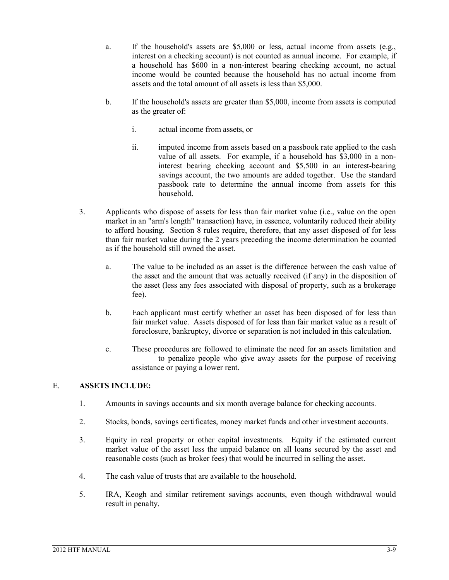- a. If the household's assets are \$5,000 or less, actual income from assets (e.g., interest on a checking account) is not counted as annual income. For example, if a household has \$600 in a non-interest bearing checking account, no actual income would be counted because the household has no actual income from assets and the total amount of all assets is less than \$5,000.
- b. If the household's assets are greater than \$5,000, income from assets is computed as the greater of:
	- i. actual income from assets, or
	- ii. imputed income from assets based on a passbook rate applied to the cash value of all assets. For example, if a household has \$3,000 in a noninterest bearing checking account and \$5,500 in an interest-bearing savings account, the two amounts are added together. Use the standard passbook rate to determine the annual income from assets for this household.
- 3. Applicants who dispose of assets for less than fair market value (i.e., value on the open market in an "arm's length" transaction) have, in essence, voluntarily reduced their ability to afford housing. Section 8 rules require, therefore, that any asset disposed of for less than fair market value during the 2 years preceding the income determination be counted as if the household still owned the asset.
	- a. The value to be included as an asset is the difference between the cash value of the asset and the amount that was actually received (if any) in the disposition of the asset (less any fees associated with disposal of property, such as a brokerage fee).
	- b. Each applicant must certify whether an asset has been disposed of for less than fair market value. Assets disposed of for less than fair market value as a result of foreclosure, bankruptcy, divorce or separation is not included in this calculation.
	- c. These procedures are followed to eliminate the need for an assets limitation and to penalize people who give away assets for the purpose of receiving assistance or paying a lower rent.

#### E. **ASSETS INCLUDE:**

- 1. Amounts in savings accounts and six month average balance for checking accounts.
- 2. Stocks, bonds, savings certificates, money market funds and other investment accounts.
- 3. Equity in real property or other capital investments. Equity if the estimated current market value of the asset less the unpaid balance on all loans secured by the asset and reasonable costs (such as broker fees) that would be incurred in selling the asset.
- 4. The cash value of trusts that are available to the household.
- 5. IRA, Keogh and similar retirement savings accounts, even though withdrawal would result in penalty.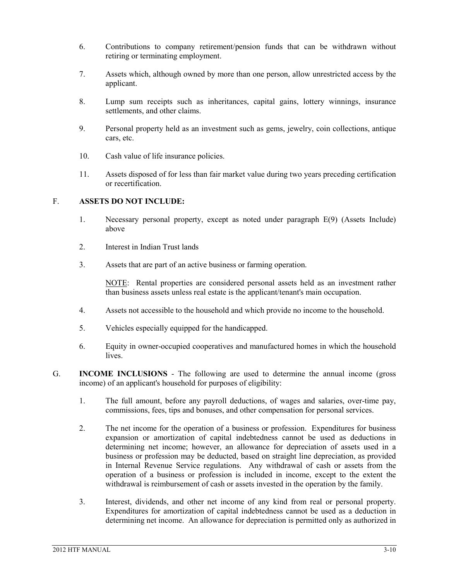- 6. Contributions to company retirement/pension funds that can be withdrawn without retiring or terminating employment.
- 7. Assets which, although owned by more than one person, allow unrestricted access by the applicant.
- 8. Lump sum receipts such as inheritances, capital gains, lottery winnings, insurance settlements, and other claims.
- 9. Personal property held as an investment such as gems, jewelry, coin collections, antique cars, etc.
- 10. Cash value of life insurance policies.
- 11. Assets disposed of for less than fair market value during two years preceding certification or recertification.

#### F. **ASSETS DO NOT INCLUDE:**

- 1. Necessary personal property, except as noted under paragraph E(9) (Assets Include) above
- 2. Interest in Indian Trust lands
- 3. Assets that are part of an active business or farming operation.

NOTE: Rental properties are considered personal assets held as an investment rather than business assets unless real estate is the applicant/tenant's main occupation.

- 4. Assets not accessible to the household and which provide no income to the household.
- 5. Vehicles especially equipped for the handicapped.
- 6. Equity in owner-occupied cooperatives and manufactured homes in which the household lives.
- G. **INCOME INCLUSIONS** The following are used to determine the annual income (gross income) of an applicant's household for purposes of eligibility:
	- 1. The full amount, before any payroll deductions, of wages and salaries, over-time pay, commissions, fees, tips and bonuses, and other compensation for personal services.
	- 2. The net income for the operation of a business or profession. Expenditures for business expansion or amortization of capital indebtedness cannot be used as deductions in determining net income; however, an allowance for depreciation of assets used in a business or profession may be deducted, based on straight line depreciation, as provided in Internal Revenue Service regulations. Any withdrawal of cash or assets from the operation of a business or profession is included in income, except to the extent the withdrawal is reimbursement of cash or assets invested in the operation by the family.
	- 3. Interest, dividends, and other net income of any kind from real or personal property. Expenditures for amortization of capital indebtedness cannot be used as a deduction in determining net income. An allowance for depreciation is permitted only as authorized in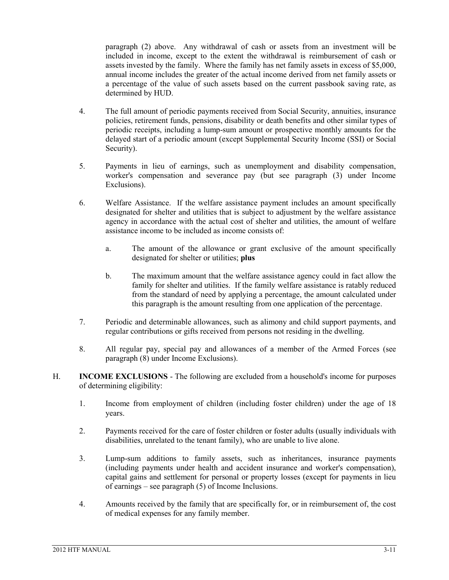paragraph (2) above. Any withdrawal of cash or assets from an investment will be included in income, except to the extent the withdrawal is reimbursement of cash or assets invested by the family. Where the family has net family assets in excess of \$5,000, annual income includes the greater of the actual income derived from net family assets or a percentage of the value of such assets based on the current passbook saving rate, as determined by HUD.

- 4. The full amount of periodic payments received from Social Security, annuities, insurance policies, retirement funds, pensions, disability or death benefits and other similar types of periodic receipts, including a lump-sum amount or prospective monthly amounts for the delayed start of a periodic amount (except Supplemental Security Income (SSI) or Social Security).
- 5. Payments in lieu of earnings, such as unemployment and disability compensation, worker's compensation and severance pay (but see paragraph (3) under Income Exclusions).
- 6. Welfare Assistance. If the welfare assistance payment includes an amount specifically designated for shelter and utilities that is subject to adjustment by the welfare assistance agency in accordance with the actual cost of shelter and utilities, the amount of welfare assistance income to be included as income consists of:
	- a. The amount of the allowance or grant exclusive of the amount specifically designated for shelter or utilities; **plus**
	- b. The maximum amount that the welfare assistance agency could in fact allow the family for shelter and utilities. If the family welfare assistance is ratably reduced from the standard of need by applying a percentage, the amount calculated under this paragraph is the amount resulting from one application of the percentage.
- 7. Periodic and determinable allowances, such as alimony and child support payments, and regular contributions or gifts received from persons not residing in the dwelling.
- 8. All regular pay, special pay and allowances of a member of the Armed Forces (see paragraph (8) under Income Exclusions).
- H. **INCOME EXCLUSIONS** The following are excluded from a household's income for purposes of determining eligibility:
	- 1. Income from employment of children (including foster children) under the age of 18 years.
	- 2. Payments received for the care of foster children or foster adults (usually individuals with disabilities, unrelated to the tenant family), who are unable to live alone.
	- 3. Lump-sum additions to family assets, such as inheritances, insurance payments (including payments under health and accident insurance and worker's compensation), capital gains and settlement for personal or property losses (except for payments in lieu of earnings – see paragraph (5) of Income Inclusions.
	- 4. Amounts received by the family that are specifically for, or in reimbursement of, the cost of medical expenses for any family member.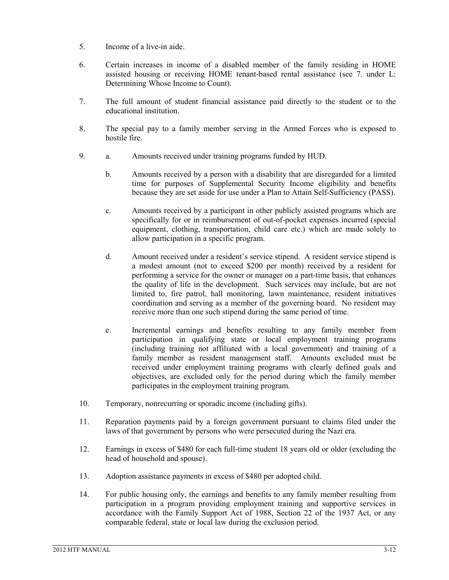- 5. Income of a live-in aide.
- 6. Certain increases in income of a disabled member of the family residing in HOME assisted housing or receiving HOME tenant-based rental assistance (see 7. under L: Determining Whose Income to Count).
- 7. The full amount of student financial assistance paid directly to the student or to the educational institution.
- 8. The special pay to a family member serving in the Armed Forces who is exposed to hostile fire.
- 9. a. Amounts received under training programs funded by HUD.
	- b. Amounts received by a person with a disability that are disregarded for a limited time for purposes of Supplemental Security Income eligibility and benefits because they are set aside for use under a Plan to Attain Self-Sufficiency (PASS).
	- c. Amounts received by a participant in other publicly assisted programs which are specifically for or in reimbursement of out-of-pocket expenses incurred (special equipment, clothing, transportation, child care etc.) which are made solely to allow participation in a specific program.
	- d. Amount received under a resident's service stipend. A resident service stipend is a modest amount (not to exceed \$200 per month) received by a resident for performing a service for the owner or manager on a part-time basis, that enhances the quality of life in the development. Such services may include, but are not limited to, fire patrol, hall monitoring, lawn maintenance, resident initiatives coordination and serving as a member of the governing board. No resident may receive more than one such stipend during the same period of time.
	- e. Incremental earnings and benefits resulting to any family member from participation in qualifying state or local employment training programs (including training not affiliated with a local government) and training of a family member as resident management staff. Amounts excluded must be received under employment training programs with clearly defined goals and objectives, are excluded only for the period during which the family member participates in the employment training program.
- 10. Temporary, nonrecurring or sporadic income (including gifts).
- 11. Reparation payments paid by a foreign government pursuant to claims filed under the laws of that government by persons who were persecuted during the Nazi era.
- 12. Earnings in excess of \$480 for each full-time student 18 years old or older (excluding the head of household and spouse).
- 13. Adoption assistance payments in excess of \$480 per adopted child.
- 14. For public housing only, the earnings and benefits to any family member resulting from participation in a program providing employment training and supportive services in accordance with the Family Support Act of 1988, Section 22 of the 1937 Act, or any comparable federal, state or local law during the exclusion period.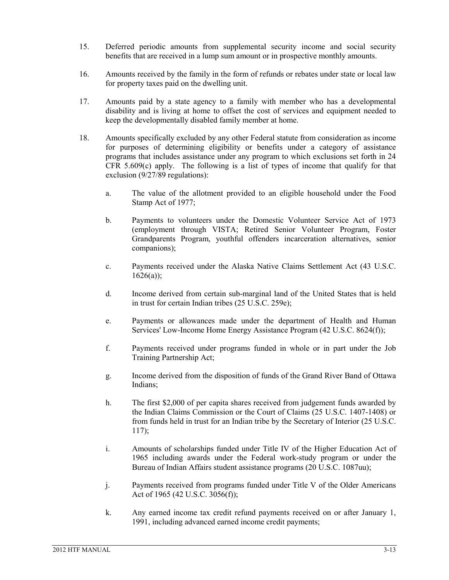- 15. Deferred periodic amounts from supplemental security income and social security benefits that are received in a lump sum amount or in prospective monthly amounts.
- 16. Amounts received by the family in the form of refunds or rebates under state or local law for property taxes paid on the dwelling unit.
- 17. Amounts paid by a state agency to a family with member who has a developmental disability and is living at home to offset the cost of services and equipment needed to keep the developmentally disabled family member at home.
- 18. Amounts specifically excluded by any other Federal statute from consideration as income for purposes of determining eligibility or benefits under a category of assistance programs that includes assistance under any program to which exclusions set forth in 24 CFR 5.609(c) apply. The following is a list of types of income that qualify for that exclusion (9/27/89 regulations):
	- a. The value of the allotment provided to an eligible household under the Food Stamp Act of 1977;
	- b. Payments to volunteers under the Domestic Volunteer Service Act of 1973 (employment through VISTA; Retired Senior Volunteer Program, Foster Grandparents Program, youthful offenders incarceration alternatives, senior companions);
	- c. Payments received under the Alaska Native Claims Settlement Act (43 U.S.C.  $1626(a)$ :
	- d. Income derived from certain sub-marginal land of the United States that is held in trust for certain Indian tribes (25 U.S.C. 259e);
	- e. Payments or allowances made under the department of Health and Human Services' Low-Income Home Energy Assistance Program (42 U.S.C. 8624(f));
	- f. Payments received under programs funded in whole or in part under the Job Training Partnership Act;
	- g. Income derived from the disposition of funds of the Grand River Band of Ottawa Indians;
	- h. The first \$2,000 of per capita shares received from judgement funds awarded by the Indian Claims Commission or the Court of Claims (25 U.S.C. 1407-1408) or from funds held in trust for an Indian tribe by the Secretary of Interior (25 U.S.C. 117);
	- i. Amounts of scholarships funded under Title IV of the Higher Education Act of 1965 including awards under the Federal work-study program or under the Bureau of Indian Affairs student assistance programs (20 U.S.C. 1087uu);
	- j. Payments received from programs funded under Title V of the Older Americans Act of 1965 (42 U.S.C. 3056(f));
	- k. Any earned income tax credit refund payments received on or after January 1, 1991, including advanced earned income credit payments;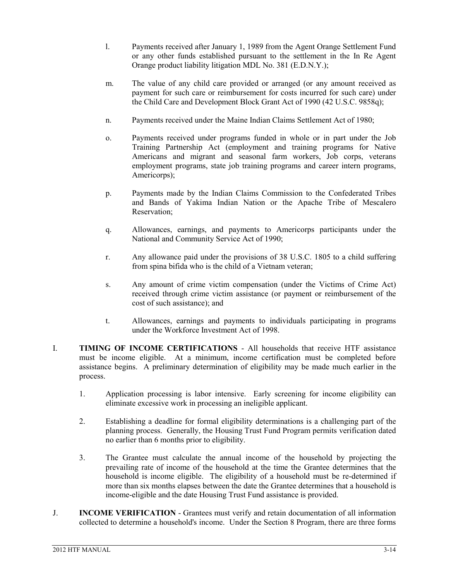- l. Payments received after January 1, 1989 from the Agent Orange Settlement Fund or any other funds established pursuant to the settlement in the In Re Agent Orange product liability litigation MDL No. 381 (E.D.N.Y.);
- m. The value of any child care provided or arranged (or any amount received as payment for such care or reimbursement for costs incurred for such care) under the Child Care and Development Block Grant Act of 1990 (42 U.S.C. 9858q);
- n. Payments received under the Maine Indian Claims Settlement Act of 1980;
- o. Payments received under programs funded in whole or in part under the Job Training Partnership Act (employment and training programs for Native Americans and migrant and seasonal farm workers, Job corps, veterans employment programs, state job training programs and career intern programs, Americorps);
- p. Payments made by the Indian Claims Commission to the Confederated Tribes and Bands of Yakima Indian Nation or the Apache Tribe of Mescalero Reservation;
- q. Allowances, earnings, and payments to Americorps participants under the National and Community Service Act of 1990;
- r. Any allowance paid under the provisions of 38 U.S.C. 1805 to a child suffering from spina bifida who is the child of a Vietnam veteran;
- s. Any amount of crime victim compensation (under the Victims of Crime Act) received through crime victim assistance (or payment or reimbursement of the cost of such assistance); and
- t. Allowances, earnings and payments to individuals participating in programs under the Workforce Investment Act of 1998.
- I. **TIMING OF INCOME CERTIFICATIONS** All households that receive HTF assistance must be income eligible. At a minimum, income certification must be completed before assistance begins. A preliminary determination of eligibility may be made much earlier in the process.
	- 1. Application processing is labor intensive. Early screening for income eligibility can eliminate excessive work in processing an ineligible applicant.
	- 2. Establishing a deadline for formal eligibility determinations is a challenging part of the planning process. Generally, the Housing Trust Fund Program permits verification dated no earlier than 6 months prior to eligibility.
	- 3. The Grantee must calculate the annual income of the household by projecting the prevailing rate of income of the household at the time the Grantee determines that the household is income eligible. The eligibility of a household must be re-determined if more than six months elapses between the date the Grantee determines that a household is income-eligible and the date Housing Trust Fund assistance is provided.
- J. **INCOME VERIFICATION** Grantees must verify and retain documentation of all information collected to determine a household's income. Under the Section 8 Program, there are three forms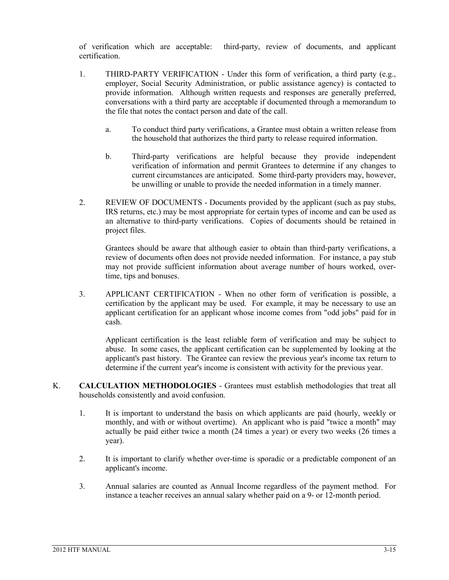of verification which are acceptable: third-party, review of documents, and applicant certification.

- 1. THIRD-PARTY VERIFICATION Under this form of verification, a third party (e.g., employer, Social Security Administration, or public assistance agency) is contacted to provide information. Although written requests and responses are generally preferred, conversations with a third party are acceptable if documented through a memorandum to the file that notes the contact person and date of the call.
	- a. To conduct third party verifications, a Grantee must obtain a written release from the household that authorizes the third party to release required information.
	- b. Third-party verifications are helpful because they provide independent verification of information and permit Grantees to determine if any changes to current circumstances are anticipated. Some third-party providers may, however, be unwilling or unable to provide the needed information in a timely manner.
- 2. REVIEW OF DOCUMENTS Documents provided by the applicant (such as pay stubs, IRS returns, etc.) may be most appropriate for certain types of income and can be used as an alternative to third-party verifications. Copies of documents should be retained in project files.

Grantees should be aware that although easier to obtain than third-party verifications, a review of documents often does not provide needed information. For instance, a pay stub may not provide sufficient information about average number of hours worked, overtime, tips and bonuses.

3. APPLICANT CERTIFICATION - When no other form of verification is possible, a certification by the applicant may be used. For example, it may be necessary to use an applicant certification for an applicant whose income comes from "odd jobs" paid for in cash.

Applicant certification is the least reliable form of verification and may be subject to abuse. In some cases, the applicant certification can be supplemented by looking at the applicant's past history. The Grantee can review the previous year's income tax return to determine if the current year's income is consistent with activity for the previous year.

- K. **CALCULATION METHODOLOGIES** Grantees must establish methodologies that treat all households consistently and avoid confusion.
	- 1. It is important to understand the basis on which applicants are paid (hourly, weekly or monthly, and with or without overtime). An applicant who is paid "twice a month" may actually be paid either twice a month (24 times a year) or every two weeks (26 times a year).
	- 2. It is important to clarify whether over-time is sporadic or a predictable component of an applicant's income.
	- 3. Annual salaries are counted as Annual Income regardless of the payment method. For instance a teacher receives an annual salary whether paid on a 9- or 12-month period.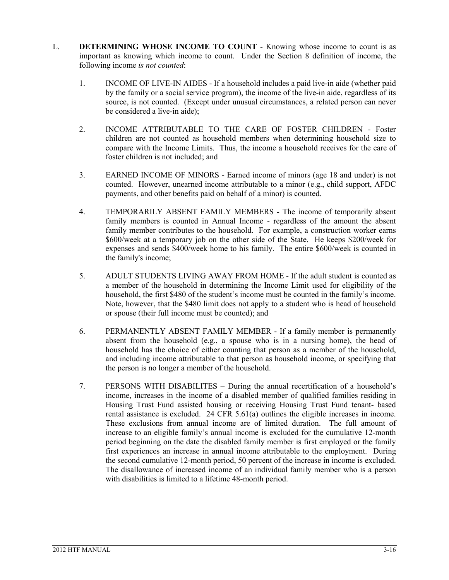- L. **DETERMINING WHOSE INCOME TO COUNT** Knowing whose income to count is as important as knowing which income to count. Under the Section 8 definition of income, the following income *is not counted*:
	- 1. INCOME OF LIVE-IN AIDES If a household includes a paid live-in aide (whether paid by the family or a social service program), the income of the live-in aide, regardless of its source, is not counted. (Except under unusual circumstances, a related person can never be considered a live-in aide);
	- 2. INCOME ATTRIBUTABLE TO THE CARE OF FOSTER CHILDREN Foster children are not counted as household members when determining household size to compare with the Income Limits. Thus, the income a household receives for the care of foster children is not included; and
	- 3. EARNED INCOME OF MINORS Earned income of minors (age 18 and under) is not counted. However, unearned income attributable to a minor (e.g., child support, AFDC payments, and other benefits paid on behalf of a minor) is counted.
	- 4. TEMPORARILY ABSENT FAMILY MEMBERS The income of temporarily absent family members is counted in Annual Income - regardless of the amount the absent family member contributes to the household. For example, a construction worker earns \$600/week at a temporary job on the other side of the State. He keeps \$200/week for expenses and sends \$400/week home to his family. The entire \$600/week is counted in the family's income;
	- 5. ADULT STUDENTS LIVING AWAY FROM HOME If the adult student is counted as a member of the household in determining the Income Limit used for eligibility of the household, the first \$480 of the student's income must be counted in the family's income. Note, however, that the \$480 limit does not apply to a student who is head of household or spouse (their full income must be counted); and
	- 6. PERMANENTLY ABSENT FAMILY MEMBER If a family member is permanently absent from the household (e.g., a spouse who is in a nursing home), the head of household has the choice of either counting that person as a member of the household, and including income attributable to that person as household income, or specifying that the person is no longer a member of the household.
	- 7. PERSONS WITH DISABILITES During the annual recertification of a household's income, increases in the income of a disabled member of qualified families residing in Housing Trust Fund assisted housing or receiving Housing Trust Fund tenant- based rental assistance is excluded. 24 CFR 5.61(a) outlines the eligible increases in income. These exclusions from annual income are of limited duration. The full amount of increase to an eligible family's annual income is excluded for the cumulative 12-month period beginning on the date the disabled family member is first employed or the family first experiences an increase in annual income attributable to the employment. During the second cumulative 12-month period, 50 percent of the increase in income is excluded. The disallowance of increased income of an individual family member who is a person with disabilities is limited to a lifetime 48-month period.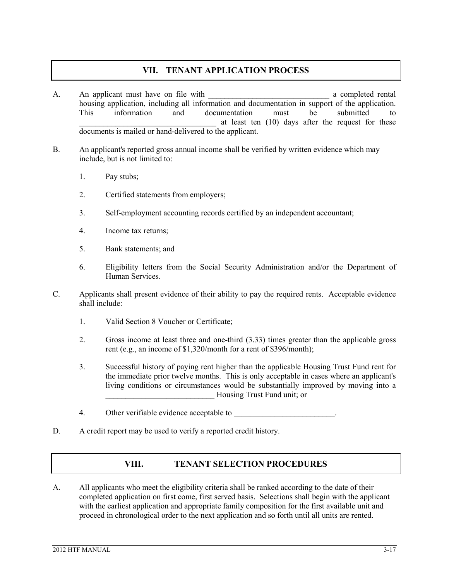#### **VII. TENANT APPLICATION PROCESS**

- A. An applicant must have on file with the set of the set of the set of the set of the set of the set of the set of the set of the set of the set of the set of the set of the set of the set of the set of the set of the set housing application, including all information and documentation in support of the application. This information and documentation must be submitted to at least ten (10) days after the request for these documents is mailed or hand-delivered to the applicant.
- B. An applicant's reported gross annual income shall be verified by written evidence which may include, but is not limited to:
	- 1. Pay stubs;
	- 2. Certified statements from employers;
	- 3. Self-employment accounting records certified by an independent accountant;
	- 4. Income tax returns;
	- 5. Bank statements; and
	- 6. Eligibility letters from the Social Security Administration and/or the Department of Human Services.
- C. Applicants shall present evidence of their ability to pay the required rents. Acceptable evidence shall include:
	- 1. Valid Section 8 Voucher or Certificate;
	- 2. Gross income at least three and one-third (3.33) times greater than the applicable gross rent (e.g., an income of \$1,320/month for a rent of \$396/month);
	- 3. Successful history of paying rent higher than the applicable Housing Trust Fund rent for the immediate prior twelve months. This is only acceptable in cases where an applicant's living conditions or circumstances would be substantially improved by moving into a Housing Trust Fund unit; or
	- 4. Other verifiable evidence acceptable to
- D. A credit report may be used to verify a reported credit history.

#### **VIII. TENANT SELECTION PROCEDURES**

A. All applicants who meet the eligibility criteria shall be ranked according to the date of their completed application on first come, first served basis. Selections shall begin with the applicant with the earliest application and appropriate family composition for the first available unit and proceed in chronological order to the next application and so forth until all units are rented.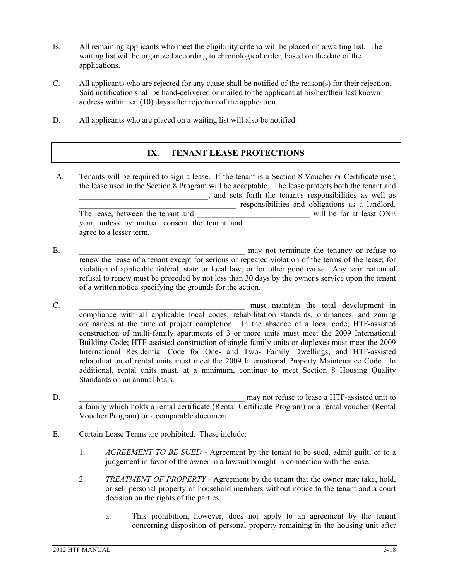- B. All remaining applicants who meet the eligibility criteria will be placed on a waiting list. The waiting list will be organized according to chronological order, based on the date of the applications.
- C. All applicants who are rejected for any cause shall be notified of the reason(s) for their rejection. Said notification shall be hand-delivered or mailed to the applicant at his/her/their last known address within ten (10) days after rejection of the application.
- D. All applicants who are placed on a waiting list will also be notified.

#### **IX. TENANT LEASE PROTECTIONS**

- A. Tenants will be required to sign a lease. If the tenant is a Section 8 Voucher or Certificate user, the lease used in the Section 8 Program will be acceptable. The lease protects both the tenant and \_\_\_\_\_\_\_\_\_\_\_\_\_\_\_\_\_\_\_\_\_\_\_\_\_\_\_\_\_\_\_\_, and sets forth the tenant's responsibilities as well as The lease, between the tenant and responsibilities and obligations as a landlord.<br>Will be for at least ONE will be for at least ONE year, unless by mutual consent the tenant and agree to a lesser term.
- B. The contract of the state of the may not terminate the tenancy or refuse to  $\mathbb{R}^2$ renew the lease of a tenant except for serious or repeated violation of the terms of the lease; for violation of applicable federal, state or local law; or for other good cause. Any termination of refusal to renew must be preceded by not less than 30 days by the owner's service upon the tenant of a written notice specifying the grounds for the action.
- C. The contract of the contract of the must maintain the total development in  $\mathbb{R}^n$ compliance with all applicable local codes, rehabilitation standards, ordinances, and zoning ordinances at the time of project completion. In the absence of a local code, HTF-assisted construction of multi-family apartments of 3 or more units must meet the 2009 International Building Code; HTF-assisted construction of single-family units or duplexes must meet the 2009 International Residential Code for One- and Two- Family Dwellings; and HTF-assisted rehabilitation of rental units must meet the 2009 International Property Maintenance Code. In additional, rental units must, at a minimum, continue to meet Section 8 Housing Quality Standards on an annual basis.
- D.  $\Box$  may not refuse to lease a HTF-assisted unit to a family which holds a rental certificate (Rental Certificate Program) or a rental voucher (Rental Voucher Program) or a comparable document.
- E. Certain Lease Terms are prohibited. These include:
	- 1. *AGREEMENT TO BE SUED* Agreement by the tenant to be sued, admit guilt, or to a judgement in favor of the owner in a lawsuit brought in connection with the lease.
	- 2. *TREATMENT OF PROPERTY -* Agreement by the tenant that the owner may take, hold, or sell personal property of household members without notice to the tenant and a court decision on the rights of the parties.
		- a. This prohibition, however, does not apply to an agreement by the tenant concerning disposition of personal property remaining in the housing unit after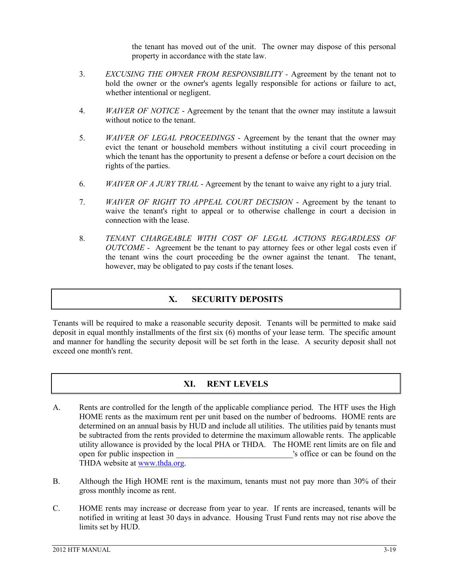the tenant has moved out of the unit. The owner may dispose of this personal property in accordance with the state law.

- 3. *EXCUSING THE OWNER FROM RESPONSIBILITY -* Agreement by the tenant not to hold the owner or the owner's agents legally responsible for actions or failure to act, whether intentional or negligent.
- 4. *WAIVER OF NOTICE* Agreement by the tenant that the owner may institute a lawsuit without notice to the tenant.
- 5. *WAIVER OF LEGAL PROCEEDINGS* Agreement by the tenant that the owner may evict the tenant or household members without instituting a civil court proceeding in which the tenant has the opportunity to present a defense or before a court decision on the rights of the parties.
- 6. *WAIVER OF A JURY TRIAL* Agreement by the tenant to waive any right to a jury trial.
- 7. *WAIVER OF RIGHT TO APPEAL COURT DECISION* Agreement by the tenant to waive the tenant's right to appeal or to otherwise challenge in court a decision in connection with the lease.
- 8. *TENANT CHARGEABLE WITH COST OF LEGAL ACTIONS REGARDLESS OF OUTCOME -* Agreement be the tenant to pay attorney fees or other legal costs even if the tenant wins the court proceeding be the owner against the tenant. The tenant, however, may be obligated to pay costs if the tenant loses.

#### **X. SECURITY DEPOSITS**

Tenants will be required to make a reasonable security deposit. Tenants will be permitted to make said deposit in equal monthly installments of the first six (6) months of your lease term. The specific amount and manner for handling the security deposit will be set forth in the lease. A security deposit shall not exceed one month's rent.

#### **XI. RENT LEVELS**

- A. Rents are controlled for the length of the applicable compliance period. The HTF uses the High HOME rents as the maximum rent per unit based on the number of bedrooms. HOME rents are determined on an annual basis by HUD and include all utilities. The utilities paid by tenants must be subtracted from the rents provided to determine the maximum allowable rents. The applicable utility allowance is provided by the local PHA or THDA. The HOME rent limits are on file and open for public inspection in  $\blacksquare$ THDA website at [www.thda.org.](http://www.thda.org/)
- B. Although the High HOME rent is the maximum, tenants must not pay more than 30% of their gross monthly income as rent.
- C. HOME rents may increase or decrease from year to year. If rents are increased, tenants will be notified in writing at least 30 days in advance. Housing Trust Fund rents may not rise above the limits set by HUD.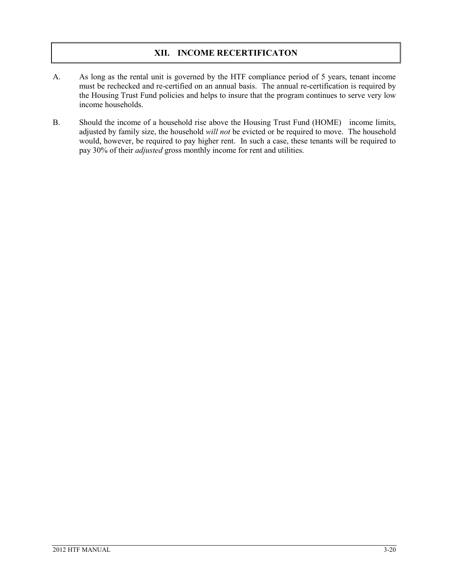#### **XII. INCOME RECERTIFICATON**

- A. As long as the rental unit is governed by the HTF compliance period of 5 years, tenant income must be rechecked and re-certified on an annual basis. The annual re-certification is required by the Housing Trust Fund policies and helps to insure that the program continues to serve very low income households.
- B. Should the income of a household rise above the Housing Trust Fund (HOME) income limits, adjusted by family size, the household *will not* be evicted or be required to move. The household would, however, be required to pay higher rent. In such a case, these tenants will be required to pay 30% of their *adjusted* gross monthly income for rent and utilities.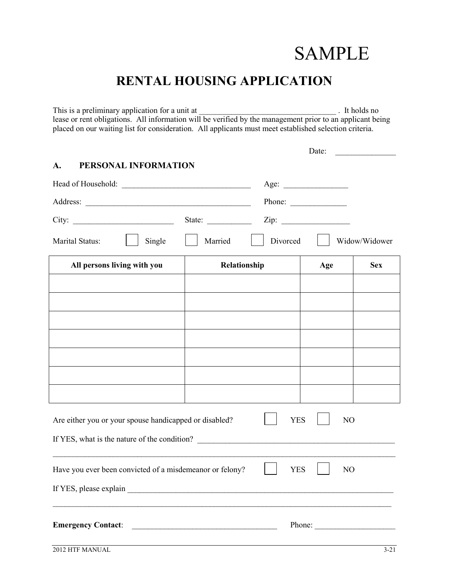## SAMPLE

## **RENTAL HOUSING APPLICATION**

This is a preliminary application for a unit at \_\_\_\_\_\_\_\_\_\_\_\_\_\_\_\_\_\_\_\_\_\_\_\_\_\_\_\_\_\_\_\_\_\_ . It holds no lease or rent obligations. All information will be verified by the management prior to an applicant being placed on our waiting list for consideration. All applicants must meet established selection criteria.

|                                                          |              |            | Date:          |               |
|----------------------------------------------------------|--------------|------------|----------------|---------------|
| PERSONAL INFORMATION<br>A.                               |              |            |                |               |
|                                                          |              |            |                |               |
|                                                          |              | Phone:     |                |               |
| City:                                                    | State:       |            |                |               |
| Marital Status:<br>Single                                | Married      | Divorced   |                | Widow/Widower |
| All persons living with you                              | Relationship |            | Age            | <b>Sex</b>    |
|                                                          |              |            |                |               |
|                                                          |              |            |                |               |
|                                                          |              |            |                |               |
|                                                          |              |            |                |               |
|                                                          |              |            |                |               |
|                                                          |              |            |                |               |
|                                                          |              |            |                |               |
| Are either you or your spouse handicapped or disabled?   |              | <b>YES</b> | N <sub>O</sub> |               |
| If YES, what is the nature of the condition?             |              |            |                |               |
| Have you ever been convicted of a misdemeanor or felony? |              | <b>YES</b> | N <sub>O</sub> |               |
|                                                          |              |            |                |               |
| <b>Emergency Contact:</b>                                |              |            |                | Phone:        |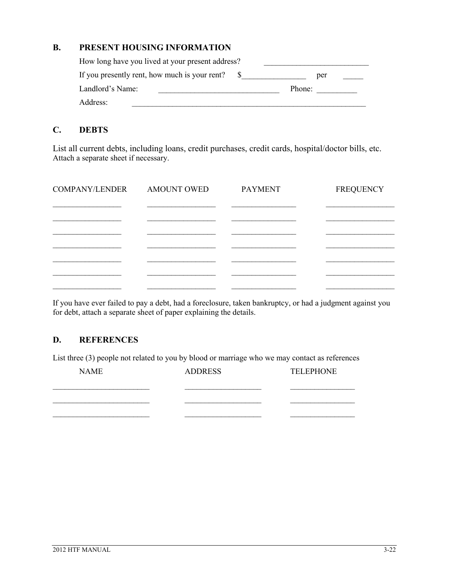#### **B. PRESENT HOUSING INFORMATION**

| How long have you lived at your present address? |        |  |
|--------------------------------------------------|--------|--|
| If you presently rent, how much is your rent?    | per    |  |
| Landlord's Name:                                 | Phone: |  |
| Address:                                         |        |  |

#### **C. DEBTS**

List all current debts, including loans, credit purchases, credit cards, hospital/doctor bills, etc. Attach a separate sheet if necessary.

| COMPANY/LENDER | AMOUNT OWED | <b>PAYMENT</b> | <b>FREQUENCY</b> |
|----------------|-------------|----------------|------------------|
|                |             |                |                  |
|                |             |                |                  |
|                |             |                |                  |
|                |             |                |                  |
|                |             |                |                  |
|                |             |                |                  |

If you have ever failed to pay a debt, had a foreclosure, taken bankruptcy, or had a judgment against you for debt, attach a separate sheet of paper explaining the details.

#### **D. REFERENCES**

List three (3) people not related to you by blood or marriage who we may contact as references

| <b>NAME</b> | <b>ADDRESS</b> | <b>TELEPHONE</b> |
|-------------|----------------|------------------|
|             |                |                  |
|             |                |                  |
|             |                |                  |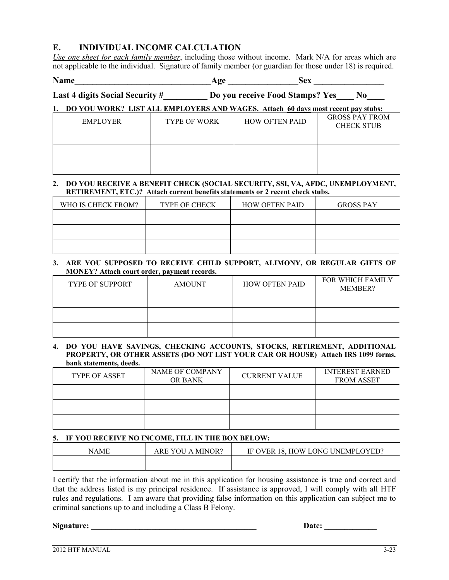#### **E. INDIVIDUAL INCOME CALCULATION**

*Use one sheet for each family member*, including those without income. Mark N/A for areas which are not applicable to the individual. Signature of family member (or guardian for those under 18) is required.

**Name\_\_\_\_\_\_\_\_\_\_\_\_\_\_\_\_\_\_\_\_\_\_\_\_\_\_\_\_\_\_\_Age \_\_\_\_\_\_\_\_\_\_\_\_\_\_\_\_Sex \_\_\_\_\_\_\_\_\_\_\_\_\_\_\_\_**

Last 4 digits Social Security #\_\_\_\_\_\_\_\_\_ Do you receive Food Stamps? Yes\_\_\_\_ No\_\_\_\_

#### **1. DO YOU WORK? LIST ALL EMPLOYERS AND WAGES. Attach 60 days most recent pay stubs:**

| <b>EMPLOYER</b> | <b>TYPE OF WORK</b> | <b>HOW OFTEN PAID</b> | <b>GROSS PAY FROM</b><br><b>CHECK STUB</b> |
|-----------------|---------------------|-----------------------|--------------------------------------------|
|                 |                     |                       |                                            |
|                 |                     |                       |                                            |
|                 |                     |                       |                                            |

#### **2. DO YOU RECEIVE A BENEFIT CHECK (SOCIAL SECURITY, SSI, VA, AFDC, UNEMPLOYMENT, RETIREMENT, ETC.)? Attach current benefits statements or 2 recent check stubs.**

| WHO IS CHECK FROM? | <b>TYPE OF CHECK</b> | <b>HOW OFTEN PAID</b> | <b>GROSS PAY</b> |
|--------------------|----------------------|-----------------------|------------------|
|                    |                      |                       |                  |
|                    |                      |                       |                  |
|                    |                      |                       |                  |

#### **3. ARE YOU SUPPOSED TO RECEIVE CHILD SUPPORT, ALIMONY, OR REGULAR GIFTS OF MONEY? Attach court order, payment records.**

| <b>TYPE OF SUPPORT</b> | <b>AMOUNT</b> | <b>HOW OFTEN PAID</b> | <b>FOR WHICH FAMILY</b><br>MEMBER? |
|------------------------|---------------|-----------------------|------------------------------------|
|                        |               |                       |                                    |
|                        |               |                       |                                    |
|                        |               |                       |                                    |

#### **4. DO YOU HAVE SAVINGS, CHECKING ACCOUNTS, STOCKS, RETIREMENT, ADDITIONAL PROPERTY, OR OTHER ASSETS (DO NOT LIST YOUR CAR OR HOUSE) Attach IRS 1099 forms, bank statements, deeds.**

| <b>TYPE OF ASSET</b> | NAME OF COMPANY<br><b>OR BANK</b> | <b>CURRENT VALUE</b> | <b>INTEREST EARNED</b><br><b>FROM ASSET</b> |
|----------------------|-----------------------------------|----------------------|---------------------------------------------|
|                      |                                   |                      |                                             |
|                      |                                   |                      |                                             |
|                      |                                   |                      |                                             |

#### **5. IF YOU RECEIVE NO INCOME, FILL IN THE BOX BELOW:**

| NAME | MINOR?<br>ARE YOU<br>$\mathbf{A}$ | IF OVER 18. HOW LONG UNEMPLOYED? |
|------|-----------------------------------|----------------------------------|
|      |                                   |                                  |

I certify that the information about me in this application for housing assistance is true and correct and that the address listed is my principal residence. If assistance is approved, I will comply with all HTF rules and regulations. I am aware that providing false information on this application can subject me to criminal sanctions up to and including a Class B Felony.

**Signature: \_\_\_\_\_\_\_\_\_\_\_\_\_\_\_\_\_\_\_\_\_\_\_\_\_\_\_\_\_\_\_\_\_\_\_\_\_\_\_\_\_ Date: \_\_\_\_\_\_\_\_\_\_\_\_\_**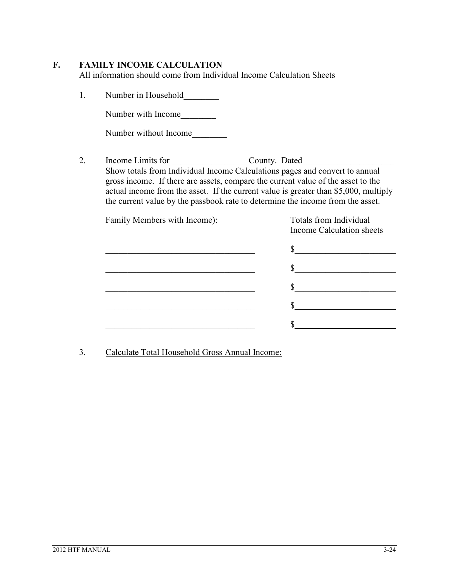#### **F. FAMILY INCOME CALCULATION**

All information should come from Individual Income Calculation Sheets

1. Number in Household\_\_\_\_\_\_\_\_

Number with Income\_\_\_\_\_\_\_\_

Number without Income

2. Income Limits for County. Dated Show totals from Individual Income Calculations pages and convert to annual gross income. If there are assets, compare the current value of the asset to the actual income from the asset. If the current value is greater than \$5,000, multiply the current value by the passbook rate to determine the income from the asset.

| Family Members with Income): | Totals from Individual<br>Income Calculation sheets |
|------------------------------|-----------------------------------------------------|
|                              |                                                     |
|                              |                                                     |
|                              |                                                     |
|                              |                                                     |
|                              |                                                     |
|                              |                                                     |

3. Calculate Total Household Gross Annual Income: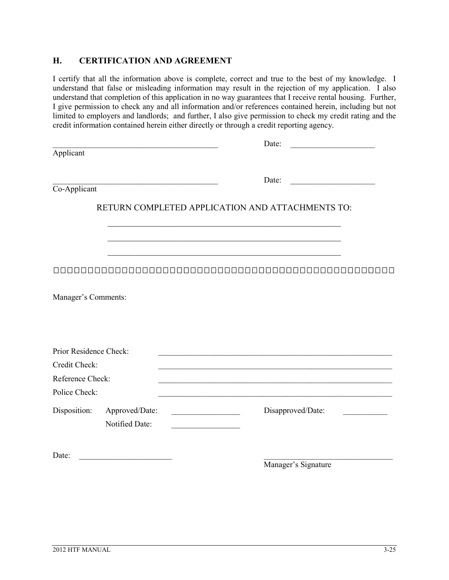#### **H. CERTIFICATION AND AGREEMENT**

I certify that all the information above is complete, correct and true to the best of my knowledge. I understand that false or misleading information may result in the rejection of my application. I also understand that completion of this application in no way guarantees that I receive rental housing. Further, I give permission to check any and all information and/or references contained herein, including but not limited to employers and landlords; and further, I also give permission to check my credit rating and the credit information contained herein either directly or through a credit reporting agency.

| the control of the control of the control of the control of the control of | Date:                                            |
|----------------------------------------------------------------------------|--------------------------------------------------|
| Applicant                                                                  |                                                  |
|                                                                            | Date:                                            |
| Co-Applicant                                                               |                                                  |
|                                                                            | RETURN COMPLETED APPLICATION AND ATTACHMENTS TO: |
|                                                                            |                                                  |
|                                                                            |                                                  |
|                                                                            |                                                  |
| Manager's Comments:                                                        |                                                  |
| Prior Residence Check:                                                     |                                                  |
| Credit Check:                                                              |                                                  |
| Reference Check:                                                           |                                                  |
| Police Check:                                                              |                                                  |
| Disposition:<br>Approved/Date:<br>Notified Date:                           | Disapproved/Date:                                |
| Date:                                                                      | Manager's Signature                              |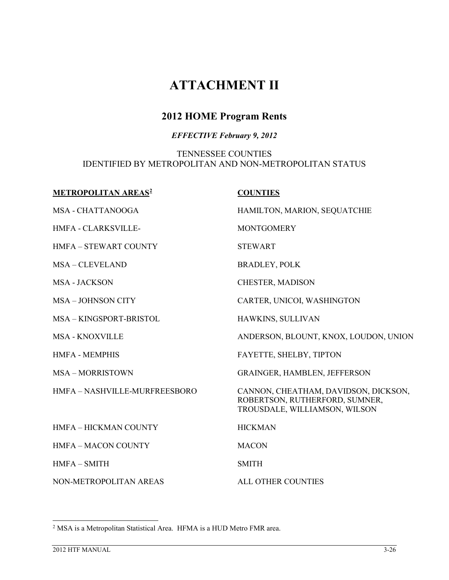## **ATTACHMENT II**

#### **2012 HOME Program Rents**

#### *EFFECTIVE February 9, 2012*

#### TENNESSEE COUNTIES IDENTIFIED BY METROPOLITAN AND NON-METROPOLITAN STATUS

| <b>METROPOLITAN AREAS<sup>2</sup></b> | <b>COUNTIES</b>                                                                                         |
|---------------------------------------|---------------------------------------------------------------------------------------------------------|
| MSA - CHATTANOOGA                     | HAMILTON, MARION, SEQUATCHIE                                                                            |
| <b>HMFA - CLARKSVILLE-</b>            | <b>MONTGOMERY</b>                                                                                       |
| <b>HMFA - STEWART COUNTY</b>          | <b>STEWART</b>                                                                                          |
| <b>MSA-CLEVELAND</b>                  | <b>BRADLEY, POLK</b>                                                                                    |
| <b>MSA - JACKSON</b>                  | CHESTER, MADISON                                                                                        |
| <b>MSA - JOHNSON CITY</b>             | CARTER, UNICOI, WASHINGTON                                                                              |
| MSA-KINGSPORT-BRISTOL                 | HAWKINS, SULLIVAN                                                                                       |
| <b>MSA - KNOXVILLE</b>                | ANDERSON, BLOUNT, KNOX, LOUDON, UNION                                                                   |
| <b>HMFA - MEMPHIS</b>                 | FAYETTE, SHELBY, TIPTON                                                                                 |
| <b>MSA-MORRISTOWN</b>                 | <b>GRAINGER, HAMBLEN, JEFFERSON</b>                                                                     |
| HMFA-NASHVILLE-MURFREESBORO           | CANNON, CHEATHAM, DAVIDSON, DICKSON,<br>ROBERTSON, RUTHERFORD, SUMNER,<br>TROUSDALE, WILLIAMSON, WILSON |
| <b>HMFA - HICKMAN COUNTY</b>          | <b>HICKMAN</b>                                                                                          |
| <b>HMFA-MACON COUNTY</b>              | <b>MACON</b>                                                                                            |
| $HMFA-SMITH$                          | <b>SMITH</b>                                                                                            |
| NON-METROPOLITAN AREAS                | ALL OTHER COUNTIES                                                                                      |

<span id="page-69-0"></span> <sup>2</sup> MSA is a Metropolitan Statistical Area. HFMA is a HUD Metro FMR area.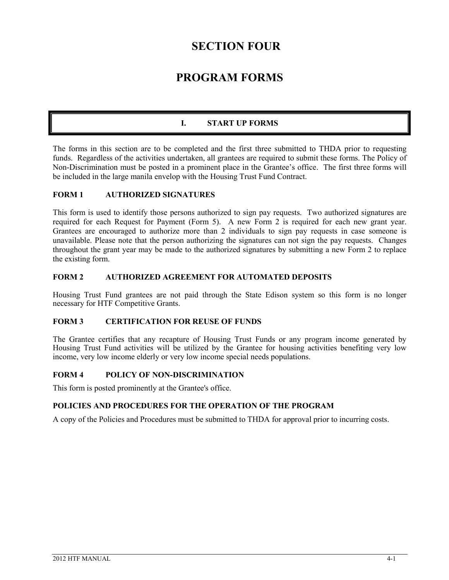### **SECTION FOUR**

## **PROGRAM FORMS**

#### **I. START UP FORMS**

The forms in this section are to be completed and the first three submitted to THDA prior to requesting funds. Regardless of the activities undertaken, all grantees are required to submit these forms. The Policy of Non-Discrimination must be posted in a prominent place in the Grantee's office. The first three forms will be included in the large manila envelop with the Housing Trust Fund Contract.

#### **FORM 1 AUTHORIZED SIGNATURES**

This form is used to identify those persons authorized to sign pay requests. Two authorized signatures are required for each Request for Payment (Form 5). A new Form 2 is required for each new grant year. Grantees are encouraged to authorize more than 2 individuals to sign pay requests in case someone is unavailable. Please note that the person authorizing the signatures can not sign the pay requests. Changes throughout the grant year may be made to the authorized signatures by submitting a new Form 2 to replace the existing form.

#### **FORM 2 AUTHORIZED AGREEMENT FOR AUTOMATED DEPOSITS**

Housing Trust Fund grantees are not paid through the State Edison system so this form is no longer necessary for HTF Competitive Grants.

#### **FORM 3 CERTIFICATION FOR REUSE OF FUNDS**

The Grantee certifies that any recapture of Housing Trust Funds or any program income generated by Housing Trust Fund activities will be utilized by the Grantee for housing activities benefiting very low income, very low income elderly or very low income special needs populations.

#### **FORM 4 POLICY OF NON-DISCRIMINATION**

This form is posted prominently at the Grantee's office.

#### **POLICIES AND PROCEDURES FOR THE OPERATION OF THE PROGRAM**

A copy of the Policies and Procedures must be submitted to THDA for approval prior to incurring costs.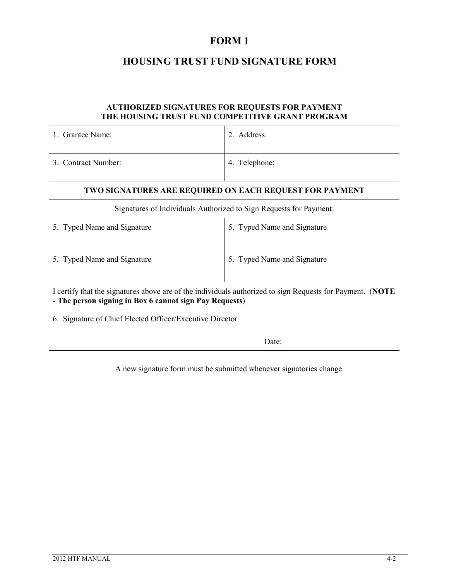#### **FORM 1**

#### **HOUSING TRUST FUND SIGNATURE FORM**

| AUTHORIZED SIGNATURES FOR REQUESTS FOR PAYMENT<br>THE HOUSING TRUST FUND COMPETITIVE GRANT PROGRAM                                                                   |                             |  |
|----------------------------------------------------------------------------------------------------------------------------------------------------------------------|-----------------------------|--|
| 1. Grantee Name:                                                                                                                                                     | 2. Address:                 |  |
| 3. Contract Number:                                                                                                                                                  | 4. Telephone:               |  |
| TWO SIGNATURES ARE REQUIRED ON EACH REQUEST FOR PAYMENT                                                                                                              |                             |  |
| Signatures of Individuals Authorized to Sign Requests for Payment:                                                                                                   |                             |  |
| 5. Typed Name and Signature                                                                                                                                          | 5. Typed Name and Signature |  |
| 5. Typed Name and Signature                                                                                                                                          | 5. Typed Name and Signature |  |
| I certify that the signatures above are of the individuals authorized to sign Requests for Payment. (NOTE<br>- The person signing in Box 6 cannot sign Pay Requests) |                             |  |
| 6. Signature of Chief Elected Officer/Executive Director                                                                                                             |                             |  |
| Date:                                                                                                                                                                |                             |  |

A new signature form must be submitted whenever signatories change.

Ī

 $\overline{\mathbf{1}}$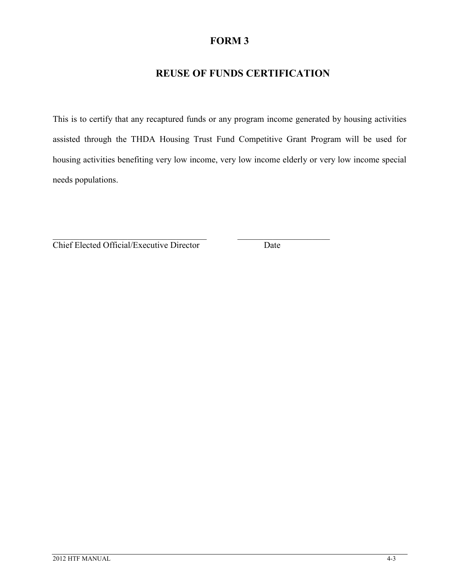### **REUSE OF FUNDS CERTIFICATION**

This is to certify that any recaptured funds or any program income generated by housing activities assisted through the THDA Housing Trust Fund Competitive Grant Program will be used for housing activities benefiting very low income, very low income elderly or very low income special needs populations.

\_\_\_\_\_\_\_\_\_\_\_\_\_\_\_\_\_\_\_\_\_\_\_\_\_\_\_\_\_\_\_\_\_\_\_ \_\_\_\_\_\_\_\_\_\_\_\_\_\_\_\_\_\_\_\_\_

Chief Elected Official/Executive Director Date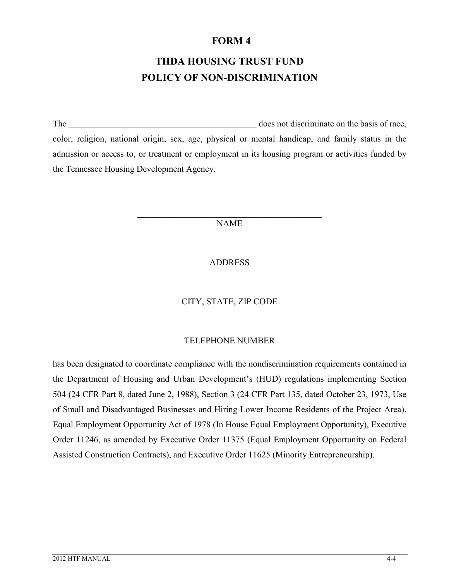# **THDA HOUSING TRUST FUND POLICY OF NON-DISCRIMINATION**

The does not discriminate on the basis of race, color, religion, national origin, sex, age, physical or mental handicap, and family status in the admission or access to, or treatment or employment in its housing program or activities funded by the Tennessee Housing Development Agency.

> $\mathcal{L}_\mathcal{L}$  , which is a set of the set of the set of the set of the set of the set of the set of the set of the set of the set of the set of the set of the set of the set of the set of the set of the set of the set of NAME

> > ADDRESS

CITY, STATE, ZIP CODE

#### $\mathcal{L}_\mathcal{L}$  , which is a set of the set of the set of the set of the set of the set of the set of the set of the set of the set of the set of the set of the set of the set of the set of the set of the set of the set of TELEPHONE NUMBER

has been designated to coordinate compliance with the nondiscrimination requirements contained in the Department of Housing and Urban Development's (HUD) regulations implementing Section 504 (24 CFR Part 8, dated June 2, 1988), Section 3 (24 CFR Part 135, dated October 23, 1973, Use of Small and Disadvantaged Businesses and Hiring Lower Income Residents of the Project Area), Equal Employment Opportunity Act of 1978 (In House Equal Employment Opportunity), Executive Order 11246, as amended by Executive Order 11375 (Equal Employment Opportunity on Federal Assisted Construction Contracts), and Executive Order 11625 (Minority Entrepreneurship).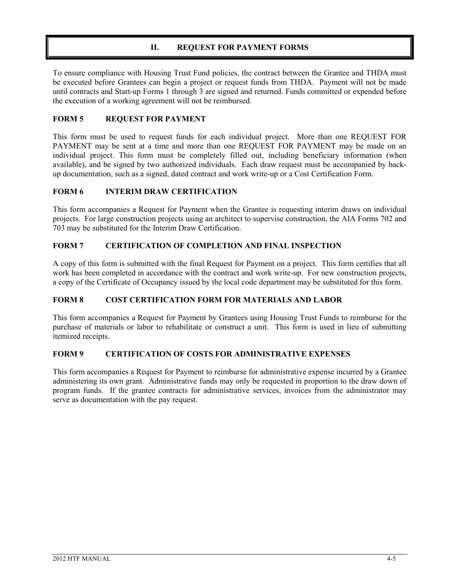#### **II. REQUEST FOR PAYMENT FORMS**

To ensure compliance with Housing Trust Fund policies, the contract between the Grantee and THDA must be executed before Grantees can begin a project or request funds from THDA. Payment will not be made until contracts and Start-up Forms 1 through 3 are signed and returned. Funds committed or expended before the execution of a working agreement will not be reimbursed.

#### **FORM 5 REQUEST FOR PAYMENT**

This form must be used to request funds for each individual project. More than one REQUEST FOR PAYMENT may be sent at a time and more than one REQUEST FOR PAYMENT may be made on an individual project. This form must be completely filled out, including beneficiary information (when available), and be signed by two authorized individuals. Each draw request must be accompanied by backup documentation, such as a signed, dated contract and work write-up or a Cost Certification Form.

#### **FORM 6 INTERIM DRAW CERTIFICATION**

This form accompanies a Request for Payment when the Grantee is requesting interim draws on individual projects. For large construction projects using an architect to supervise construction, the AIA Forms 702 and 703 may be substituted for the Interim Draw Certification.

#### **FORM 7 CERTIFICATION OF COMPLETION AND FINAL INSPECTION**

A copy of this form is submitted with the final Request for Payment on a project. This form certifies that all work has been completed in accordance with the contract and work write-up. For new construction projects, a copy of the Certificate of Occupancy issued by the local code department may be substituted for this form.

#### **FORM 8 COST CERTIFICATION FORM FOR MATERIALS AND LABOR**

This form accompanies a Request for Payment by Grantees using Housing Trust Funds to reimburse for the purchase of materials or labor to rehabilitate or construct a unit. This form is used in lieu of submitting itemized receipts.

#### **FORM 9 CERTIFICATION OF COSTS FOR ADMINISTRATIVE EXPENSES**

This form accompanies a Request for Payment to reimburse for administrative expense incurred by a Grantee administering its own grant. Administrative funds may only be requested in proportion to the draw down of program funds. If the grantee contracts for administrative services, invoices from the administrator may serve as documentation with the pay request.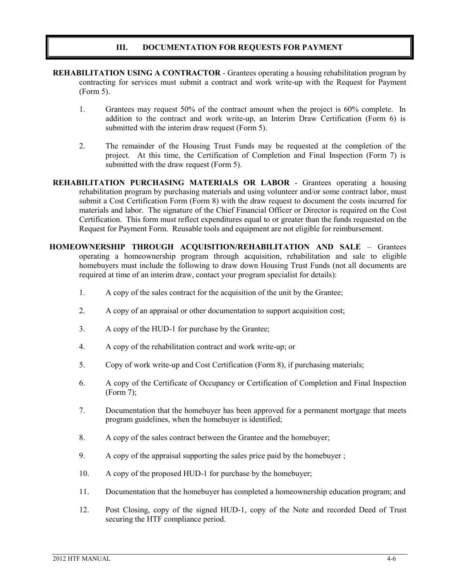#### **III. DOCUMENTATION FOR REQUESTS FOR PAYMENT**

- **REHABILITATION USING A CONTRACTOR** Grantees operating a housing rehabilitation program by contracting for services must submit a contract and work write-up with the Request for Payment (Form 5).
	- 1. Grantees may request 50% of the contract amount when the project is 60% complete. In addition to the contract and work write-up, an Interim Draw Certification (Form 6) is submitted with the interim draw request (Form 5).
	- 2. The remainder of the Housing Trust Funds may be requested at the completion of the project. At this time, the Certification of Completion and Final Inspection (Form 7) is submitted with the draw request (Form 5).
- **REHABILITATION PURCHASING MATERIALS OR LABOR** Grantees operating a housing rehabilitation program by purchasing materials and using volunteer and/or some contract labor, must submit a Cost Certification Form (Form 8) with the draw request to document the costs incurred for materials and labor. The signature of the Chief Financial Officer or Director is required on the Cost Certification. This form must reflect expenditures equal to or greater than the funds requested on the Request for Payment Form. Reusable tools and equipment are not eligible for reimbursement.
- **HOMEOWNERSHIP THROUGH ACQUISITION/REHABILITATION AND SALE** Grantees operating a homeownership program through acquisition, rehabilitation and sale to eligible homebuyers must include the following to draw down Housing Trust Funds (not all documents are required at time of an interim draw, contact your program specialist for details):
	- 1. A copy of the sales contract for the acquisition of the unit by the Grantee;
	- 2. A copy of an appraisal or other documentation to support acquisition cost;
	- 3. A copy of the HUD-1 for purchase by the Grantee;
	- 4. A copy of the rehabilitation contract and work write-up; or
	- 5. Copy of work write-up and Cost Certification (Form 8), if purchasing materials;
	- 6. A copy of the Certificate of Occupancy or Certification of Completion and Final Inspection (Form 7);
	- 7. Documentation that the homebuyer has been approved for a permanent mortgage that meets program guidelines, when the homebuyer is identified;
	- 8. A copy of the sales contract between the Grantee and the homebuyer;
	- 9. A copy of the appraisal supporting the sales price paid by the homebuyer ;
	- 10. A copy of the proposed HUD-1 for purchase by the homebuyer;
	- 11. Documentation that the homebuyer has completed a homeownership education program; and
	- 12. Post Closing, copy of the signed HUD-1, copy of the Note and recorded Deed of Trust securing the HTF compliance period.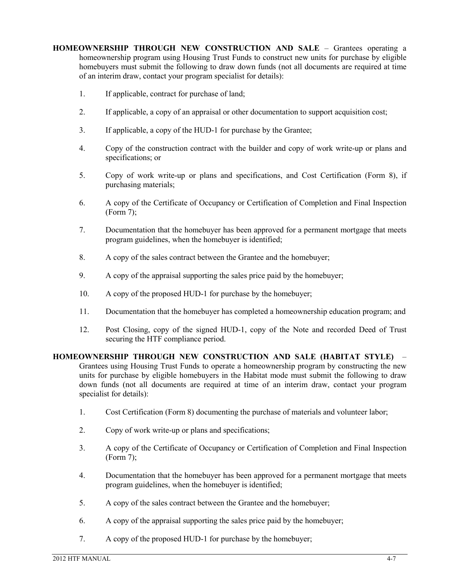**HOMEOWNERSHIP THROUGH NEW CONSTRUCTION AND SALE** – Grantees operating a homeownership program using Housing Trust Funds to construct new units for purchase by eligible homebuyers must submit the following to draw down funds (not all documents are required at time of an interim draw, contact your program specialist for details):

- 1. If applicable, contract for purchase of land;
- 2. If applicable, a copy of an appraisal or other documentation to support acquisition cost;
- 3. If applicable, a copy of the HUD-1 for purchase by the Grantee;
- 4. Copy of the construction contract with the builder and copy of work write-up or plans and specifications; or
- 5. Copy of work write-up or plans and specifications, and Cost Certification (Form 8), if purchasing materials;
- 6. A copy of the Certificate of Occupancy or Certification of Completion and Final Inspection (Form 7);
- 7. Documentation that the homebuyer has been approved for a permanent mortgage that meets program guidelines, when the homebuyer is identified;
- 8. A copy of the sales contract between the Grantee and the homebuyer;
- 9. A copy of the appraisal supporting the sales price paid by the homebuyer;
- 10. A copy of the proposed HUD-1 for purchase by the homebuyer;
- 11. Documentation that the homebuyer has completed a homeownership education program; and
- 12. Post Closing, copy of the signed HUD-1, copy of the Note and recorded Deed of Trust securing the HTF compliance period.

**HOMEOWNERSHIP THROUGH NEW CONSTRUCTION AND SALE (HABITAT STYLE)** – Grantees using Housing Trust Funds to operate a homeownership program by constructing the new units for purchase by eligible homebuyers in the Habitat mode must submit the following to draw down funds (not all documents are required at time of an interim draw, contact your program specialist for details):

- 1. Cost Certification (Form 8) documenting the purchase of materials and volunteer labor;
- 2. Copy of work write-up or plans and specifications;
- 3. A copy of the Certificate of Occupancy or Certification of Completion and Final Inspection (Form 7);
- 4. Documentation that the homebuyer has been approved for a permanent mortgage that meets program guidelines, when the homebuyer is identified;
- 5. A copy of the sales contract between the Grantee and the homebuyer;
- 6. A copy of the appraisal supporting the sales price paid by the homebuyer;
- 7. A copy of the proposed HUD-1 for purchase by the homebuyer;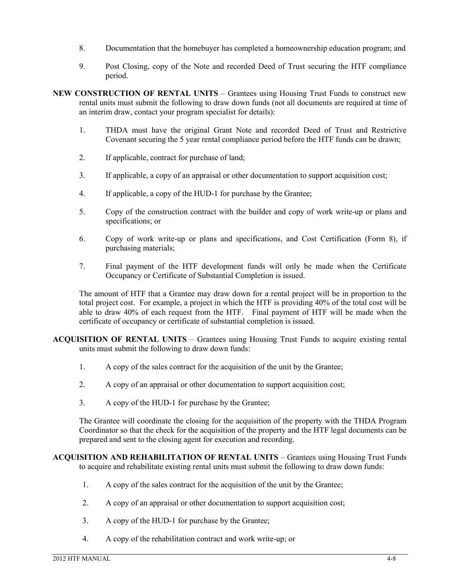- 8. Documentation that the homebuyer has completed a homeownership education program; and
- 9. Post Closing, copy of the Note and recorded Deed of Trust securing the HTF compliance period.
- **NEW CONSTRUCTION OF RENTAL UNITS** Grantees using Housing Trust Funds to construct new rental units must submit the following to draw down funds (not all documents are required at time of an interim draw, contact your program specialist for details):
	- 1. THDA must have the original Grant Note and recorded Deed of Trust and Restrictive Covenant securing the 5 year rental compliance period before the HTF funds can be drawn;
	- 2. If applicable, contract for purchase of land;
	- 3. If applicable, a copy of an appraisal or other documentation to support acquisition cost;
	- 4. If applicable, a copy of the HUD-1 for purchase by the Grantee;
	- 5. Copy of the construction contract with the builder and copy of work write-up or plans and specifications; or
	- 6. Copy of work write-up or plans and specifications, and Cost Certification (Form 8), if purchasing materials;
	- 7. Final payment of the HTF development funds will only be made when the Certificate Occupancy or Certificate of Substantial Completion is issued.

The amount of HTF that a Grantee may draw down for a rental project will be in proportion to the total project cost. For example, a project in which the HTF is providing 40% of the total cost will be able to draw 40% of each request from the HTF. Final payment of HTF will be made when the certificate of occupancy or certificate of substantial completion is issued.

**ACQUISITION OF RENTAL UNITS** – Grantees using Housing Trust Funds to acquire existing rental units must submit the following to draw down funds:

- 1. A copy of the sales contract for the acquisition of the unit by the Grantee;
- 2. A copy of an appraisal or other documentation to support acquisition cost;
- 3. A copy of the HUD-1 for purchase by the Grantee;

The Grantee will coordinate the closing for the acquisition of the property with the THDA Program Coordinator so that the check for the acquisition of the property and the HTF legal documents can be prepared and sent to the closing agent for execution and recording.

**ACQUISITION AND REHABILITATION OF RENTAL UNITS** – Grantees using Housing Trust Funds to acquire and rehabilitate existing rental units must submit the following to draw down funds:

- 1. A copy of the sales contract for the acquisition of the unit by the Grantee;
- 2. A copy of an appraisal or other documentation to support acquisition cost;
- 3. A copy of the HUD-1 for purchase by the Grantee;
- 4. A copy of the rehabilitation contract and work write-up; or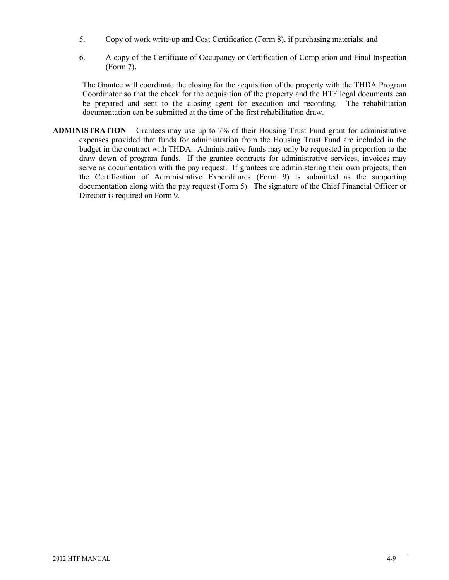- 5. Copy of work write-up and Cost Certification (Form 8), if purchasing materials; and
- 6. A copy of the Certificate of Occupancy or Certification of Completion and Final Inspection (Form 7).

The Grantee will coordinate the closing for the acquisition of the property with the THDA Program Coordinator so that the check for the acquisition of the property and the HTF legal documents can be prepared and sent to the closing agent for execution and recording. The rehabilitation documentation can be submitted at the time of the first rehabilitation draw.

**ADMINISTRATION** – Grantees may use up to 7% of their Housing Trust Fund grant for administrative expenses provided that funds for administration from the Housing Trust Fund are included in the budget in the contract with THDA. Administrative funds may only be requested in proportion to the draw down of program funds. If the grantee contracts for administrative services, invoices may serve as documentation with the pay request. If grantees are administering their own projects, then the Certification of Administrative Expenditures (Form 9) is submitted as the supporting documentation along with the pay request (Form 5). The signature of the Chief Financial Officer or Director is required on Form 9.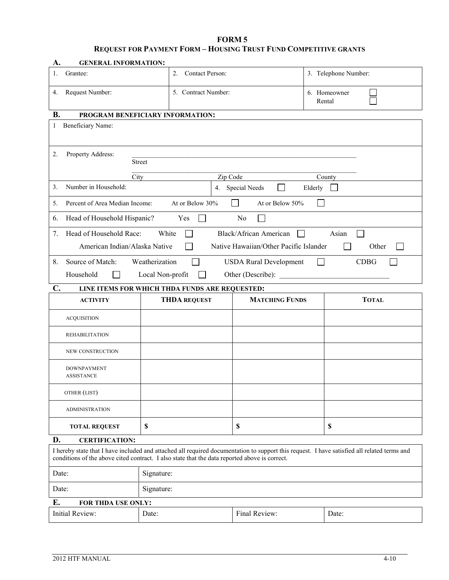#### **FORM 5 REQUEST FOR PAYMENT FORM – HOUSING TRUST FUND COMPETITIVE GRANTS**

| A.             | <b>GENERAL INFORMATION:</b>                        |                                                                                                                                                                                                                                              |                                             |                        |  |  |
|----------------|----------------------------------------------------|----------------------------------------------------------------------------------------------------------------------------------------------------------------------------------------------------------------------------------------------|---------------------------------------------|------------------------|--|--|
| 1.             | Grantee:                                           | Contact Person:<br>2.                                                                                                                                                                                                                        |                                             | 3. Telephone Number:   |  |  |
| 4.             | Request Number:                                    | 5. Contract Number:                                                                                                                                                                                                                          |                                             | 6. Homeowner<br>Rental |  |  |
| <b>B.</b>      | PROGRAM BENEFICIARY INFORMATION:                   |                                                                                                                                                                                                                                              |                                             |                        |  |  |
| 1              | Beneficiary Name:                                  |                                                                                                                                                                                                                                              |                                             |                        |  |  |
|                |                                                    |                                                                                                                                                                                                                                              |                                             |                        |  |  |
| 2.             | Property Address:                                  |                                                                                                                                                                                                                                              |                                             |                        |  |  |
|                |                                                    | <b>Street</b>                                                                                                                                                                                                                                |                                             |                        |  |  |
|                | City                                               | Zip Code                                                                                                                                                                                                                                     |                                             | County                 |  |  |
| 3.             | Number in Household:                               |                                                                                                                                                                                                                                              | 4. Special Needs<br>$\mathbf{I}$<br>Elderly |                        |  |  |
| 5.             | Percent of Area Median Income:                     | At or Below 30%                                                                                                                                                                                                                              | At or Below 50%                             |                        |  |  |
| 6.             | Head of Household Hispanic?                        | Yes                                                                                                                                                                                                                                          | No                                          |                        |  |  |
| 7.             | Head of Household Race:                            | White                                                                                                                                                                                                                                        | Black/African American                      | Asian                  |  |  |
|                | American Indian/Alaska Native                      |                                                                                                                                                                                                                                              | Native Hawaiian/Other Pacific Islander      | Other                  |  |  |
| 8.             | Source of Match:                                   | Weatherization<br>$\overline{\phantom{0}}$                                                                                                                                                                                                   | <b>USDA Rural Development</b>               | <b>CDBG</b>            |  |  |
|                | Household<br>Local Non-profit<br>Other (Describe): |                                                                                                                                                                                                                                              |                                             |                        |  |  |
| $\mathbf{C}$ . | LINE ITEMS FOR WHICH THDA FUNDS ARE REQUESTED:     |                                                                                                                                                                                                                                              |                                             |                        |  |  |
|                |                                                    |                                                                                                                                                                                                                                              |                                             |                        |  |  |
|                | <b>ACTIVITY</b>                                    | <b>THDA REQUEST</b>                                                                                                                                                                                                                          | <b>MATCHING FUNDS</b>                       | <b>TOTAL</b>           |  |  |
|                | <b>ACQUISITION</b>                                 |                                                                                                                                                                                                                                              |                                             |                        |  |  |
|                | <b>REHABILITATION</b>                              |                                                                                                                                                                                                                                              |                                             |                        |  |  |
|                | NEW CONSTRUCTION                                   |                                                                                                                                                                                                                                              |                                             |                        |  |  |
|                | <b>DOWNPAYMENT</b>                                 |                                                                                                                                                                                                                                              |                                             |                        |  |  |
|                | <b>ASSISTANCE</b>                                  |                                                                                                                                                                                                                                              |                                             |                        |  |  |
|                | OTHER (LIST)                                       |                                                                                                                                                                                                                                              |                                             |                        |  |  |
|                | <b>ADMINISTRATION</b>                              |                                                                                                                                                                                                                                              |                                             |                        |  |  |
|                | <b>TOTAL REQUEST</b>                               | \$                                                                                                                                                                                                                                           | \$                                          | \$                     |  |  |
| D.             | <b>CERTIFICATION:</b>                              |                                                                                                                                                                                                                                              |                                             |                        |  |  |
|                |                                                    | I hereby state that I have included and attached all required documentation to support this request. I have satisfied all related terms and<br>conditions of the above cited contract. I also state that the data reported above is correct. |                                             |                        |  |  |
| Date:          |                                                    | Signature:                                                                                                                                                                                                                                   |                                             |                        |  |  |
| Date:          |                                                    | Signature:                                                                                                                                                                                                                                   |                                             |                        |  |  |
| Е.             | FOR THDA USE ONLY:                                 |                                                                                                                                                                                                                                              |                                             |                        |  |  |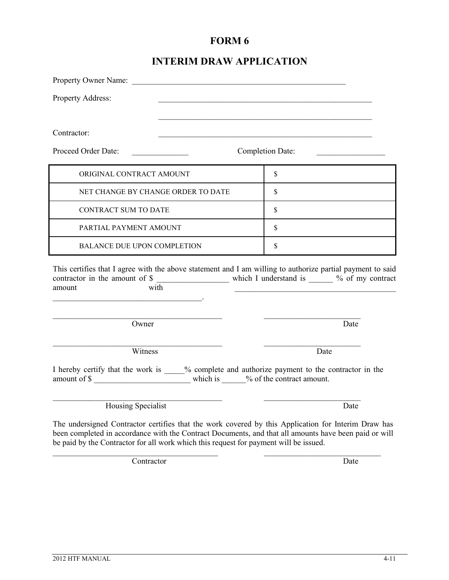### **INTERIM DRAW APPLICATION**

| Property Address:                                                                                                                                                                                                                 |                         |
|-----------------------------------------------------------------------------------------------------------------------------------------------------------------------------------------------------------------------------------|-------------------------|
|                                                                                                                                                                                                                                   |                         |
| Contractor:                                                                                                                                                                                                                       |                         |
| Proceed Order Date:                                                                                                                                                                                                               | <b>Completion Date:</b> |
| ORIGINAL CONTRACT AMOUNT                                                                                                                                                                                                          | $\mathbb{S}$            |
| NET CHANGE BY CHANGE ORDER TO DATE                                                                                                                                                                                                | \$                      |
| <b>CONTRACT SUM TO DATE</b>                                                                                                                                                                                                       | $\mathbb{S}$            |
| PARTIAL PAYMENT AMOUNT                                                                                                                                                                                                            | \$                      |
| <b>BALANCE DUE UPON COMPLETION</b>                                                                                                                                                                                                | $\mathbb{S}$            |
| This certifies that I agree with the above statement and I am willing to authorize partial payment to said<br>contractor in the amount of \$<br>with<br>amount<br>the contract of the contract of the contract of the contract of |                         |
| Owner                                                                                                                                                                                                                             | Date                    |
| Witness                                                                                                                                                                                                                           | Date                    |
| I hereby certify that the work is ____% complete and authorize payment to the contractor in the<br>amount of \$                                                                                                                   |                         |
| Housing Specialist                                                                                                                                                                                                                | Date                    |
| The undersigned Contractor certifies that the work covered by this Application for Interim Draw has<br>been completed in accordance with the Contract Documents, and that all amounts have been paid or will                      |                         |

 $\mathcal{L}_\text{max}$  , and the contribution of the contribution of the contribution of the contribution of the contribution of the contribution of the contribution of the contribution of the contribution of the contribution of t Contractor Date

be paid by the Contractor for all work which this request for payment will be issued.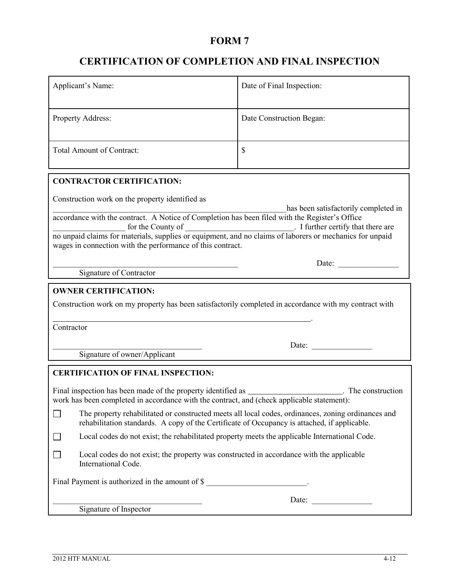## **CERTIFICATION OF COMPLETION AND FINAL INSPECTION**

| Applicant's Name:                                                                                                                                                                                                                                                                                                                                                        | Date of Final Inspection: |  |  |  |
|--------------------------------------------------------------------------------------------------------------------------------------------------------------------------------------------------------------------------------------------------------------------------------------------------------------------------------------------------------------------------|---------------------------|--|--|--|
| Property Address:                                                                                                                                                                                                                                                                                                                                                        | Date Construction Began:  |  |  |  |
| <b>Total Amount of Contract:</b>                                                                                                                                                                                                                                                                                                                                         | $\mathcal{S}$             |  |  |  |
| <b>CONTRACTOR CERTIFICATION:</b>                                                                                                                                                                                                                                                                                                                                         |                           |  |  |  |
| Construction work on the property identified as                                                                                                                                                                                                                                                                                                                          |                           |  |  |  |
| has been satisfactorily completed in<br>accordance with the contract. A Notice of Completion has been filed with the Register's Office<br>for the County of [1]. I further certify that there are no unpaid claims for materials, supplies or equipment, and no claims of laborers or mechanics for unpaid<br>wages in connection with the performance of this contract. |                           |  |  |  |
|                                                                                                                                                                                                                                                                                                                                                                          |                           |  |  |  |
| Signature of Contractor                                                                                                                                                                                                                                                                                                                                                  |                           |  |  |  |
| <b>OWNER CERTIFICATION:</b><br>Construction work on my property has been satisfactorily completed in accordance with my contract with<br>Contractor<br>Date:<br>Signature of owner/Applicant                                                                                                                                                                             |                           |  |  |  |
|                                                                                                                                                                                                                                                                                                                                                                          |                           |  |  |  |
| <b>CERTIFICATION OF FINAL INSPECTION:</b>                                                                                                                                                                                                                                                                                                                                |                           |  |  |  |
|                                                                                                                                                                                                                                                                                                                                                                          |                           |  |  |  |
| The property rehabilitated or constructed meets all local codes, ordinances, zoning ordinances and<br>rehabilitation standards. A copy of the Certificate of Occupancy is attached, if applicable.                                                                                                                                                                       |                           |  |  |  |
| Local codes do not exist; the rehabilitated property meets the applicable International Code.                                                                                                                                                                                                                                                                            |                           |  |  |  |
| Local codes do not exist; the property was constructed in accordance with the applicable<br>International Code.                                                                                                                                                                                                                                                          |                           |  |  |  |
| Final Payment is authorized in the amount of \$                                                                                                                                                                                                                                                                                                                          |                           |  |  |  |
| Date: $\qquad \qquad$<br>Signature of Inspector                                                                                                                                                                                                                                                                                                                          |                           |  |  |  |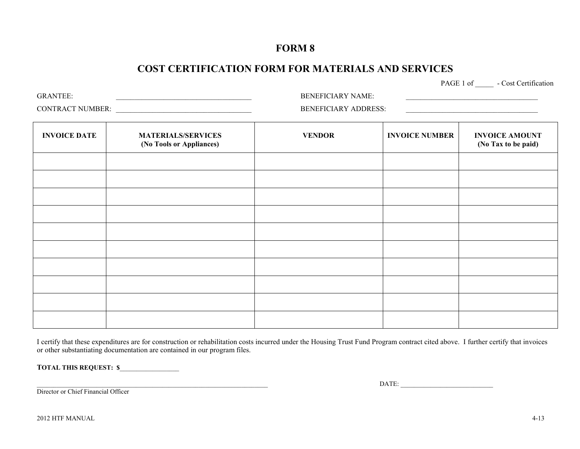### **COST CERTIFICATION FORM FOR MATERIALS AND SERVICES**

PAGE 1 of - Cost Certification

GRANTEE: \_\_\_\_\_\_\_\_\_\_\_\_\_\_\_\_\_\_\_\_\_\_\_\_\_\_\_\_\_\_\_\_\_\_\_\_\_ BENEFICIARY NAME: \_\_\_\_\_\_\_\_\_\_\_\_\_\_\_\_\_\_\_\_\_\_\_\_\_\_\_\_\_\_\_\_\_\_\_\_

CONTRACT NUMBER: \_\_\_\_\_\_\_\_\_\_\_\_\_\_\_\_\_\_\_\_\_\_\_\_\_\_\_\_\_\_\_\_\_\_\_\_\_ BENEFICIARY ADDRESS: \_\_\_\_\_\_\_\_\_\_\_\_\_\_\_\_\_\_\_\_\_\_\_\_\_\_\_\_\_\_\_\_\_\_\_\_

| <b>INVOICE DATE</b> | <b>MATERIALS/SERVICES</b><br>(No Tools or Appliances) | <b>VENDOR</b> | <b>INVOICE NUMBER</b> | <b>INVOICE AMOUNT</b><br>(No Tax to be paid) |
|---------------------|-------------------------------------------------------|---------------|-----------------------|----------------------------------------------|
|                     |                                                       |               |                       |                                              |
|                     |                                                       |               |                       |                                              |
|                     |                                                       |               |                       |                                              |
|                     |                                                       |               |                       |                                              |
|                     |                                                       |               |                       |                                              |
|                     |                                                       |               |                       |                                              |
|                     |                                                       |               |                       |                                              |
|                     |                                                       |               |                       |                                              |
|                     |                                                       |               |                       |                                              |
|                     |                                                       |               |                       |                                              |

I certify that these expenditures are for construction or rehabilitation costs incurred under the Housing Trust Fund Program contract cited above. I further certify that invoices or other substantiating documentation are contained in our program files.

**TOTAL THIS REQUEST: \$**\_\_\_\_\_\_\_\_\_\_\_\_\_\_\_\_\_\_

Director or Chief Financial Officer

 $_{\rm{DATE:}}$   $_{\rm{L}}$ 

2012 HTF MANUAL 4-13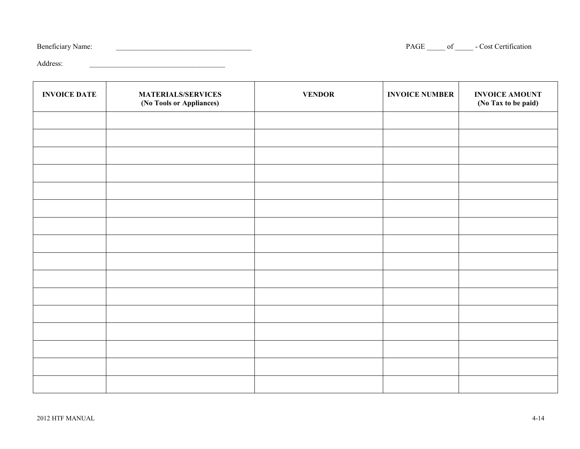| <b>Beneficiary Name:</b> |
|--------------------------|
|                          |

PAGE \_\_\_\_\_\_\_ of \_\_\_\_\_\_\_\_ - Cost Certification

Address:

| <b>INVOICE DATE</b> | <b>MATERIALS/SERVICES</b><br>(No Tools or Appliances) | <b>VENDOR</b> | <b>INVOICE NUMBER</b> | <b>INVOICE AMOUNT</b><br>(No Tax to be paid) |
|---------------------|-------------------------------------------------------|---------------|-----------------------|----------------------------------------------|
|                     |                                                       |               |                       |                                              |
|                     |                                                       |               |                       |                                              |
|                     |                                                       |               |                       |                                              |
|                     |                                                       |               |                       |                                              |
|                     |                                                       |               |                       |                                              |
|                     |                                                       |               |                       |                                              |
|                     |                                                       |               |                       |                                              |
|                     |                                                       |               |                       |                                              |
|                     |                                                       |               |                       |                                              |
|                     |                                                       |               |                       |                                              |
|                     |                                                       |               |                       |                                              |
|                     |                                                       |               |                       |                                              |
|                     |                                                       |               |                       |                                              |
|                     |                                                       |               |                       |                                              |
|                     |                                                       |               |                       |                                              |
|                     |                                                       |               |                       |                                              |